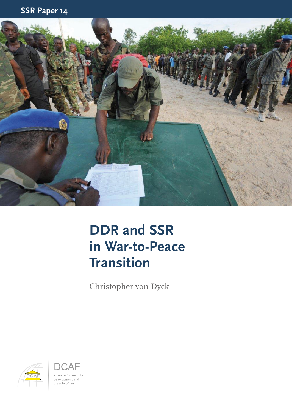

### **DDR and SSR in War-to-Peace Transition**

Christopher von Dyck



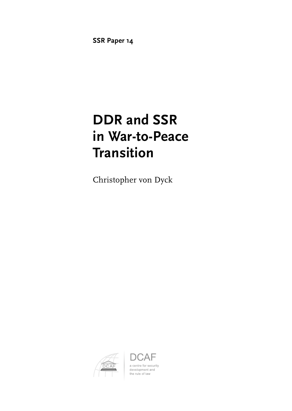**SSR Paper 14**

### **DDR and SSR in War-to-Peace Transition**

Christopher von Dyck



АF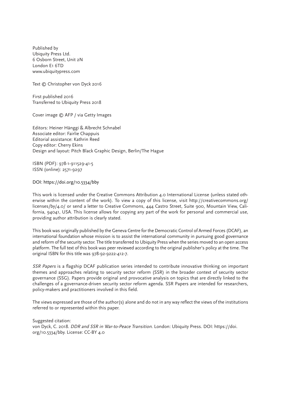Published by Ubiquity Press Ltd. 6 Osborn Street, Unit 2N London E1 6TD www.ubiquitypress.com

Text © Christopher von Dyck 2016

First published 2016 Transferred to Ubiquity Press 2018

Cover image © AFP / via Getty Images

Editors: Heiner Hänggi & Albrecht Schnabel Associate editor: Fairlie Chappuis Editorial assistance: Kathrin Reed Copy editor: Cherry Ekins Design and layout: Pitch Black Graphic Design, Berlin/The Hague

ISBN (PDF): 978-1-911529-41-5 ISSN (online): 2571-9297

DOI: https://doi.org/10.5334/bby

This work is licensed under the Creative Commons Attribution 4.0 International License (unless stated otherwise within the content of the work). To view a copy of this license, visit http://creativecommons.org/ licenses/by/4.0/ or send a letter to Creative Commons, 444 Castro Street, Suite 900, Mountain View, California, 94041, USA. This license allows for copying any part of the work for personal and commercial use, providing author attribution is clearly stated.

This book was originally published by the Geneva Centre for the Democratic Control of Armed Forces (DCAF), an international foundation whose mission is to assist the international community in pursuing good governance and reform of the security sector. The title transferred to Ubiquity Press when the series moved to an open access platform. The full text of this book was peer reviewed according to the original publisher's policy at the time. The original ISBN for this title was 978-92-9222-412-7.

SSR Papers is a flagship DCAF publication series intended to contribute innovative thinking on important themes and approaches relating to security sector reform (SSR) in the broader context of security sector governance (SSG). Papers provide original and provocative analysis on topics that are directly linked to the challenges of a governance-driven security sector reform agenda. SSR Papers are intended for researchers, policy-makers and practitioners involved in this field.

The views expressed are those of the author(s) alone and do not in any way reflect the views of the institutions referred to or represented within this paper.

Suggested citation: von Dyck, C. 2018. DDR and SSR in War-to-Peace Transition. London: Ubiquity Press. DOI: https://doi. org/10.5334/bby. License: CC-BY 4.0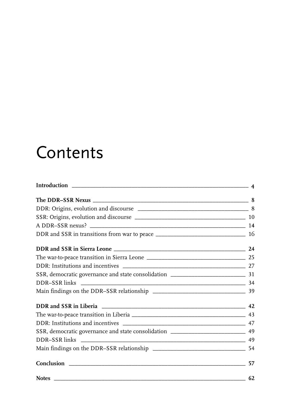## Contents

| SSR, democratic governance and state consolidation _____________________________ 49 |    |
|-------------------------------------------------------------------------------------|----|
|                                                                                     |    |
|                                                                                     |    |
|                                                                                     | 57 |
|                                                                                     | 62 |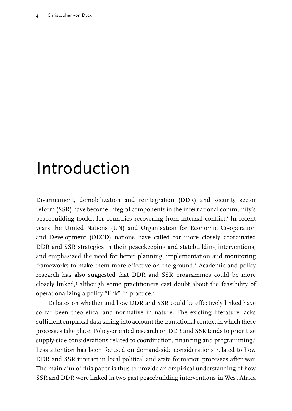## <span id="page-5-0"></span>Introduction

Disarmament, demobilization and reintegration (DDR) and security sector reform (SSR) have become integral components in the international community's peacebuilding toolkit for countries recovering from internal conflict.<sup>1</sup> In recent years the United Nations (UN) and Organisation for Economic Co-operation and Development (OECD) nations have called for more closely coordinated DDR and SSR strategies in their peacekeeping and statebuilding interventions, and emphasized the need for better planning, implementation and monitoring frameworks to make them more effective on the ground.<sup>2</sup> Academic and policy research has also suggested that DDR and SSR programmes could be more closely linked,<sup>3</sup> although some practitioners cast doubt about the feasibility of operationalizing a policy "link" in practice.4

Debates on whether and how DDR and SSR could be effectively linked have so far been theoretical and normative in nature. The existing literature lacks sufficient empirical data taking into account the transitional context in which these processes take place. Policy-oriented research on DDR and SSR tends to prioritize supply-side considerations related to coordination, financing and programming.5 Less attention has been focused on demand-side considerations related to how DDR and SSR interact in local political and state formation processes after war. The main aim of this paper is thus to provide an empirical understanding of how SSR and DDR were linked in two past peacebuilding interventions in West Africa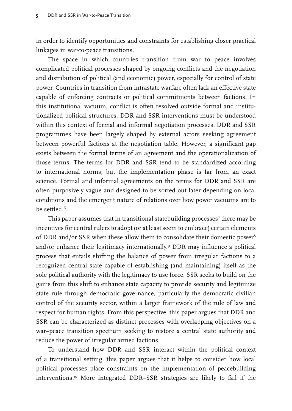in order to identify opportunities and constraints for establishing closer practical linkages in war-to-peace transitions.

The space in which countries transition from war to peace involves complicated political processes shaped by ongoing conflicts and the negotiation and distribution of political (and economic) power, especially for control of state power. Countries in transition from intrastate warfare often lack an effective state capable of enforcing contracts or political commitments between factions. In this institutional vacuum, conflict is often resolved outside formal and institutionalized political structures. DDR and SSR interventions must be understood within this context of formal and informal negotiation processes. DDR and SSR programmes have been largely shaped by external actors seeking agreement between powerful factions at the negotiation table. However, a significant gap exists between the formal terms of an agreement and the operationalization of those terms. The terms for DDR and SSR tend to be standardized according to international norms, but the implementation phase is far from an exact science. Formal and informal agreements on the terms for DDR and SSR are often purposively vague and designed to be sorted out later depending on local conditions and the emergent nature of relations over how power vacuums are to be settled.<sup>6</sup>

This paper assumes that in transitional statebuilding processes<sup>7</sup> there may be incentives for central rulers to adopt (or at least seem to embrace) certain elements of DDR and/or SSR when these allow them to consolidate their domestic power<sup>8</sup> and/or enhance their legitimacy internationally.9 DDR may influence a political process that entails shifting the balance of power from irregular factions to a recognized central state capable of establishing (and maintaining) itself as the sole political authority with the legitimacy to use force. SSR seeks to build on the gains from this shift to enhance state capacity to provide security and legitimize state rule through democratic governance, particularly the democratic civilian control of the security sector, within a larger framework of the rule of law and respect for human rights. From this perspective, this paper argues that DDR and SSR can be characterized as distinct processes with overlapping objectives on a war–peace transition spectrum seeking to restore a central state authority and reduce the power of irregular armed factions.

To understand how DDR and SSR interact within the political context of a transitional setting, this paper argues that it helps to consider how local political processes place constraints on the implementation of peacebuilding interventions.10 More integrated DDR–SSR strategies are likely to fail if the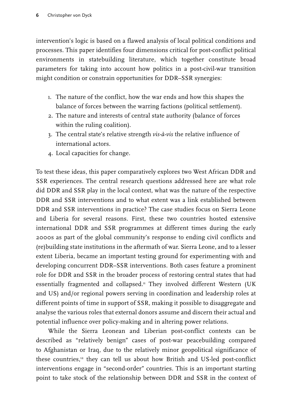intervention's logic is based on a flawed analysis of local political conditions and processes. This paper identifies four dimensions critical for post-conflict political environments in statebuilding literature, which together constitute broad parameters for taking into account how politics in a post-civil-war transition might condition or constrain opportunities for DDR–SSR synergies:

- 1. The nature of the conflict, how the war ends and how this shapes the balance of forces between the warring factions (political settlement).
- 2. The nature and interests of central state authority (balance of forces within the ruling coalition).
- 3. The central state's relative strength *vis-à-vis* the relative influence of international actors.
- 4. Local capacities for change.

To test these ideas, this paper comparatively explores two West African DDR and SSR experiences. The central research questions addressed here are what role did DDR and SSR play in the local context, what was the nature of the respective DDR and SSR interventions and to what extent was a link established between DDR and SSR interventions in practice? The case studies focus on Sierra Leone and Liberia for several reasons. First, these two countries hosted extensive international DDR and SSR programmes at different times during the early 2000s as part of the global community's response to ending civil conflicts and (re)building state institutions in the aftermath of war. Sierra Leone, and to a lesser extent Liberia, became an important testing ground for experimenting with and developing concurrent DDR–SSR interventions. Both cases feature a prominent role for DDR and SSR in the broader process of restoring central states that had essentially fragmented and collapsed.<sup>11</sup> They involved different Western (UK and US) and/or regional powers serving in coordination and leadership roles at different points of time in support of SSR, making it possible to disaggregate and analyse the various roles that external donors assume and discern their actual and potential influence over policy-making and in altering power relations.

While the Sierra Leonean and Liberian post-conflict contexts can be described as "relatively benign" cases of post-war peacebuilding compared to Afghanistan or Iraq, due to the relatively minor geopolitical significance of these countries,<sup>12</sup> they can tell us about how British and US-led post-conflict interventions engage in "second-order" countries. This is an important starting point to take stock of the relationship between DDR and SSR in the context of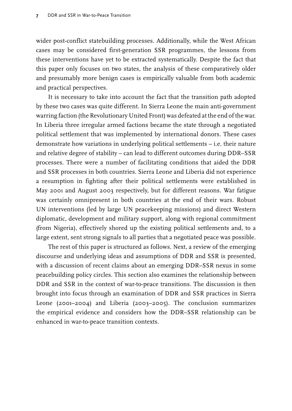wider post-conflict statebuilding processes. Additionally, while the West African cases may be considered first-generation SSR programmes, the lessons from these interventions have yet to be extracted systematically. Despite the fact that this paper only focuses on two states, the analysis of these comparatively older and presumably more benign cases is empirically valuable from both academic and practical perspectives.

It is necessary to take into account the fact that the transition path adopted by these two cases was quite different. In Sierra Leone the main anti-government warring faction (the Revolutionary United Front) was defeated at the end of the war. In Liberia three irregular armed factions became the state through a negotiated political settlement that was implemented by international donors. These cases demonstrate how variations in underlying political settlements – i.e. their nature and relative degree of stability – can lead to different outcomes during DDR–SSR processes. There were a number of facilitating conditions that aided the DDR and SSR processes in both countries. Sierra Leone and Liberia did not experience a resumption in fighting after their political settlements were established in May 2001 and August 2003 respectively, but for different reasons. War fatigue was certainly omnipresent in both countries at the end of their wars. Robust UN interventions (led by large UN peacekeeping missions) and direct Western diplomatic, development and military support, along with regional commitment (from Nigeria), effectively shored up the existing political settlements and, to a large extent, sent strong signals to all parties that a negotiated peace was possible.

The rest of this paper is structured as follows. Next, a review of the emerging discourse and underlying ideas and assumptions of DDR and SSR is presented, with a discussion of recent claims about an emerging DDR–SSR nexus in some peacebuilding policy circles. This section also examines the relationship between DDR and SSR in the context of war-to-peace transitions. The discussion is then brought into focus through an examination of DDR and SSR practices in Sierra Leone (2001–2004) and Liberia (2003–2005). The conclusion summarizes the empirical evidence and considers how the DDR–SSR relationship can be enhanced in war-to-peace transition contexts.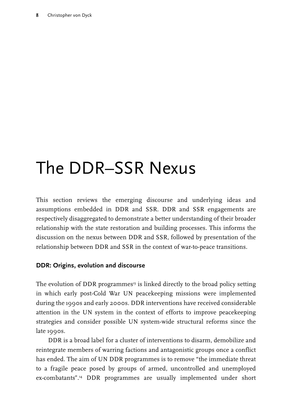# <span id="page-9-0"></span>The DDR–SSR Nexus

This section reviews the emerging discourse and underlying ideas and assumptions embedded in DDR and SSR. DDR and SSR engagements are respectively disaggregated to demonstrate a better understanding of their broader relationship with the state restoration and building processes. This informs the discussion on the nexus between DDR and SSR, followed by presentation of the relationship between DDR and SSR in the context of war-to-peace transitions.

#### **DDR: Origins, evolution and discourse**

The evolution of DDR programmes<sup>13</sup> is linked directly to the broad policy setting in which early post-Cold War UN peacekeeping missions were implemented during the 1990s and early 2000s. DDR interventions have received considerable attention in the UN system in the context of efforts to improve peacekeeping strategies and consider possible UN system-wide structural reforms since the late 1990s.

DDR is a broad label for a cluster of interventions to disarm, demobilize and reintegrate members of warring factions and antagonistic groups once a conflict has ended. The aim of UN DDR programmes is to remove "the immediate threat to a fragile peace posed by groups of armed, uncontrolled and unemployed ex-combatants".<sup>14</sup> DDR programmes are usually implemented under short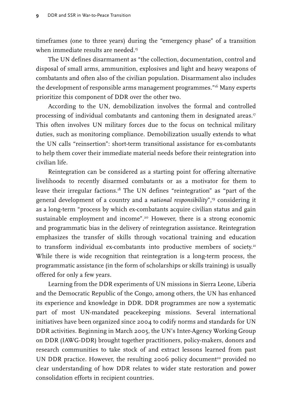timeframes (one to three years) during the "emergency phase" of a transition when immediate results are needed.<sup>15</sup>

The UN defines disarmament as "the collection, documentation, control and disposal of small arms, ammunition, explosives and light and heavy weapons of combatants and often also of the civilian population. Disarmament also includes the development of responsible arms management programmes."16 Many experts prioritize this component of DDR over the other two.

According to the UN, demobilization involves the formal and controlled processing of individual combatants and cantoning them in designated areas.<sup>17</sup> This often involves UN military forces due to the focus on technical military duties, such as monitoring compliance. Demobilization usually extends to what the UN calls "reinsertion": short-term transitional assistance for ex-combatants to help them cover their immediate material needs before their reintegration into civilian life.

Reintegration can be considered as a starting point for offering alternative livelihoods to recently disarmed combatants or as a motivator for them to leave their irregular factions.<sup>18</sup> The UN defines "reintegration" as "part of the general development of a country and a *national responsibility*",19 considering it as a long-term "process by which ex-combatants acquire civilian status and gain sustainable employment and income".<sup>20</sup> However, there is a strong economic and programmatic bias in the delivery of reintegration assistance. Reintegration emphasizes the transfer of skills through vocational training and education to transform individual ex-combatants into productive members of society.<sup>21</sup> While there is wide recognition that reintegration is a long-term process, the programmatic assistance (in the form of scholarships or skills training) is usually offered for only a few years.

Learning from the DDR experiments of UN missions in Sierra Leone, Liberia and the Democratic Republic of the Congo, among others, the UN has enhanced its experience and knowledge in DDR. DDR programmes are now a systematic part of most UN-mandated peacekeeping missions. Several international initiatives have been organized since 2004 to codify norms and standards for UN DDR activities. Beginning in March 2005, the UN's Inter-Agency Working Group on DDR (IAWG-DDR) brought together practitioners, policy-makers, donors and research communities to take stock of and extract lessons learned from past UN DDR practice. However, the resulting 2006 policy document<sup>22</sup> provided no clear understanding of how DDR relates to wider state restoration and power consolidation efforts in recipient countries.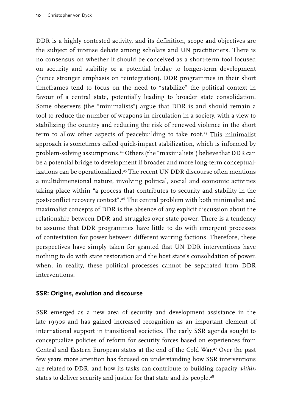<span id="page-11-0"></span>DDR is a highly contested activity, and its definition, scope and objectives are the subject of intense debate among scholars and UN practitioners. There is no consensus on whether it should be conceived as a short-term tool focused on security and stability or a potential bridge to longer-term development (hence stronger emphasis on reintegration). DDR programmes in their short timeframes tend to focus on the need to "stabilize" the political context in favour of a central state, potentially leading to broader state consolidation. Some observers (the "minimalists") argue that DDR is and should remain a tool to reduce the number of weapons in circulation in a society, with a view to stabilizing the country and reducing the risk of renewed violence in the short term to allow other aspects of peacebuilding to take root.<sup>23</sup> This minimalist approach is sometimes called quick-impact stabilization, which is informed by problem-solving assumptions.<sup>24</sup> Others (the "maximalists") believe that DDR can be a potential bridge to development if broader and more long-term conceptualizations can be operationalized.<sup>25</sup> The recent UN DDR discourse often mentions a multidimensional nature, involving political, social and economic activities taking place within "a process that contributes to security and stability in the post-conflict recovery context".26 The central problem with both minimalist and maximalist concepts of DDR is the absence of any explicit discussion about the relationship between DDR and struggles over state power. There is a tendency to assume that DDR programmes have little to do with emergent processes of contestation for power between different warring factions. Therefore, these perspectives have simply taken for granted that UN DDR interventions have nothing to do with state restoration and the host state's consolidation of power, when, in reality, these political processes cannot be separated from DDR interventions.

#### **SSR: Origins, evolution and discourse**

SSR emerged as a new area of security and development assistance in the late 1990s and has gained increased recognition as an important element of international support in transitional societies. The early SSR agenda sought to conceptualize policies of reform for security forces based on experiences from Central and Eastern European states at the end of the Cold War.<sup>27</sup> Over the past few years more attention has focused on understanding how SSR interventions are related to DDR, and how its tasks can contribute to building capacity *within* states to deliver security and justice for that state and its people.<sup>28</sup>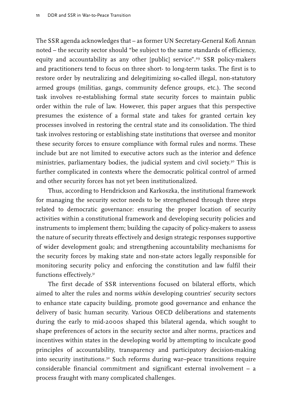The SSR agenda acknowledges that – as former UN Secretary-General Kofi Annan noted – the security sector should "be subject to the same standards of efficiency, equity and accountability as any other [public] service".<sup>29</sup> SSR policy-makers and practitioners tend to focus on three short- to long-term tasks. The first is to restore order by neutralizing and delegitimizing so-called illegal, non-statutory armed groups (militias, gangs, community defence groups, etc.). The second task involves re-establishing formal state security forces to maintain public order within the rule of law. However, this paper argues that this perspective presumes the existence of a formal state and takes for granted certain key processes involved in restoring the central state and its consolidation. The third task involves restoring or establishing state institutions that oversee and monitor these security forces to ensure compliance with formal rules and norms. These include but are not limited to executive actors such as the interior and defence ministries, parliamentary bodies, the judicial system and civil society.<sup>30</sup> This is further complicated in contexts where the democratic political control of armed and other security forces has not yet been institutionalized.

Thus, according to Hendrickson and Karkoszka, the institutional framework for managing the security sector needs to be strengthened through three steps related to democratic governance: ensuring the proper location of security activities within a constitutional framework and developing security policies and instruments to implement them; building the capacity of policy-makers to assess the nature of security threats effectively and design strategic responses supportive of wider development goals; and strengthening accountability mechanisms for the security forces by making state and non-state actors legally responsible for monitoring security policy and enforcing the constitution and law fulfil their functions effectively.<sup>31</sup>

The first decade of SSR interventions focused on bilateral efforts, which aimed to alter the rules and norms *within* developing countries' security sectors to enhance state capacity building, promote good governance and enhance the delivery of basic human security. Various OECD deliberations and statements during the early to mid-2000s shaped this bilateral agenda, which sought to shape preferences of actors in the security sector and alter norms, practices and incentives within states in the developing world by attempting to inculcate good principles of accountability, transparency and participatory decision-making into security institutions.<sup>32</sup> Such reforms during war–peace transitions require considerable financial commitment and significant external involvement – a process fraught with many complicated challenges.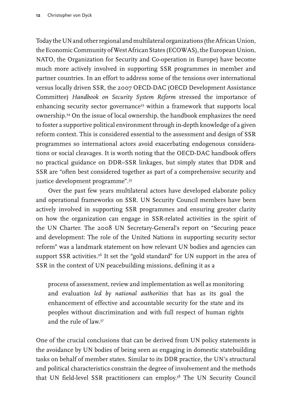Today the UN and other regional and multilateral organizations (the African Union, the Economic Community of West African States (ECOWAS), the European Union, NATO, the Organization for Security and Co-operation in Europe) have become much more actively involved in supporting SSR programmes in member and partner countries. In an effort to address some of the tensions over international versus locally driven SSR, the 2007 OECD-DAC (OECD Development Assistance Committee) *Handbook on Security System Reform* stressed the importance of enhancing security sector governance<sup>33</sup> within a framework that supports local ownership.34 On the issue of local ownership, the handbook emphasizes the need to foster a supportive political environment through in-depth knowledge of a given reform context. This is considered essential to the assessment and design of SSR programmes so international actors avoid exacerbating endogenous considerations or social cleavages. It is worth noting that the OECD-DAC handbook offers no practical guidance on DDR–SSR linkages, but simply states that DDR and SSR are "often best considered together as part of a comprehensive security and justice development programme".35

Over the past few years multilateral actors have developed elaborate policy and operational frameworks on SSR. UN Security Council members have been actively involved in supporting SSR programmes and ensuring greater clarity on how the organization can engage in SSR-related activities in the spirit of the UN Charter. The 2008 UN Secretary-General's report on "Securing peace and development: The role of the United Nations in supporting security sector reform" was a landmark statement on how relevant UN bodies and agencies can support SSR activities.<sup>36</sup> It set the "gold standard" for UN support in the area of SSR in the context of UN peacebuilding missions, defining it as a

process of assessment, review and implementation as well as monitoring and evaluation *led by national authorities* that has as its goal the enhancement of effective and accountable security for the state and its peoples without discrimination and with full respect of human rights and the rule of law.37

One of the crucial conclusions that can be derived from UN policy statements is the avoidance by UN bodies of being seen as engaging in domestic statebuilding tasks on behalf of member states. Similar to its DDR practice, the UN's structural and political characteristics constrain the degree of involvement and the methods that UN field-level SSR practitioners can employ.<sup>38</sup> The UN Security Council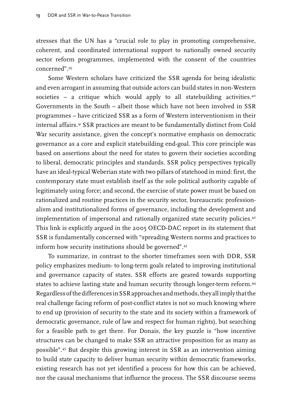stresses that the UN has a "crucial role to play in promoting comprehensive, coherent, and coordinated international support to nationally owned security sector reform programmes, implemented with the consent of the countries concerned".39

Some Western scholars have criticized the SSR agenda for being idealistic and even arrogant in assuming that outside actors can build states in non-Western societies – a critique which would apply to all statebuilding activities.<sup>40</sup> Governments in the South – albeit those which have not been involved in SSR programmes – have criticized SSR as a form of Western interventionism in their internal affairs.41 SSR practices are meant to be fundamentally distinct from Cold War security assistance, given the concept's normative emphasis on democratic governance as a core and explicit statebuilding end-goal. This core principle was based on assertions about the need for states to govern their societies according to liberal, democratic principles and standards. SSR policy perspectives typically have an ideal-typical Weberian state with two pillars of statehood in mind: first, the contemporary state must establish itself as the sole political authority capable of legitimately using force; and second, the exercise of state power must be based on rationalized and routine practices in the security sector, bureaucratic professionalism and institutionalized forms of governance, including the development and implementation of impersonal and rationally organized state security policies.<sup>42</sup> This link is explicitly argued in the 2005 OECD-DAC report in its statement that SSR is fundamentally concerned with "spreading Western norms and practices to inform how security institutions should be governed".43

To summarize, in contrast to the shorter timeframes seen with DDR, SSR policy emphasizes medium- to long-term goals related to improving institutional and governance capacity of states. SSR efforts are geared towards supporting states to achieve lasting state and human security through longer-term reform.<sup>44</sup> Regardless of the differences in SSR approaches and methods, they all imply that the real challenge facing reform of post-conflict states is not so much knowing where to end up (provision of security to the state and its society within a framework of democratic governance, rule of law and respect for human rights), but searching for a feasible path to get there. For Donais, the key puzzle is "how incentive structures can be changed to make SSR an attractive proposition for as many as possible".45 But despite this growing interest in SSR as an intervention aiming to build state capacity to deliver human security within democratic frameworks, existing research has not yet identified a process for how this can be achieved, nor the causal mechanisms that influence the process. The SSR discourse seems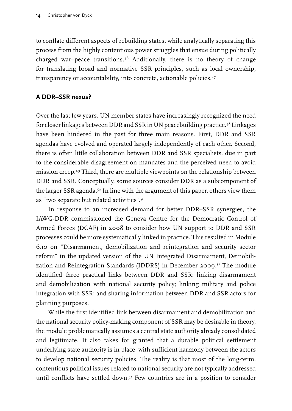<span id="page-15-0"></span>to conflate different aspects of rebuilding states, while analytically separating this process from the highly contentious power struggles that ensue during politically charged war–peace transitions.46 Additionally, there is no theory of change for translating broad and normative SSR principles, such as local ownership, transparency or accountability, into concrete, actionable policies.47

#### **A DDR–SSR nexus?**

Over the last few years, UN member states have increasingly recognized the need for closer linkages between DDR and SSR in UN peacebuilding practice.48 Linkages have been hindered in the past for three main reasons. First, DDR and SSR agendas have evolved and operated largely independently of each other. Second, there is often little collaboration between DDR and SSR specialists, due in part to the considerable disagreement on mandates and the perceived need to avoid mission creep.49 Third, there are multiple viewpoints on the relationship between DDR and SSR. Conceptually, some sources consider DDR as a subcomponent of the larger SSR agenda.<sup>50</sup> In line with the argument of this paper, others view them as "two separate but related activities".51

In response to an increased demand for better DDR–SSR synergies, the IAWG-DDR commissioned the Geneva Centre for the Democratic Control of Armed Forces (DCAF) in 2008 to consider how UN support to DDR and SSR processes could be more systematically linked in practice. This resulted in Module 6.10 on "Disarmament, demobilization and reintegration and security sector reform" in the updated version of the UN Integrated Disarmament, Demobilization and Reintegration Standards (IDDRS) in December 2009.<sup>52</sup> The module identified three practical links between DDR and SSR: linking disarmament and demobilization with national security policy; linking military and police integration with SSR; and sharing information between DDR and SSR actors for planning purposes.

While the first identified link between disarmament and demobilization and the national security policy-making component of SSR may be desirable in theory, the module problematically assumes a central state authority already consolidated and legitimate. It also takes for granted that a durable political settlement underlying state authority is in place, with sufficient harmony between the actors to develop national security policies. The reality is that most of the long-term, contentious political issues related to national security are not typically addressed until conflicts have settled down.53 Few countries are in a position to consider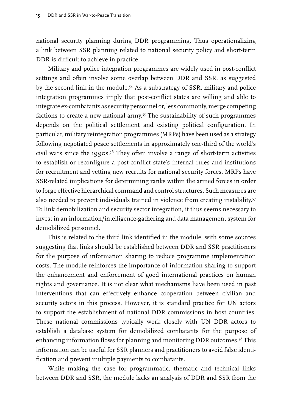national security planning during DDR programming. Thus operationalizing a link between SSR planning related to national security policy and short-term DDR is difficult to achieve in practice.

Military and police integration programmes are widely used in post-conflict settings and often involve some overlap between DDR and SSR, as suggested by the second link in the module.<sup>54</sup> As a substrategy of SSR, military and police integration programmes imply that post-conflict states are willing and able to integrate ex-combatants as security personnel or, less commonly, merge competing factions to create a new national army.<sup>55</sup> The sustainability of such programmes depends on the political settlement and existing political configuration. In particular, military reintegration programmes (MRPs) have been used as a strategy following negotiated peace settlements in approximately one-third of the world's civil wars since the 1990s.<sup>56</sup> They often involve a range of short-term activities to establish or reconfigure a post-conflict state's internal rules and institutions for recruitment and vetting new recruits for national security forces. MRPs have SSR-related implications for determining ranks within the armed forces in order to forge effective hierarchical command and control structures. Such measures are also needed to prevent individuals trained in violence from creating instability.<sup>57</sup> To link demobilization and security sector integration, it thus seems necessary to invest in an information/intelligence-gathering and data management system for demobilized personnel.

This is related to the third link identified in the module, with some sources suggesting that links should be established between DDR and SSR practitioners for the purpose of information sharing to reduce programme implementation costs. The module reinforces the importance of information sharing to support the enhancement and enforcement of good international practices on human rights and governance. It is not clear what mechanisms have been used in past interventions that can effectively enhance cooperation between civilian and security actors in this process. However, it is standard practice for UN actors to support the establishment of national DDR commissions in host countries. These national commissions typically work closely with UN DDR actors to establish a database system for demobilized combatants for the purpose of enhancing information flows for planning and monitoring DDR outcomes.<sup>58</sup> This information can be useful for SSR planners and practitioners to avoid false identification and prevent multiple payments to combatants.

While making the case for programmatic, thematic and technical links between DDR and SSR, the module lacks an analysis of DDR and SSR from the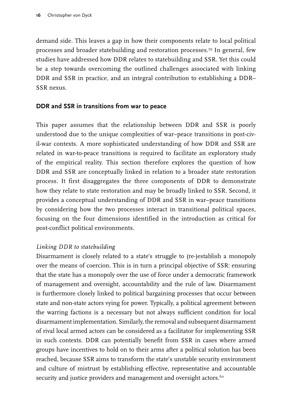<span id="page-17-0"></span>demand side. This leaves a gap in how their components relate to local political processes and broader statebuilding and restoration processes.59 In general, few studies have addressed how DDR relates to statebuilding and SSR. Yet this could be a step towards overcoming the outlined challenges associated with linking DDR and SSR in practice, and an integral contribution to establishing a DDR– SSR nexus.

#### **DDR and SSR in transitions from war to peace**

This paper assumes that the relationship between DDR and SSR is poorly understood due to the unique complexities of war–peace transitions in post-civil-war contexts. A more sophisticated understanding of how DDR and SSR are related in war-to-peace transitions is required to facilitate an exploratory study of the empirical reality. This section therefore explores the question of how DDR and SSR are conceptually linked in relation to a broader state restoration process. It first disaggregates the three components of DDR to demonstrate how they relate to state restoration and may be broadly linked to SSR. Second, it provides a conceptual understanding of DDR and SSR in war–peace transitions by considering how the two processes interact in transitional political spaces, focusing on the four dimensions identified in the introduction as critical for post-conflict political environments.

#### *Linking DDR to statebuilding*

Disarmament is closely related to a state's struggle to (re-)establish a monopoly over the means of coercion. This is in turn a principal objective of SSR: ensuring that the state has a monopoly over the use of force under a democratic framework of management and oversight, accountability and the rule of law. Disarmament is furthermore closely linked to political bargaining processes that occur between state and non-state actors vying for power. Typically, a political agreement between the warring factions is a necessary but not always sufficient condition for local disarmament implementation. Similarly, the removal and subsequent disarmament of rival local armed actors can be considered as a facilitator for implementing SSR in such contexts. DDR can potentially benefit from SSR in cases where armed groups have incentives to hold on to their arms after a political solution has been reached, because SSR aims to transform the state's unstable security environment and culture of mistrust by establishing effective, representative and accountable security and justice providers and management and oversight actors.<sup>60</sup>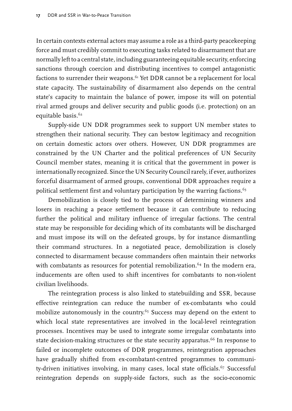In certain contexts external actors may assume a role as a third-party peacekeeping force and must credibly commit to executing tasks related to disarmament that are normally left to a central state, including guaranteeing equitable security, enforcing sanctions through coercion and distributing incentives to compel antagonistic factions to surrender their weapons.<sup>61</sup> Yet DDR cannot be a replacement for local state capacity. The sustainability of disarmament also depends on the central state's capacity to maintain the balance of power, impose its will on potential rival armed groups and deliver security and public goods (i.e. protection) on an equitable basis.<sup>62</sup>

Supply-side UN DDR programmes seek to support UN member states to strengthen their national security. They can bestow legitimacy and recognition on certain domestic actors over others. However, UN DDR programmes are constrained by the UN Charter and the political preferences of UN Security Council member states, meaning it is critical that the government in power is internationally recognized. Since the UN Security Council rarely, if ever, authorizes forceful disarmament of armed groups, conventional DDR approaches require a political settlement first and voluntary participation by the warring factions.<sup>63</sup>

Demobilization is closely tied to the process of determining winners and losers in reaching a peace settlement because it can contribute to reducing further the political and military influence of irregular factions. The central state may be responsible for deciding which of its combatants will be discharged and must impose its will on the defeated groups, by for instance dismantling their command structures. In a negotiated peace, demobilization is closely connected to disarmament because commanders often maintain their networks with combatants as resources for potential remobilization.<sup>64</sup> In the modern era, inducements are often used to shift incentives for combatants to non-violent civilian livelihoods.

The reintegration process is also linked to statebuilding and SSR, because effective reintegration can reduce the number of ex-combatants who could mobilize autonomously in the country.<sup>65</sup> Success may depend on the extent to which local state representatives are involved in the local-level reintegration processes. Incentives may be used to integrate some irregular combatants into state decision-making structures or the state security apparatus.<sup>66</sup> In response to failed or incomplete outcomes of DDR programmes, reintegration approaches have gradually shifted from ex-combatant-centred programmes to community-driven initiatives involving, in many cases, local state officials.<sup>67</sup> Successful reintegration depends on supply-side factors, such as the socio-economic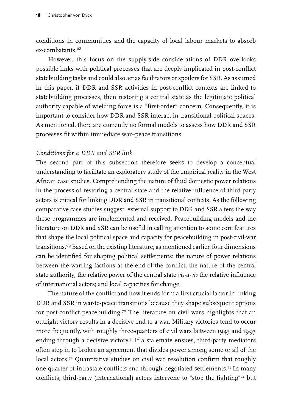conditions in communities and the capacity of local labour markets to absorb ex-combatants.68

However, this focus on the supply-side considerations of DDR overlooks possible links with political processes that are deeply implicated in post-conflict statebuilding tasks and could also act as facilitators or spoilers for SSR. As assumed in this paper, if DDR and SSR activities in post-conflict contexts are linked to statebuilding processes, then restoring a central state as the legitimate political authority capable of wielding force is a "first-order" concern. Consequently, it is important to consider how DDR and SSR interact in transitional political spaces. As mentioned, there are currently no formal models to assess how DDR and SSR processes fit within immediate war–peace transitions.

#### *Conditions for a DDR and SSR link*

The second part of this subsection therefore seeks to develop a conceptual understanding to facilitate an exploratory study of the empirical reality in the West African case studies. Comprehending the nature of fluid domestic power relations in the process of restoring a central state and the relative influence of third-party actors is critical for linking DDR and SSR in transitional contexts. As the following comparative case studies suggest, external support to DDR and SSR alters the way these programmes are implemented and received. Peacebuilding models and the literature on DDR and SSR can be useful in calling attention to some core features that shape the local political space and capacity for peacebuilding in post-civil-war transitions.<sup>69</sup> Based on the existing literature, as mentioned earlier, four dimensions can be identified for shaping political settlements: the nature of power relations between the warring factions at the end of the conflict; the nature of the central state authority; the relative power of the central state *vis-à-vis* the relative influence of international actors; and local capacities for change.

The nature of the conflict and how it ends form a first crucial factor in linking DDR and SSR in war-to-peace transitions because they shape subsequent options for post-conflict peacebuilding.<sup>70</sup> The literature on civil wars highlights that an outright victory results in a decisive end to a war. Military victories tend to occur more frequently, with roughly three-quarters of civil wars between 1945 and 1993 ending through a decisive victory.<sup>71</sup> If a stalemate ensues, third-party mediators often step in to broker an agreement that divides power among some or all of the local actors.<sup>72</sup> Quantitative studies on civil war resolution confirm that roughly one-quarter of intrastate conflicts end through negotiated settlements.73 In many conflicts, third-party (international) actors intervene to "stop the fighting"74 but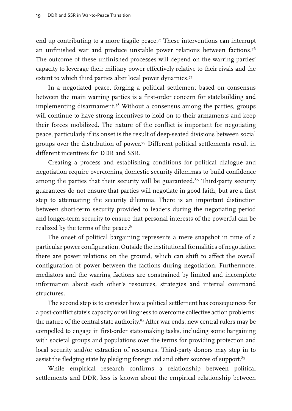end up contributing to a more fragile peace.75 These interventions can interrupt an unfinished war and produce unstable power relations between factions.76 The outcome of these unfinished processes will depend on the warring parties' capacity to leverage their military power effectively relative to their rivals and the extent to which third parties alter local power dynamics.<sup>77</sup>

In a negotiated peace, forging a political settlement based on consensus between the main warring parties is a first-order concern for statebuilding and implementing disarmament.<sup>78</sup> Without a consensus among the parties, groups will continue to have strong incentives to hold on to their armaments and keep their forces mobilized. The nature of the conflict is important for negotiating peace, particularly if its onset is the result of deep-seated divisions between social groups over the distribution of power.79 Different political settlements result in different incentives for DDR and SSR.

Creating a process and establishing conditions for political dialogue and negotiation require overcoming domestic security dilemmas to build confidence among the parties that their security will be guaranteed. $80$  Third-party security guarantees do not ensure that parties will negotiate in good faith, but are a first step to attenuating the security dilemma. There is an important distinction between short-term security provided to leaders during the negotiating period and longer-term security to ensure that personal interests of the powerful can be realized by the terms of the peace.<sup>81</sup>

The onset of political bargaining represents a mere snapshot in time of a particular power configuration. Outside the institutional formalities of negotiation there are power relations on the ground, which can shift to affect the overall configuration of power between the factions during negotiation. Furthermore, mediators and the warring factions are constrained by limited and incomplete information about each other's resources, strategies and internal command structures.

The second step is to consider how a political settlement has consequences for a post-conflict state's capacity or willingness to overcome collective action problems: the nature of the central state authority. $82$  After war ends, new central rulers may be compelled to engage in first-order state-making tasks, including some bargaining with societal groups and populations over the terms for providing protection and local security and/or extraction of resources. Third-party donors may step in to assist the fledging state by pledging foreign aid and other sources of support.<sup>83</sup>

While empirical research confirms a relationship between political settlements and DDR, less is known about the empirical relationship between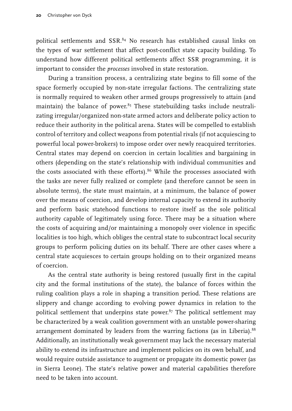political settlements and SSR.<sup>84</sup> No research has established causal links on the types of war settlement that affect post-conflict state capacity building. To understand how different political settlements affect SSR programming, it is important to consider the *processes* involved in state restoration.

During a transition process, a centralizing state begins to fill some of the space formerly occupied by non-state irregular factions. The centralizing state is normally required to weaken other armed groups progressively to attain (and maintain) the balance of power. $85$  These statebuilding tasks include neutralizating irregular/organized non-state armed actors and deliberate policy action to reduce their authority in the political arena. States will be compelled to establish control of territory and collect weapons from potential rivals (if not acquiescing to powerful local power-brokers) to impose order over newly reacquired territories. Central states may depend on coercion in certain localities and bargaining in others (depending on the state's relationship with individual communities and the costs associated with these efforts).<sup>86</sup> While the processes associated with the tasks are never fully realized or complete (and therefore cannot be seen in absolute terms), the state must maintain, at a minimum, the balance of power over the means of coercion, and develop internal capacity to extend its authority and perform basic statehood functions to restore itself as the sole political authority capable of legitimately using force. There may be a situation where the costs of acquiring and/or maintaining a monopoly over violence in specific localities is too high, which obliges the central state to subcontract local security groups to perform policing duties on its behalf. There are other cases where a central state acquiesces to certain groups holding on to their organized means of coercion.

As the central state authority is being restored (usually first in the capital city and the formal institutions of the state), the balance of forces within the ruling coalition plays a role in shaping a transition period. These relations are slippery and change according to evolving power dynamics in relation to the political settlement that underpins state power. $87$  The political settlement may be characterized by a weak coalition government with an unstable power-sharing arrangement dominated by leaders from the warring factions (as in Liberia).<sup>88</sup> Additionally, an institutionally weak government may lack the necessary material ability to extend its infrastructure and implement policies on its own behalf, and would require outside assistance to augment or propagate its domestic power (as in Sierra Leone). The state's relative power and material capabilities therefore need to be taken into account.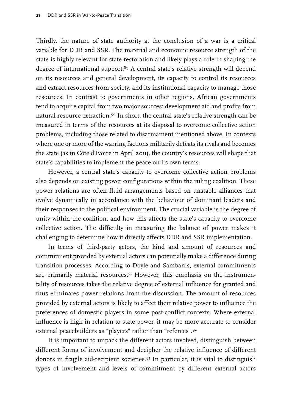Thirdly, the nature of state authority at the conclusion of a war is a critical variable for DDR and SSR. The material and economic resource strength of the state is highly relevant for state restoration and likely plays a role in shaping the degree of international support.<sup>89</sup> A central state's relative strength will depend on its resources and general development, its capacity to control its resources and extract resources from society, and its institutional capacity to manage those resources. In contrast to governments in other regions, African governments tend to acquire capital from two major sources: development aid and profits from natural resource extraction.<sup>90</sup> In short, the central state's relative strength can be measured in terms of the resources at its disposal to overcome collective action problems, including those related to disarmament mentioned above. In contexts where one or more of the warring factions militarily defeats its rivals and becomes the state (as in Côte d'Ivoire in April 2011), the country's resources will shape that state's capabilities to implement the peace on its own terms.

However, a central state's capacity to overcome collective action problems also depends on existing power configurations within the ruling coalition. These power relations are often fluid arrangements based on unstable alliances that evolve dynamically in accordance with the behaviour of dominant leaders and their responses to the political environment. The crucial variable is the degree of unity within the coalition, and how this affects the state's capacity to overcome collective action. The difficulty in measuring the balance of power makes it challenging to determine how it directly affects DDR and SSR implementation.

In terms of third-party actors, the kind and amount of resources and commitment provided by external actors can potentially make a difference during transition processes. According to Doyle and Sambanis, external commitments are primarily material resources. $91$  However, this emphasis on the instrumentality of resources takes the relative degree of external influence for granted and thus eliminates power relations from the discussion. The amount of resources provided by external actors is likely to affect their relative power to influence the preferences of domestic players in some post-conflict contexts. Where external influence is high in relation to state power, it may be more accurate to consider external peacebuilders as "players" rather than "referees".92

It is important to unpack the different actors involved, distinguish between different forms of involvement and decipher the relative influence of different donors in fragile aid-recipient societies.93 In particular, it is vital to distinguish types of involvement and levels of commitment by different external actors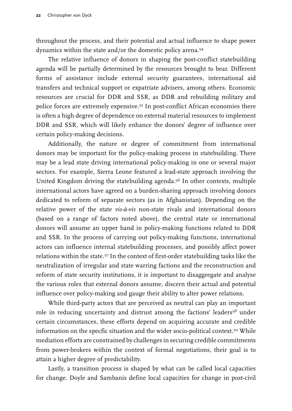throughout the process, and their potential and actual influence to shape power dynamics within the state and/or the domestic policy arena.<sup>94</sup>

The relative influence of donors in shaping the post-conflict statebuilding agenda will be partially determined by the resources brought to bear. Different forms of assistance include external security guarantees, international aid transfers and technical support or expatriate advisers, among others. Economic resources are crucial for DDR and SSR, as DDR and rebuilding military and police forces are extremely expensive.95 In post-conflict African economies there is often a high degree of dependence on external material resources to implement DDR and SSR, which will likely enhance the donors' degree of influence over certain policy-making decisions.

Additionally, the nature or degree of commitment from international donors may be important for the policy-making process in statebuilding. There may be a lead state driving international policy-making in one or several major sectors. For example, Sierra Leone featured a lead-state approach involving the United Kingdom driving the statebuilding agenda.96 In other contexts, multiple international actors have agreed on a burden-sharing approach involving donors dedicated to reform of separate sectors (as in Afghanistan). Depending on the relative power of the state *vis-à-vis* non-state rivals and international donors (based on a range of factors noted above), the central state or international donors will assume an upper hand in policy-making functions related to DDR and SSR. In the process of carrying out policy-making functions, international actors can influence internal statebuilding processes, and possibly affect power relations within the state.97 In the context of first-order statebuilding tasks like the neutralization of irregular and state warring factions and the reconstruction and reform of state security institutions, it is important to disaggregate and analyse the various roles that external donors assume, discern their actual and potential influence over policy-making and gauge their ability to alter power relations.

While third-party actors that are perceived as neutral can play an important role in reducing uncertainty and distrust among the factions' leaders<sup>98</sup> under certain circumstances, these efforts depend on acquiring accurate and credible information on the specfic situation and the wider socio-political context.99 While mediation efforts are constrained by challenges in securing credible commitments from power-brokers within the context of formal negotiations, their goal is to attain a higher degree of predictability.

Lastly, a transition process is shaped by what can be called local capacities for change. Doyle and Sambanis define local capacities for change in post-civil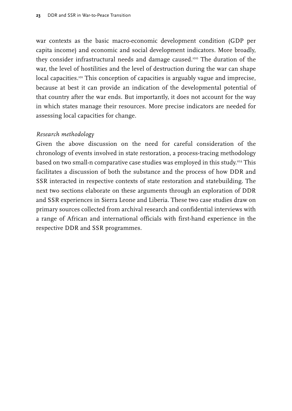war contexts as the basic macro-economic development condition (GDP per capita income) and economic and social development indicators. More broadly, they consider infrastructural needs and damage caused.<sup>100</sup> The duration of the war, the level of hostilities and the level of destruction during the war can shape local capacities.<sup>101</sup> This conception of capacities is arguably vague and imprecise, because at best it can provide an indication of the developmental potential of that country after the war ends. But importantly, it does not account for the way in which states manage their resources. More precise indicators are needed for assessing local capacities for change.

#### *Research methodology*

Given the above discussion on the need for careful consideration of the chronology of events involved in state restoration, a process-tracing methodology based on two small-n comparative case studies was employed in this study.<sup>102</sup> This facilitates a discussion of both the substance and the process of how DDR and SSR interacted in respective contexts of state restoration and statebuilding. The next two sections elaborate on these arguments through an exploration of DDR and SSR experiences in Sierra Leone and Liberia. These two case studies draw on primary sources collected from archival research and confidential interviews with a range of African and international officials with first-hand experience in the respective DDR and SSR programmes.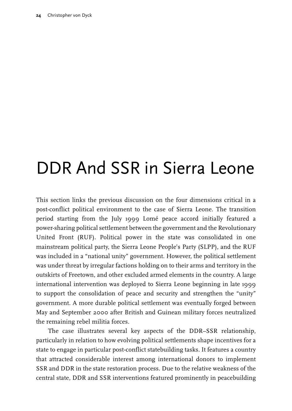# <span id="page-25-0"></span>DDR And SSR in Sierra Leone

This section links the previous discussion on the four dimensions critical in a post-conflict political environment to the case of Sierra Leone. The transition period starting from the July 1999 Lomé peace accord initially featured a power-sharing political settlement between the government and the Revolutionary United Front (RUF). Political power in the state was consolidated in one mainstream political party, the Sierra Leone People's Party (SLPP), and the RUF was included in a "national unity" government. However, the political settlement was under threat by irregular factions holding on to their arms and territory in the outskirts of Freetown, and other excluded armed elements in the country. A large international intervention was deployed to Sierra Leone beginning in late 1999 to support the consolidation of peace and security and strengthen the "unity" government. A more durable political settlement was eventually forged between May and September 2000 after British and Guinean military forces neutralized the remaining rebel militia forces.

The case illustrates several key aspects of the DDR–SSR relationship, particularly in relation to how evolving political settlements shape incentives for a state to engage in particular post-conflict statebuilding tasks. It features a country that attracted considerable interest among international donors to implement SSR and DDR in the state restoration process. Due to the relative weakness of the central state, DDR and SSR interventions featured prominently in peacebuilding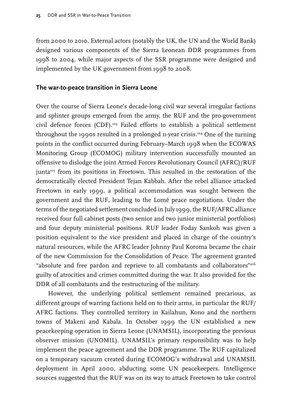<span id="page-26-0"></span>from 2000 to 2010. External actors (notably the UK, the UN and the World Bank) designed various components of the Sierra Leonean DDR programmes from 1998 to 2004, while major aspects of the SSR programme were designed and implemented by the UK government from 1998 to 2008.

#### **The war-to-peace transition in Sierra Leone**

Over the course of Sierra Leone's decade-long civil war several irregular factions and splinter groups emerged from the army, the RUF and the pro-government civil defence forces (CDF).103 Failed efforts to establish a political settlement throughout the 1990s resulted in a prolonged 11-year crisis.104 One of the turning points in the conflict occurred during February–March 1998 when the ECOWAS Monitoring Group (ECOMOG) military intervention successfully mounted an offensive to dislodge the joint Armed Forces Revolutionary Council (AFRC)/RUF junta<sup>105</sup> from its positions in Freetown. This resulted in the restoration of the democratically elected President Tejan Kabbah. After the rebel alliance attacked Freetown in early 1999, a political accommodation was sought between the government and the RUF, leading to the Lomé peace negotiations. Under the terms of the negotiated settlement concluded in July 1999, the RUF/AFRC alliance received four full cabinet posts (two senior and two junior ministerial portfolios) and four deputy ministerial positions. RUF leader Foday Sankoh was given a position equivalent to the vice president and placed in charge of the country's natural resources, while the AFRC leader Johnny Paul Koroma became the chair of the new Commission for the Consolidation of Peace. The agreement granted "absolute and free pardon and reprieve to all combatants and collaborators"<sup>106</sup> guilty of atrocities and crimes committed during the war. It also provided for the DDR of all combatants and the restructuring of the military.

However, the underlying political settlement remained precarious, as different groups of warring factions held on to their arms, in particular the RUF/ AFRC factions. They controlled territory in Kailahun, Kono and the northern towns of Makeni and Kabala. In October 1999 the UN established a new peacekeeping operation in Sierra Leone (UNAMSIL), incorporating the previous observer mission (UNOMIL). UNAMSIL's primary responsibility was to help implement the peace agreement and the DDR programme. The RUF capitalized on a temporary vacuum created during ECOMOG's withdrawal and UNAMSIL deployment in April 2000, abducting some UN peacekeepers. Intelligence sources suggested that the RUF was on its way to attack Freetown to take control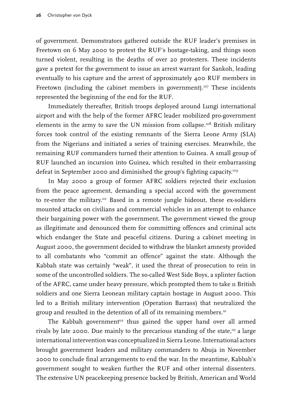of government. Demonstrators gathered outside the RUF leader's premises in Freetown on 6 May 2000 to protest the RUF's hostage-taking, and things soon turned violent, resulting in the deaths of over 20 protesters. These incidents gave a pretext for the government to issue an arrest warrant for Sankoh, leading eventually to his capture and the arrest of approximately 400 RUF members in Freetown (including the cabinet members in government).<sup>107</sup> These incidents represented the beginning of the end for the RUF.

Immediately thereafter, British troops deployed around Lungi international airport and with the help of the former AFRC leader mobilized pro-government elements in the army to save the UN mission from collapse.<sup>108</sup> British military forces took control of the existing remnants of the Sierra Leone Army (SLA) from the Nigerians and initiated a series of training exercises. Meanwhile, the remaining RUF commanders turned their attention to Guinea. A small group of RUF launched an incursion into Guinea, which resulted in their embarrassing defeat in September 2000 and diminished the group's fighting capacity.<sup>109</sup>

In May 2000 a group of former AFRC soldiers rejected their exclusion from the peace agreement, demanding a special accord with the government to re-enter the military.<sup>110</sup> Based in a remote jungle hideout, these ex-soldiers mounted attacks on civilians and commercial vehicles in an attempt to enhance their bargaining power with the government. The government viewed the group as illegitimate and denounced them for committing offences and criminal acts which endanger the State and peaceful citizens. During a cabinet meeting in August 2000, the government decided to withdraw the blanket amnesty provided to all combatants who "commit an offence" against the state. Although the Kabbah state was certainly "weak", it used the threat of prosecution to rein in some of the uncontrolled soldiers. The so-called West Side Boys, a splinter faction of the AFRC, came under heavy pressure, which prompted them to take 11 British soldiers and one Sierra Leonean military captain hostage in August 2000. This led to a British military intervention (Operation Barrass) that neutralized the group and resulted in the detention of all of its remaining members.<sup>111</sup>

The Kabbah government<sup>12</sup> thus gained the upper hand over all armed rivals by late 2000. Due mainly to the precarious standing of the state, $\frac{113}{12}$  a large international intervention was conceptualized in Sierra Leone. International actors brought government leaders and military commanders to Abuja in November 2000 to conclude final arrangements to end the war. In the meantime, Kabbah's government sought to weaken further the RUF and other internal dissenters. The extensive UN peacekeeping presence backed by British, American and World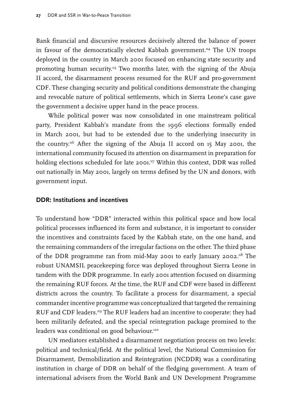<span id="page-28-0"></span>Bank financial and discursive resources decisively altered the balance of power in favour of the democratically elected Kabbah government.<sup>114</sup> The UN troops deployed in the country in March 2001 focused on enhancing state security and promoting human security.115 Two months later, with the signing of the Abuja II accord, the disarmament process resumed for the RUF and pro-government CDF. These changing security and political conditions demonstrate the changing and revocable nature of political settlements, which in Sierra Leone's case gave the government a decisive upper hand in the peace process.

While political power was now consolidated in one mainstream political party, President Kabbah's mandate from the 1996 elections formally ended in March 2001, but had to be extended due to the underlying insecurity in the country.116 After the signing of the Abuja II accord on 15 May 2001, the international community focused its attention on disarmament in preparation for holding elections scheduled for late 2001.<sup>117</sup> Within this context, DDR was rolled out nationally in May 2001, largely on terms defined by the UN and donors, with government input.

#### **DDR: Institutions and incentives**

To understand how "DDR" interacted within this political space and how local political processes influenced its form and substance, it is important to consider the incentives and constraints faced by the Kabbah state, on the one hand, and the remaining commanders of the irregular factions on the other. The third phase of the DDR programme ran from mid-May 2001 to early January 2002.118 The robust UNAMSIL peacekeeping force was deployed throughout Sierra Leone in tandem with the DDR programme. In early 2001 attention focused on disarming the remaining RUF forces. At the time, the RUF and CDF were based in different districts across the country. To facilitate a process for disarmament, a special commander incentive programme was conceptualized that targeted the remaining RUF and CDF leaders.119 The RUF leaders had an incentive to cooperate: they had been militarily defeated, and the special reintegration package promised to the leaders was conditional on good behaviour.120

UN mediators established a disarmament negotiation process on two levels: political and technical/field. At the political level, the National Commission for Disarmament, Demobilization and Reintegration (NCDDR) was a coordinating institution in charge of DDR on behalf of the fledging government. A team of international advisers from the World Bank and UN Development Programme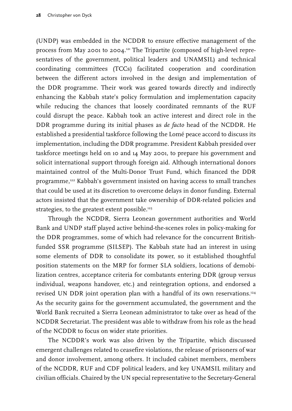(UNDP) was embedded in the NCDDR to ensure effective management of the process from May 2001 to 2004.<sup>121</sup> The Tripartite (composed of high-level representatives of the government, political leaders and UNAMSIL) and technical coordinating committees (TCCs) facilitated cooperation and coordination between the different actors involved in the design and implementation of the DDR programme. Their work was geared towards directly and indirectly enhancing the Kabbah state's policy formulation and implementation capacity while reducing the chances that loosely coordinated remnants of the RUF could disrupt the peace. Kabbah took an active interest and direct role in the DDR programme during its initial phases as *de facto* head of the NCDDR. He established a presidential taskforce following the Lomé peace accord to discuss its implementation, including the DDR programme. President Kabbah presided over taskforce meetings held on 10 and 14 May 2001, to prepare his government and solicit international support through foreign aid. Although international donors maintained control of the Multi-Donor Trust Fund, which financed the DDR programme,<sup>122</sup> Kabbah's government insisted on having access to small tranches that could be used at its discretion to overcome delays in donor funding. External actors insisted that the government take ownership of DDR-related policies and strategies, to the greatest extent possible.<sup>123</sup>

Through the NCDDR, Sierra Leonean government authorities and World Bank and UNDP staff played active behind-the-scenes roles in policy-making for the DDR programmes, some of which had relevance for the concurrent Britishfunded SSR programme (SILSEP). The Kabbah state had an interest in using some elements of DDR to consolidate its power, so it established thoughtful position statements on the MRP for former SLA soldiers, locations of demobilization centres, acceptance criteria for combatants entering DDR (group versus individual, weapons handover, etc.) and reintegration options, and endorsed a revised UN DDR joint operation plan with a handful of its own reservations.<sup>124</sup> As the security gains for the government accumulated, the government and the World Bank recruited a Sierra Leonean administrator to take over as head of the NCDDR Secretariat. The president was able to withdraw from his role as the head of the NCDDR to focus on wider state priorities.

The NCDDR's work was also driven by the Tripartite, which discussed emergent challenges related to ceasefire violations, the release of prisoners of war and donor involvement, among others. It included cabinet members, members of the NCDDR, RUF and CDF political leaders, and key UNAMSIL military and civilian officials. Chaired by the UN special representative to the Secretary-General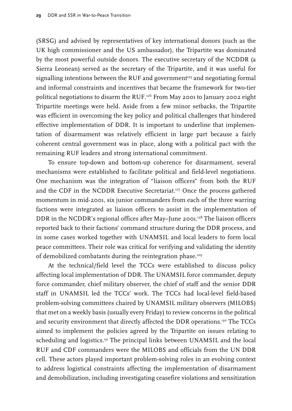(SRSG) and advised by representatives of key international donors (such as the UK high commissioner and the US ambassador), the Tripartite was dominated by the most powerful outside donors. The executive secretary of the NCDDR (a Sierra Leonean) served as the secretary of the Tripartite, and it was useful for signalling intentions between the RUF and government<sup>125</sup> and negotiating formal and informal constraints and incentives that became the framework for two-tier political negotiations to disarm the RUF.126 From May 2001 to January 2002 eight Tripartite meetings were held. Aside from a few minor setbacks, the Tripartite was efficient in overcoming the key policy and political challenges that hindered effective implementation of DDR. It is important to underline that implementation of disarmament was relatively efficient in large part because a fairly coherent central government was in place, along with a political pact with the remaining RUF leaders and strong international commitment.

To ensure top-down and bottom-up coherence for disarmament, several mechanisms were established to facilitate political and field-level negotiations. One mechanism was the integration of "liaison officers" from both the RUF and the CDF in the NCDDR Executive Secretariat.<sup>127</sup> Once the process gathered momentum in mid-2001, six junior commanders from each of the three warring factions were integrated as liaison officers to assist in the implementation of DDR in the NCDDR's regional offices after May-June 2001.<sup>128</sup> The liaison officers reported back to their factions' command structure during the DDR process, and in some cases worked together with UNAMSIL and local leaders to form local peace committees. Their role was critical for verifying and validating the identity of demobilized combatants during the reintegration phase.129

At the technical/field level the TCCs were established to discuss policy affecting local implementation of DDR. The UNAMSIL force commander, deputy force commander, chief military observer, the chief of staff and the senior DDR staff in UNAMSIL led the TCCs' work. The TCCs had local-level field-based problem-solving committees chaired by UNAMSIL military observers (MILOBS) that met on a weekly basis (usually every Friday) to review concerns in the political and security environment that directly affected the DDR operations.<sup>130</sup> The TCCs aimed to implement the policies agreed by the Tripartite on issues relating to scheduling and logistics.<sup>131</sup> The principal links between UNAMSIL and the local RUF and CDF commanders were the MILOBS and officials from the UN DDR cell. These actors played important problem-solving roles in an evolving context to address logistical constraints affecting the implementation of disarmament and demobilization, including investigating ceasefire violations and sensitization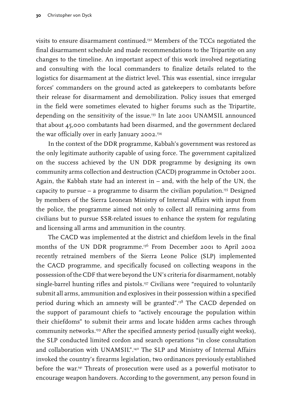visits to ensure disarmament continued.132 Members of the TCCs negotiated the final disarmament schedule and made recommendations to the Tripartite on any changes to the timeline. An important aspect of this work involved negotiating and consulting with the local commanders to finalize details related to the logistics for disarmament at the district level. This was essential, since irregular forces' commanders on the ground acted as gatekeepers to combatants before their release for disarmament and demobilization. Policy issues that emerged in the field were sometimes elevated to higher forums such as the Tripartite, depending on the sensitivity of the issue.133 In late 2001 UNAMSIL announced that about 45,000 combatants had been disarmed, and the government declared the war officially over in early January 2002.<sup>134</sup>

In the context of the DDR programme, Kabbah's government was restored as the only legitimate authority capable of using force. The government capitalized on the success achieved by the UN DDR programme by designing its own community arms collection and destruction (CACD) programme in October 2001. Again, the Kabbah state had an interest in – and, with the help of the UN, the capacity to pursue – a programme to disarm the civilian population.<sup>135</sup> Designed by members of the Sierra Leonean Ministry of Internal Affairs with input from the police, the programme aimed not only to collect all remaining arms from civilians but to pursue SSR-related issues to enhance the system for regulating and licensing all arms and ammunition in the country.

The CACD was implemented at the district and chiefdom levels in the final months of the UN DDR programme.<sup>136</sup> From December 2001 to April 2002 recently retrained members of the Sierra Leone Police (SLP) implemented the CACD programme, and specifically focused on collecting weapons in the possession of the CDF that were beyond the UN's criteria for disarmament, notably single-barrel hunting rifles and pistols.<sup>137</sup> Civilians were "required to voluntarily submit all arms, ammunition and explosives in their possession within a specified period during which an amnesty will be granted".138 The CACD depended on the support of paramount chiefs to "actively encourage the population within their chiefdoms" to submit their arms and locate hidden arms caches through community networks.139 After the specified amnesty period (usually eight weeks), the SLP conducted limited cordon and search operations "in close consultation and collaboration with UNAMSIL".<sup>140</sup> The SLP and Ministry of Internal Affairs invoked the country's firearms legislation, two ordinances previously established before the war.<sup>141</sup> Threats of prosecution were used as a powerful motivator to encourage weapon handovers. According to the government, any person found in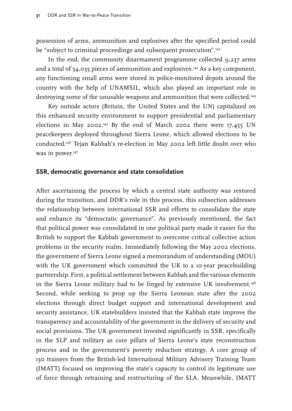<span id="page-32-0"></span>possession of arms, ammunition and explosives after the specified period could be "subject to criminal proceedings and subsequent prosecution".<sup>142</sup>

In the end, the community disarmament programme collected 9,237 arms and a total of 34,035 pieces of ammunition and explosives.143 As a key component, any functioning small arms were stored in police-monitored depots around the country with the help of UNAMSIL, which also played an important role in destroying some of the unusable weapons and ammunition that were collected.144

Key outside actors (Britain, the United States and the UN) capitalized on this enhanced security environment to support presidential and parliamentary elections in May 2002.<sup>145</sup> By the end of March 2002 there were  $17,455$  UN peacekeepers deployed throughout Sierra Leone, which allowed elections to be conducted.146 Tejan Kabbah's re-election in May 2002 left little doubt over who was in power.<sup>147</sup>

#### **SSR, democratic governance and state consolidation**

After ascertaining the process by which a central state authority was restored during the transition, and DDR's role in this process, this subsection addresses the relationship between international SSR and efforts to consolidate the state and enhance its "democratic governance". As previously mentioned, the fact that political power was consolidated in one political party made it easier for the British to support the Kabbah government to overcome critical collective action problems in the security realm. Immediately following the May 2002 elections, the government of Sierra Leone signed a memorandum of understanding (MOU) with the UK government which committed the UK to a 10-year peacebuilding partnership. First, a political settlement between Kabbah and the various elements in the Sierra Leone military had to be forged by extensive UK involvement.<sup>148</sup> Second, while seeking to prop up the Sierra Leonean state after the 2002 elections through direct budget support and international development and security assistance, UK statebuilders insisted that the Kabbah state improve the transparency and accountability of the government in the delivery of security and social provisions. The UK government invested significantly in SSR, specifically in the SLP and military as core pillars of Sierra Leone's state reconstruction process and in the government's poverty reduction strategy. A core group of 150 trainers from the British-led International Military Advisory Training Team (IMATT) focused on improving the state's capacity to control its legitimate use of force through retraining and restructuring of the SLA. Meanwhile, IMATT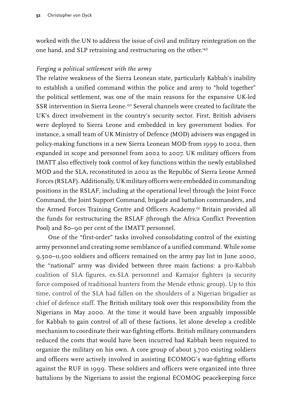worked with the UN to address the issue of civil and military reintegration on the one hand, and SLP retraining and restructuring on the other.<sup>149</sup>

#### *Forging a political settlement with the army*

The relative weakness of the Sierra Leonean state, particularly Kabbah's inability to establish a unified command within the police and army to "hold together" the political settlement, was one of the main reasons for the expansive UK-led SSR intervention in Sierra Leone.150 Several channels were created to facilitate the UK's direct involvement in the country's security sector. First, British advisers were deployed to Sierra Leone and embedded in key government bodies. For instance, a small team of UK Ministry of Defence (MOD) advisers was engaged in policy-making functions in a new Sierra Leonean MOD from 1999 to 2002, then expanded in scope and personnel from 2002 to 2007. UK military officers from IMATT also effectively took control of key functions within the newly established MOD and the SLA, reconstituted in 2002 as the Republic of Sierra Leone Armed Forces (RSLAF). Additionally, UK military officers were embedded in commanding positions in the RSLAF, including at the operational level through the Joint Force Command, the Joint Support Command, brigade and battalion commanders, and the Armed Forces Training Centre and Officers Academy.151 Britain provided all the funds for restructuring the RSLAF (through the Africa Conflict Prevention Pool) and 80–90 per cent of the IMATT personnel.

One of the "first-order" tasks involved consolidating control of the existing army personnel and creating some semblance of a unified command. While some 9,500–11,500 soldiers and officers remained on the army pay list in June 2000, the "national" army was divided between three main factions: a pro-Kabbah coalition of SLA figures, ex-SLA personnel and Kamajor fighters (a security force composed of traditional hunters from the Mende ethnic group). Up to this time, control of the SLA had fallen on the shoulders of a Nigerian brigadier as chief of defence staff. The British military took over this responsibility from the Nigerians in May 2000. At the time it would have been arguably impossible for Kabbah to gain control of all of these factions, let alone develop a credible mechanism to coordinate their war-fighting efforts. British military commanders reduced the costs that would have been incurred had Kabbah been required to organize the military on his own. A core group of about 3,700 existing soldiers and officers were actively involved in assisting ECOMOG's war-fighting efforts against the RUF in 1999. These soldiers and officers were organized into three battalions by the Nigerians to assist the regional ECOMOG peacekeeping force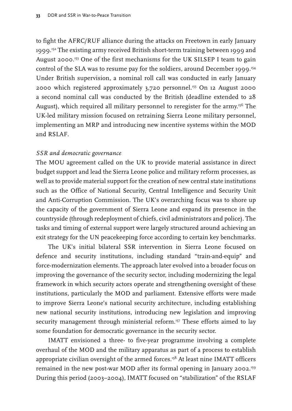to fight the AFRC/RUF alliance during the attacks on Freetown in early January 1999.<sup>152</sup> The existing army received British short-term training between 1999 and August 2000.153 One of the first mechanisms for the UK SILSEP I team to gain control of the SLA was to resume pay for the soldiers, around December 1999.<sup>154</sup> Under British supervision, a nominal roll call was conducted in early January 2000 which registered approximately 3,720 personnel.155 On 12 August 2000 a second nominal call was conducted by the British (deadline extended to 28 August), which required all military personnel to reregister for the army.<sup>156</sup> The UK-led military mission focused on retraining Sierra Leone military personnel, implementing an MRP and introducing new incentive systems within the MOD and RSLAF.

#### *SSR and democratic governance*

The MOU agreement called on the UK to provide material assistance in direct budget support and lead the Sierra Leone police and military reform processes, as well as to provide material support for the creation of new central state institutions such as the Office of National Security, Central Intelligence and Security Unit and Anti-Corruption Commission. The UK's overarching focus was to shore up the capacity of the government of Sierra Leone and expand its presence in the countryside (through redeployment of chiefs, civil administrators and police). The tasks and timing of external support were largely structured around achieving an exit strategy for the UN peacekeeping force according to certain key benchmarks.

The UK's initial bilateral SSR intervention in Sierra Leone focused on defence and security institutions, including standard "train-and-equip" and force-modernization elements. The approach later evolved into a broader focus on improving the governance of the security sector, including modernizing the legal framework in which security actors operate and strengthening oversight of these institutions, particularly the MOD and parliament. Extensive efforts were made to improve Sierra Leone's national security architecture, including establishing new national security institutions, introducing new legislation and improving security management through ministerial reform.<sup>157</sup> These efforts aimed to lay some foundation for democratic governance in the security sector.

IMATT envisioned a three- to five-year programme involving a complete overhaul of the MOD and the military apparatus as part of a process to establish appropriate civilian oversight of the armed forces.<sup>158</sup> At least nine IMATT officers remained in the new post-war MOD after its formal opening in January 2002.159 During this period (2003–2004), IMATT focused on "stabilization" of the RSLAF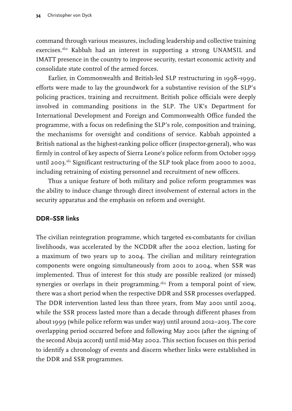<span id="page-35-0"></span>command through various measures, including leadership and collective training exercises.160 Kabbah had an interest in supporting a strong UNAMSIL and IMATT presence in the country to improve security, restart economic activity and consolidate state control of the armed forces.

Earlier, in Commonwealth and British-led SLP restructuring in 1998–1999, efforts were made to lay the groundwork for a substantive revision of the SLP's policing practices, training and recruitment. British police officials were deeply involved in commanding positions in the SLP. The UK's Department for International Development and Foreign and Commonwealth Office funded the programme, with a focus on redefining the SLP's role, composition and training, the mechanisms for oversight and conditions of service. Kabbah appointed a British national as the highest-ranking police officer (inspector-general), who was firmly in control of key aspects of Sierra Leone's police reform from October 1999 until 2003.<sup>161</sup> Significant restructuring of the SLP took place from 2000 to 2002, including retraining of existing personnel and recruitment of new officers.

Thus a unique feature of both military and police reform programmes was the ability to induce change through direct involvement of external actors in the security apparatus and the emphasis on reform and oversight.

#### **DDR–SSR links**

The civilian reintegration programme, which targeted ex-combatants for civilian livelihoods, was accelerated by the NCDDR after the 2002 election, lasting for a maximum of two years up to 2004. The civilian and military reintegration components were ongoing simultaneously from 2001 to 2004, when SSR was implemented. Thus of interest for this study are possible realized (or missed) synergies or overlaps in their programming.<sup>162</sup> From a temporal point of view, there was a short period when the respective DDR and SSR processes overlapped. The DDR intervention lasted less than three years, from May 2001 until 2004, while the SSR process lasted more than a decade through different phases from about 1999 (while police reform was under way) until around 2012–2013. The core overlapping period occurred before and following May 2001 (after the signing of the second Abuja accord) until mid-May 2002. This section focuses on this period to identify a chronology of events and discern whether links were established in the DDR and SSR programmes.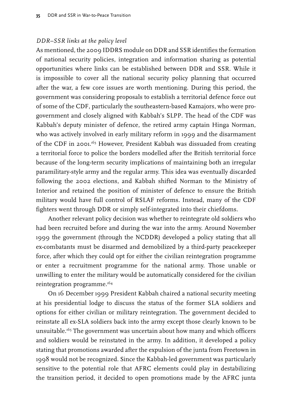## *DDR–SSR links at the policy level*

As mentioned, the 2009 IDDRS module on DDR and SSR identifies the formation of national security policies, integration and information sharing as potential opportunities where links can be established between DDR and SSR. While it is impossible to cover all the national security policy planning that occurred after the war, a few core issues are worth mentioning. During this period, the government was considering proposals to establish a territorial defence force out of some of the CDF, particularly the southeastern-based Kamajors, who were progovernment and closely aligned with Kabbah's SLPP. The head of the CDF was Kabbah's deputy minister of defence, the retired army captain Hinga Norman, who was actively involved in early military reform in 1999 and the disarmament of the CDF in 2001.163 However, President Kabbah was dissuaded from creating a territorial force to police the borders modelled after the British territorial force because of the long-term security implications of maintaining both an irregular paramilitary-style army and the regular army. This idea was eventually discarded following the 2002 elections, and Kabbah shifted Norman to the Ministry of Interior and retained the position of minister of defence to ensure the British military would have full control of RSLAF reforms. Instead, many of the CDF fighters went through DDR or simply self-integrated into their chiefdoms.

Another relevant policy decision was whether to reintegrate old soldiers who had been recruited before and during the war into the army. Around November 1999 the government (through the NCDDR) developed a policy stating that all ex-combatants must be disarmed and demobilized by a third-party peacekeeper force, after which they could opt for either the civilian reintegration programme or enter a recruitment programme for the national army. Those unable or unwilling to enter the military would be automatically considered for the civilian reintegration programme.164

On 16 December 1999 President Kabbah chaired a national security meeting at his presidential lodge to discuss the status of the former SLA soldiers and options for either civilian or military reintegration. The government decided to reinstate all ex-SLA soldiers back into the army except those clearly known to be unsuitable.165 The government was uncertain about how many and which officers and soldiers would be reinstated in the army. In addition, it developed a policy stating that promotions awarded after the expulsion of the junta from Freetown in 1998 would not be recognized. Since the Kabbah-led government was particularly sensitive to the potential role that AFRC elements could play in destabilizing the transition period, it decided to open promotions made by the AFRC junta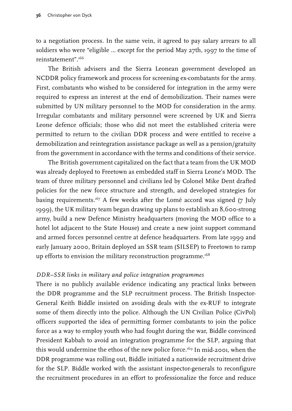to a negotiation process. In the same vein, it agreed to pay salary arrears to all soldiers who were "eligible … except for the period May 27th, 1997 to the time of reinstatement".166

The British advisers and the Sierra Leonean government developed an NCDDR policy framework and process for screening ex-combatants for the army. First, combatants who wished to be considered for integration in the army were required to express an interest at the end of demobilization. Their names were submitted by UN military personnel to the MOD for consideration in the army. Irregular combatants and military personnel were screened by UK and Sierra Leone defence officials; those who did not meet the established criteria were permitted to return to the civilian DDR process and were entitled to receive a demobilization and reintegration assistance package as well as a pension/gratuity from the government in accordance with the terms and conditions of their service.

The British government capitalized on the fact that a team from the UK MOD was already deployed to Freetown as embedded staff in Sierra Leone's MOD. The team of three military personnel and civilians led by Colonel Mike Dent drafted policies for the new force structure and strength, and developed strategies for basing requirements.<sup>167</sup> A few weeks after the Lomé accord was signed (7 July 1999), the UK military team began drawing up plans to establish an 8,600-strong army, build a new Defence Ministry headquarters (moving the MOD office to a hotel lot adjacent to the State House) and create a new joint support command and armed forces personnel centre at defence headquarters. From late 1999 and early January 2000, Britain deployed an SSR team (SILSEP) to Freetown to ramp up efforts to envision the military reconstruction programme.<sup>168</sup>

## *DDR–SSR links in military and police integration programmes*

There is no publicly available evidence indicating any practical links between the DDR programme and the SLP recruitment process. The British Inspector-General Keith Biddle insisted on avoiding deals with the ex-RUF to integrate some of them directly into the police. Although the UN Civilian Police (CivPol) officers supported the idea of permitting former combatants to join the police force as a way to employ youth who had fought during the war, Biddle convinced President Kabbah to avoid an integration programme for the SLP, arguing that this would undermine the ethos of the new police force.<sup>169</sup> In mid-2001, when the DDR programme was rolling out, Biddle initiated a nationwide recruitment drive for the SLP. Biddle worked with the assistant inspector-generals to reconfigure the recruitment procedures in an effort to professionalize the force and reduce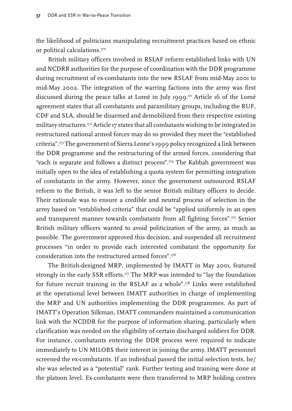the likelihood of politicians manipulating recruitment practices based on ethnic or political calculations.170

British military officers involved in RSLAF reform established links with UN and NCDRR authorities for the purpose of coordination with the DDR programme during recruitment of ex-combatants into the new RSLAF from mid-May 2001 to mid-May 2002. The integration of the warring factions into the army was first discussed during the peace talks at Lomé in July 1999.<sup>171</sup> Article 16 of the Lomé agreement states that all combatants and paramilitary groups, including the RUF, CDF and SLA, should be disarmed and demobilized from their respective existing military structures.172 Article 17 states that all combatants wishing to be integrated in restructured national armed forces may do so provided they meet the "established criteria".173 The government of Sierra Leone's 1999 policy recognized a link between the DDR programme and the restructuring of the armed forces, considering that "each is separate and follows a distinct process".174 The Kabbah government was initially open to the idea of establishing a quota system for permitting integration of combatants in the army. However, since the government outsourced RSLAF reform to the British, it was left to the senior British military officers to decide. Their rationale was to ensure a credible and neutral process of selection in the army based on "established criteria" that could be "applied uniformly in an open and transparent manner towards combatants from all fighting forces".175 Senior British military officers wanted to avoid politicization of the army, as much as possible. The government approved this decision, and suspended all recruitment processes "in order to provide each interested combatant the opportunity for consideration into the restructured armed forces".176

The British-designed MRP, implemented by IMATT in May 2001, featured strongly in the early SSR efforts.<sup>177</sup> The MRP was intended to "lay the foundation for future recruit training in the RSLAF as a whole".178 Links were established at the operational level between IMATT authorities in charge of implementing the MRP and UN authorities implementing the DDR programmes. As part of IMATT's Operation Silkman, IMATT commanders maintained a communication link with the NCDDR for the purpose of information sharing, particularly when clarification was needed on the eligibility of certain discharged soldiers for DDR. For instance, combatants entering the DDR process were required to indicate immediately to UN MILOBS their interest in joining the army. IMATT personnel screened the ex-combatants. If an individual passed the initial selection tests, he/ she was selected as a "potential" rank. Further testing and training were done at the platoon level. Ex-combatants were then transferred to MRP holding centres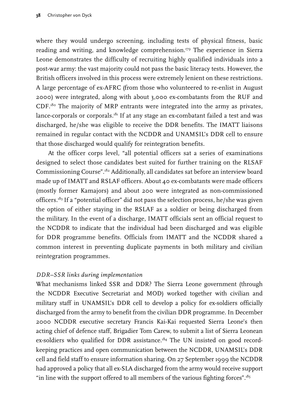where they would undergo screening, including tests of physical fitness, basic reading and writing, and knowledge comprehension.<sup>179</sup> The experience in Sierra Leone demonstrates the difficulty of recruiting highly qualified individuals into a post-war army: the vast majority could not pass the basic literacy tests. However, the British officers involved in this process were extremely lenient on these restrictions. A large percentage of ex-AFRC (from those who volunteered to re-enlist in August 2000) were integrated, along with about 3,000 ex-combatants from the RUF and  $CDF<sub>180</sub>$  The majority of MRP entrants were integrated into the army as privates, lance-corporals or corporals. $181$  If at any stage an ex-combatant failed a test and was discharged, he/she was eligible to receive the DDR benefits. The IMATT liaisons remained in regular contact with the NCDDR and UNAMSIL's DDR cell to ensure that those discharged would qualify for reintegration benefits.

At the officer corps level, "all potential officers sat a series of examinations designed to select those candidates best suited for further training on the RLSAF Commissioning Course".182 Additionally, all candidates sat before an interview board made up of IMATT and RSLAF officers. About 40 ex-combatants were made officers (mostly former Kamajors) and about 200 were integrated as non-commissioned officers.183 If a "potential officer" did not pass the selection process, he/she was given the option of either staying in the RSLAF as a soldier or being discharged from the military. In the event of a discharge, IMATT officials sent an official request to the NCDDR to indicate that the individual had been discharged and was eligible for DDR programme benefits. Officials from IMATT and the NCDDR shared a common interest in preventing duplicate payments in both military and civilian reintegration programmes.

## *DDR–SSR links during implementation*

What mechanisms linked SSR and DDR? The Sierra Leone government (through the NCDDR Executive Secretariat and MOD) worked together with civilian and military staff in UNAMSIL's DDR cell to develop a policy for ex-soldiers officially discharged from the army to benefit from the civilian DDR programme. In December 2000 NCDDR executive secretary Francis Kai-Kai requested Sierra Leone's then acting chief of defence staff, Brigadier Tom Carew, to submit a list of Sierra Leonean ex-soldiers who qualified for DDR assistance.<sup>184</sup> The UN insisted on good recordkeeping practices and open communication between the NCDDR, UNAMSIL's DDR cell and field staff to ensure information sharing. On 27 September 1999 the NCDDR had approved a policy that all ex-SLA discharged from the army would receive support "in line with the support offered to all members of the various fighting forces".<sup>185</sup>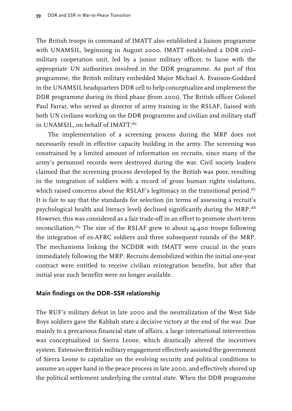The British troops in command of IMATT also established a liaison programme with UNAMSIL, beginning in August 2000. IMATT established a DDR civil– military cooperation unit, led by a junior military officer, to liaise with the appropriate UN authorities involved in the DDR programme. As part of this programme, the British military embedded Major Michael A. Evanson-Goddard in the UNAMSIL headquarters DDR cell to help conceptualize and implement the DDR programme during its third phase (from 2001). The British officer Colonel Paul Farrar, who served as director of army training in the RSLAF, liaised with both UN civilians working on the DDR programme and civilian and military staff in UNAMSIL, on behalf of IMATT.186

The implementation of a screening process during the MRP does not necessarily result in effective capacity building in the army. The screening was constrained by a limited amount of information on recruits, since many of the army's personnel records were destroyed during the war. Civil society leaders claimed that the screening process developed by the British was poor, resulting in the integration of soldiers with a record of gross human rights violations, which raised concerns about the RSLAF's legitimacy in the transitional period.<sup>187</sup> It is fair to say that the standards for selection (in terms of assessing a recruit's psychological health and literacy level) declined significantly during the MRP.188 However, this was considered as a fair trade-off in an effort to promote short-term reconciliation.<sup>89</sup> The size of the RSLAF grew to about  $14,400$  troops following the integration of ex-AFRC soldiers and three subsequent rounds of the MRP. The mechanisms linking the NCDDR with IMATT were crucial in the years immediately following the MRP. Recruits demobilized within the initial one-year contract were entitled to receive civilian reintegration benefits, but after that initial year such benefits were no longer available.

#### **Main findings on the DDR–SSR relationship**

The RUF's military defeat in late 2000 and the neutralization of the West Side Boys soldiers gave the Kabbah state a decisive victory at the end of the war. Due mainly to a precarious financial state of affairs, a large international intervention was conceptualized in Sierra Leone, which drastically altered the incentives system. Extensive British military engagement effectively assisted the government of Sierra Leone to capitalize on the evolving security and political conditions to assume an upper hand in the peace process in late 2000, and effectively shored up the political settlement underlying the central state. When the DDR programme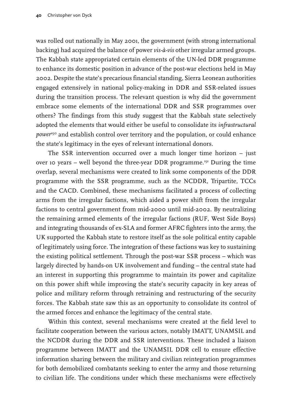was rolled out nationally in May 2001, the government (with strong international backing) had acquired the balance of power *vis-à-vis* other irregular armed groups. The Kabbah state appropriated certain elements of the UN-led DDR programme to enhance its domestic position in advance of the post-war elections held in May 2002. Despite the state's precarious financial standing, Sierra Leonean authorities engaged extensively in national policy-making in DDR and SSR-related issues during the transition process. The relevant question is why did the government embrace some elements of the international DDR and SSR programmes over others? The findings from this study suggest that the Kabbah state selectively adopted the elements that would either be useful to consolidate its *infrastructural power*<sup>190</sup> and establish control over territory and the population, or could enhance the state's legitimacy in the eyes of relevant international donors.

The SSR intervention occurred over a much longer time horizon – just over 10 years – well beyond the three-year DDR programme.191 During the time overlap, several mechanisms were created to link some components of the DDR programme with the SSR programme, such as the NCDDR, Tripartite, TCCs and the CACD. Combined, these mechanisms facilitated a process of collecting arms from the irregular factions, which aided a power shift from the irregular factions to central government from mid-2000 until mid-2002. By neutralizing the remaining armed elements of the irregular factions (RUF, West Side Boys) and integrating thousands of ex-SLA and former AFRC fighters into the army, the UK supported the Kabbah state to restore itself as the sole political entity capable of legitimately using force. The integration of these factions was key to sustaining the existing political settlement. Through the post-war SSR process – which was largely directed by hands-on UK involvement and funding – the central state had an interest in supporting this programme to maintain its power and capitalize on this power shift while improving the state's security capacity in key areas of police and military reform through retraining and restructuring of the security forces. The Kabbah state saw this as an opportunity to consolidate its control of the armed forces and enhance the legitimacy of the central state.

Within this context, several mechanisms were created at the field level to facilitate cooperation between the various actors, notably IMATT, UNAMSIL and the NCDDR during the DDR and SSR interventions. These included a liaison programme between IMATT and the UNAMSIL DDR cell to ensure effective information sharing between the military and civilian reintegration programmes for both demobilized combatants seeking to enter the army and those returning to civilian life. The conditions under which these mechanisms were effectively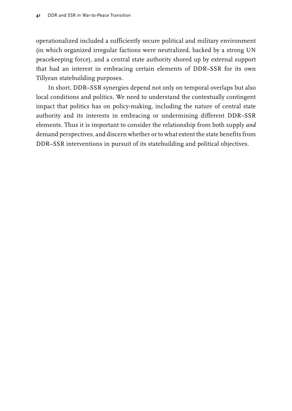operationalized included a sufficiently secure political and military environment (in which organized irregular factions were neutralized, backed by a strong UN peacekeeping force), and a central state authority shored up by external support that had an interest in embracing certain elements of DDR–SSR for its own Tillyean statebuilding purposes.

In short, DDR–SSR synergies depend not only on temporal overlaps but also local conditions and politics. We need to understand the contextually contingent impact that politics has on policy-making, including the nature of central state authority and its interests in embracing or undermining different DDR–SSR elements. Thus it is important to consider the relationship from both supply *and* demand perspectives, and discern whether or to what extent the state benefits from DDR–SSR interventions in pursuit of its statebuilding and political objectives.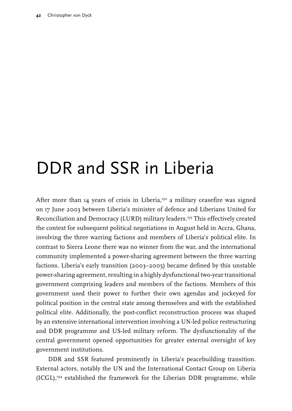# DDR and SSR in Liberia

After more than  $14$  years of crisis in Liberia,<sup>192</sup> a military ceasefire was signed on 17 June 2003 between Liberia's minister of defence and Liberians United for Reconciliation and Democracy (LURD) military leaders.193 This effectively created the context for subsequent political negotiations in August held in Accra, Ghana, involving the three warring factions and members of Liberia's political elite. In contrast to Sierra Leone there was no winner from the war, and the international community implemented a power-sharing agreement between the three warring factions. Liberia's early transition (2003–2005) became defined by this unstable power-sharing agreement, resulting in a highly dysfunctional two-year transitional government comprising leaders and members of the factions. Members of this government used their power to further their own agendas and jockeyed for political position in the central state among themselves and with the established political elite. Additionally, the post-conflict reconstruction process was shaped by an extensive international intervention involving a UN-led police restructuring and DDR programme and US-led military reform. The dysfunctionality of the central government opened opportunities for greater external oversight of key government institutions.

DDR and SSR featured prominently in Liberia's peacebuilding transition. External actors, notably the UN and the International Contact Group on Liberia  $(ICGL)^{194}$  established the framework for the Liberian DDR programme, while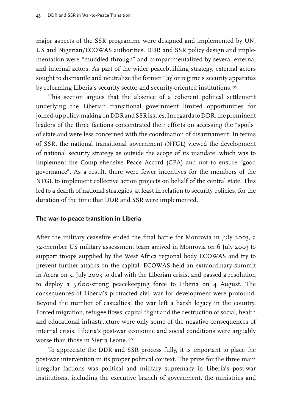major aspects of the SSR programme were designed and implemented by UN, US and Nigerian/ECOWAS authorities. DDR and SSR policy design and implementation were "muddled through" and compartmentalized by several external and internal actors. As part of the wider peacebuilding strategy, external actors sought to dismantle and neutralize the former Taylor regime's security apparatus by reforming Liberia's security sector and security-oriented institutions.<sup>195</sup>

This section argues that the absence of a coherent political settlement underlying the Liberian transitional government limited opportunities for joined-up policy-making on DDR and SSR issues. In regards to DDR, the prominent leaders of the three factions concentrated their efforts on accessing the "spoils" of state and were less concerned with the coordination of disarmament. In terms of SSR, the national transitional government (NTGL) viewed the development of national security strategy as outside the scope of its mandate, which was to implement the Comprehensive Peace Accord (CPA) and not to ensure "good governance". As a result, there were fewer incentives for the members of the NTGL to implement collective action projects on behalf of the central state. This led to a dearth of national strategies, at least in relation to security policies, for the duration of the time that DDR and SSR were implemented.

#### **The war-to-peace transition in Liberia**

After the military ceasefire ended the final battle for Monrovia in July 2003, a 32-member US military assessment team arrived in Monrovia on 6 July 2003 to support troops supplied by the West Africa regional body ECOWAS and try to prevent further attacks on the capital. ECOWAS held an extraordinary summit in Accra on 31 July 2003 to deal with the Liberian crisis, and passed a resolution to deploy a 3,600-strong peacekeeping force to Liberia on 4 August. The consequences of Liberia's protracted civil war for development were profound. Beyond the number of casualties, the war left a harsh legacy in the country. Forced migration, refugee flows, capital flight and the destruction of social, health and educational infrastructure were only some of the negative consequences of internal crisis. Liberia's post-war economic and social conditions were arguably worse than those in Sierra Leone.196

To appreciate the DDR and SSR process fully, it is important to place the post-war intervention in its proper political context. The prize for the three main irregular factions was political and military supremacy in Liberia's post-war institutions, including the executive branch of government, the ministries and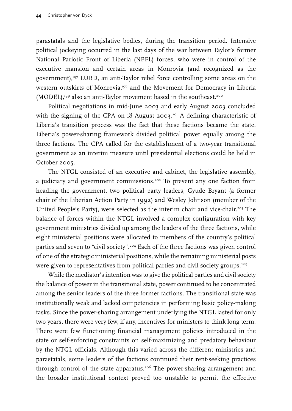parastatals and the legislative bodies, during the transition period. Intensive political jockeying occurred in the last days of the war between Taylor's former National Pariotic Front of Liberia (NPFL) forces, who were in control of the executive mansion and certain areas in Monrovia (and recognized as the government),<sup>197</sup> LURD, an anti-Taylor rebel force controlling some areas on the western outskirts of Monrovia,<sup>198</sup> and the Movement for Democracy in Liberia (MODEL),<sup>199</sup> also an anti-Taylor movement based in the southeast.<sup>200</sup>

Political negotiations in mid-June 2003 and early August 2003 concluded with the signing of the CPA on 18 August 2003.<sup>201</sup> A defining characteristic of Liberia's transition process was the fact that these factions became the state. Liberia's power-sharing framework divided political power equally among the three factions. The CPA called for the establishment of a two-year transitional government as an interim measure until presidential elections could be held in October 2005.

The NTGL consisted of an executive and cabinet, the legislative assembly, a judiciary and government commissions.<sup>202</sup> To prevent any one faction from heading the government, two political party leaders, Gyude Bryant (a former chair of the Liberian Action Party in 1992) and Wesley Johnson (member of the United People's Party), were selected as the interim chair and vice-chair.<sup>203</sup> The balance of forces within the NTGL involved a complex configuration with key government ministries divided up among the leaders of the three factions, while eight ministerial positions were allocated to members of the country's political parties and seven to "civil society".204 Each of the three factions was given control of one of the strategic ministerial positions, while the remaining ministerial posts were given to representatives from political parties and civil society groups.<sup>205</sup>

While the mediator's intention was to give the political parties and civil society the balance of power in the transitional state, power continued to be concentrated among the senior leaders of the three former factions. The transitional state was institutionally weak and lacked competencies in performing basic policy-making tasks. Since the power-sharing arrangement underlying the NTGL lasted for only two years, there were very few, if any, incentives for ministers to think long term. There were few functioning financial management policies introduced in the state or self-enforcing constraints on self-maximizing and predatory behaviour by the NTGL officials. Although this varied across the different ministries and parastatals, some leaders of the factions continued their rent-seeking practices through control of the state apparatus.<sup>206</sup> The power-sharing arrangement and the broader institutional context proved too unstable to permit the effective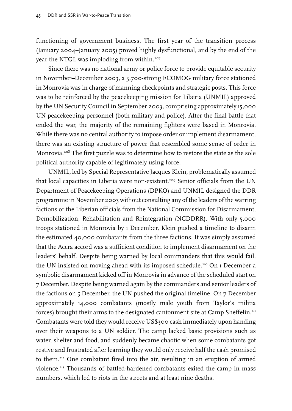functioning of government business. The first year of the transition process (January 2004–January 2005) proved highly dysfunctional, and by the end of the year the NTGL was imploding from within.<sup>207</sup>

Since there was no national army or police force to provide equitable security in November–December 2003, a 3,700-strong ECOMOG military force stationed in Monrovia was in charge of manning checkpoints and strategic posts. This force was to be reinforced by the peacekeeping mission for Liberia (UNMIL) approved by the UN Security Council in September 2003, comprising approximately 15,000 UN peacekeeping personnel (both military and police). After the final battle that ended the war, the majority of the remaining fighters were based in Monrovia. While there was no central authority to impose order or implement disarmament, there was an existing structure of power that resembled some sense of order in Monrovia.<sup>208</sup> The first puzzle was to determine how to restore the state as the sole political authority capable of legitimately using force.

UNMIL, led by Special Representative Jacques Klein, problematically assumed that local capacities in Liberia were non-existent.<sup>209</sup> Senior officials from the UN Department of Peacekeeping Operations (DPKO) and UNMIL designed the DDR programme in November 2003 without consulting any of the leaders of the warring factions or the Liberian officials from the National Commission for Disarmament, Demobilization, Rehabilitation and Reintegration (NCDDRR). With only 5,000 troops stationed in Monrovia by 1 December, Klein pushed a timeline to disarm the estimated 40,000 combatants from the three factions. It was simply assumed that the Accra accord was a sufficient condition to implement disarmament on the leaders' behalf. Despite being warned by local commanders that this would fail, the UN insisted on moving ahead with its imposed schedule.<sup>210</sup> On 1 December a symbolic disarmament kicked off in Monrovia in advance of the scheduled start on 7 December. Despite being warned again by the commanders and senior leaders of the factions on 5 December, the UN pushed the original timeline. On 7 December approximately 14,000 combatants (mostly male youth from Taylor's militia forces) brought their arms to the designated cantonment site at Camp Sheffelin.211 Combatants were told they would receive US\$300 cash immediately upon handing over their weapons to a UN soldier. The camp lacked basic provisions such as water, shelter and food, and suddenly became chaotic when some combatants got restive and frustrated after learning they would only receive half the cash promised to them.212 One combatant fired into the air, resulting in an eruption of armed violence.213 Thousands of battled-hardened combatants exited the camp in mass numbers, which led to riots in the streets and at least nine deaths.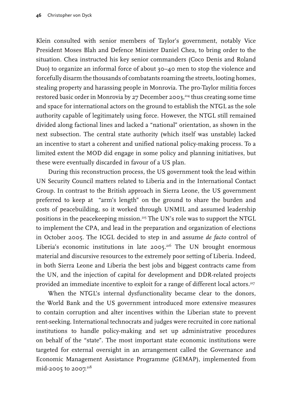Klein consulted with senior members of Taylor's government, notably Vice President Moses Blah and Defence Minister Daniel Chea, to bring order to the situation. Chea instructed his key senior commanders (Coco Denis and Roland Duo) to organize an informal force of about 30–40 men to stop the violence and forcefully disarm the thousands of combatants roaming the streets, looting homes, stealing property and harassing people in Monrovia. The pro-Taylor militia forces restored basic order in Monrovia by 27 December 2003,<sup>214</sup> thus creating some time and space for international actors on the ground to establish the NTGL as the sole authority capable of legitimately using force. However, the NTGL still remained divided along factional lines and lacked a "national" orientation, as shown in the next subsection. The central state authority (which itself was unstable) lacked an incentive to start a coherent and unified national policy-making process. To a limited extent the MOD did engage in some policy and planning initiatives, but these were eventually discarded in favour of a US plan.

During this reconstruction process, the US government took the lead within UN Security Council matters related to Liberia and in the International Contact Group. In contrast to the British approach in Sierra Leone, the US government preferred to keep at "arm's length" on the ground to share the burden and costs of peacebuilding, so it worked through UNMIL and assumed leadership positions in the peacekeeping mission.<sup>215</sup> The UN's role was to support the NTGL to implement the CPA, and lead in the preparation and organization of elections in October 2005. The ICGL decided to step in and assume *de facto* control of Liberia's economic institutions in late 2005.<sup>216</sup> The UN brought enormous material and discursive resources to the extremely poor setting of Liberia. Indeed, in both Sierra Leone and Liberia the best jobs and biggest contracts came from the UN, and the injection of capital for development and DDR-related projects provided an immediate incentive to exploit for a range of different local actors.<sup>217</sup>

When the NTGL's internal dysfunctionality became clear to the donors, the World Bank and the US government introduced more extensive measures to contain corruption and alter incentives within the Liberian state to prevent rent-seeking. International technocrats and judges were recruited in core national institutions to handle policy-making and set up administrative procedures on behalf of the "state". The most important state economic institutions were targeted for external oversight in an arrangement called the Governance and Economic Management Assistance Programme (GEMAP), implemented from mid-2005 to 2007.<sup>218</sup>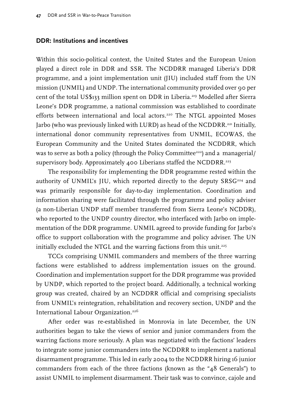### **DDR: Institutions and incentives**

Within this socio-political context, the United States and the European Union played a direct role in DDR and SSR. The NCDDRR managed Liberia's DDR programme, and a joint implementation unit (JIU) included staff from the UN mission (UNMIL) and UNDP. The international community provided over 90 per cent of the total US\$133 million spent on DDR in Liberia.219 Modelled after Sierra Leone's DDR programme, a national commission was established to coordinate efforts between international and local actors.<sup>220</sup> The NTGL appointed Moses Jarbo (who was previously linked with LURD) as head of the NCDDRR.221 Initially, international donor community representatives from UNMIL, ECOWAS, the European Community and the United States dominated the NCDDRR, which was to serve as both a policy (through the Policy Committee<sup>222</sup>) and a managerial/ supervisory body. Approximately 400 Liberians staffed the NCDDRR.<sup>223</sup>

The responsibility for implementing the DDR programme rested within the authority of UNMIL's JIU, which reported directly to the deputy SRSG<sup>224</sup> and was primarily responsible for day-to-day implementation. Coordination and information sharing were facilitated through the programme and policy adviser (a non-Liberian UNDP staff member transferred from Sierra Leone's NCDDR), who reported to the UNDP country director, who interfaced with Jarbo on implementation of the DDR programme. UNMIL agreed to provide funding for Jarbo's office to support collaboration with the programme and policy adviser. The UN initially excluded the NTGL and the warring factions from this unit.<sup>225</sup>

TCCs comprising UNMIL commanders and members of the three warring factions were established to address implementation issues on the ground. Coordination and implementation support for the DDR programme was provided by UNDP, which reported to the project board. Additionally, a technical working group was created, chaired by an NCDDRR official and comprising specialists from UNMIL's reintegration, rehabilitation and recovery section, UNDP and the International Labour Organization.<sup>226</sup>

After order was re-established in Monrovia in late December, the UN authorities began to take the views of senior and junior commanders from the warring factions more seriously. A plan was negotiated with the factions' leaders to integrate some junior commanders into the NCDDRR to implement a national disarmament programme. This led in early 2004 to the NCDDRR hiring 16 junior commanders from each of the three factions (known as the "48 Generals") to assist UNMIL to implement disarmament. Their task was to convince, cajole and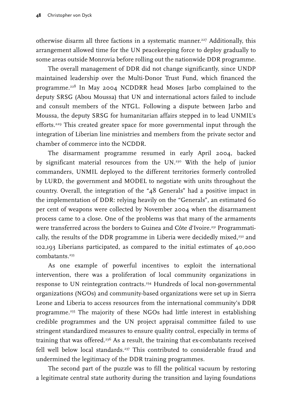otherwise disarm all three factions in a systematic manner.227 Additionally, this arrangement allowed time for the UN peacekeeping force to deploy gradually to some areas outside Monrovia before rolling out the nationwide DDR programme.

The overall management of DDR did not change significantly, since UNDP maintained leadership over the Multi-Donor Trust Fund, which financed the programme.228 In May 2004 NCDDRR head Moses Jarbo complained to the deputy SRSG (Abou Moussa) that UN and international actors failed to include and consult members of the NTGL. Following a dispute between Jarbo and Moussa, the deputy SRSG for humanitarian affairs stepped in to lead UNMIL's efforts.<sup>229</sup> This created greater space for more governmental input through the integration of Liberian line ministries and members from the private sector and chamber of commerce into the NCDDR.

The disarmament programme resumed in early April 2004, backed by significant material resources from the UN.<sup>230</sup> With the help of junior commanders, UNMIL deployed to the different territories formerly controlled by LURD, the government and MODEL to negotiate with units throughout the country. Overall, the integration of the "48 Generals" had a positive impact in the implementation of DDR: relying heavily on the "Generals", an estimated 60 per cent of weapons were collected by November 2004 when the disarmament process came to a close. One of the problems was that many of the armaments were transferred across the borders to Guinea and Côte d'Ivoire.<sup>231</sup> Programmatically, the results of the DDR programme in Liberia were decidedly mixed, $232$  and 102,193 Liberians participated, as compared to the initial estimates of 40,000 combatants.<sup>233</sup>

As one example of powerful incentives to exploit the international intervention, there was a proliferation of local community organizations in response to UN reintegration contracts.234 Hundreds of local non-governmental organizations (NGOs) and community-based organizations were set up in Sierra Leone and Liberia to access resources from the international community's DDR programme.235 The majority of these NGOs had little interest in establishing credible programmes and the UN project appraisal committee failed to use stringent standardized measures to ensure quality control, especially in terms of training that was offered.<sup>236</sup> As a result, the training that ex-combatants received fell well below local standards.<sup>237</sup> This contributed to considerable fraud and undermined the legitimacy of the DDR training programmes.

The second part of the puzzle was to fill the political vacuum by restoring a legitimate central state authority during the transition and laying foundations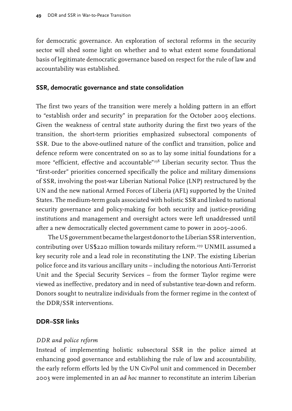for democratic governance. An exploration of sectoral reforms in the security sector will shed some light on whether and to what extent some foundational basis of legitimate democratic governance based on respect for the rule of law and accountability was established.

#### **SSR, democratic governance and state consolidation**

The first two years of the transition were merely a holding pattern in an effort to "establish order and security" in preparation for the October 2005 elections. Given the weakness of central state authority during the first two years of the transition, the short-term priorities emphasized subsectoral components of SSR. Due to the above-outlined nature of the conflict and transition, police and defence reform were concentrated on so as to lay some initial foundations for a more "efficient, effective and accountable"238 Liberian security sector. Thus the "first-order" priorities concerned specifically the police and military dimensions of SSR, involving the post-war Liberian National Police (LNP) restructured by the UN and the new national Armed Forces of Liberia (AFL) supported by the United States. The medium-term goals associated with holistic SSR and linked to national security governance and policy-making for both security and justice-providing institutions and management and oversight actors were left unaddressed until after a new democratically elected government came to power in 2005–2006.

The US government became the largest donor to the Liberian SSR intervention, contributing over US\$220 million towards military reform.<sup>239</sup> UNMIL assumed a key security role and a lead role in reconstituting the LNP. The existing Liberian police force and its various ancillary units – including the notorious Anti-Terrorist Unit and the Special Security Services – from the former Taylor regime were viewed as ineffective, predatory and in need of substantive tear-down and reform. Donors sought to neutralize individuals from the former regime in the context of the DDR/SSR interventions.

## **DDR–SSR links**

#### *DDR and police reform*

Instead of implementing holistic subsectoral SSR in the police aimed at enhancing good governance and establishing the rule of law and accountability, the early reform efforts led by the UN CivPol unit and commenced in December 2003 were implemented in an *ad hoc* manner to reconstitute an interim Liberian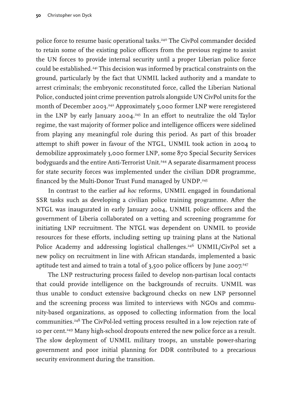police force to resume basic operational tasks.<sup>240</sup> The CivPol commander decided to retain some of the existing police officers from the previous regime to assist the UN forces to provide internal security until a proper Liberian police force could be established.241 This decision was informed by practical constraints on the ground, particularly by the fact that UNMIL lacked authority and a mandate to arrest criminals; the embryonic reconstituted force, called the Liberian National Police, conducted joint crime prevention patrols alongside UN CivPol units for the month of December 2003.<sup>242</sup> Approximately 5,000 former LNP were reregistered in the LNP by early January 2004.<sup>243</sup> In an effort to neutralize the old Taylor regime, the vast majority of former police and intelligence officers were sidelined from playing any meaningful role during this period. As part of this broader attempt to shift power in favour of the NTGL, UNMIL took action in 2004 to demobilize approximately 3,000 former LNP, some 870 Special Security Services bodyguards and the entire Anti-Terrorist Unit.<sup>244</sup> A separate disarmament process for state security forces was implemented under the civilian DDR programme, financed by the Multi-Donor Trust Fund managed by UNDP.<sup>245</sup>

In contrast to the earlier *ad hoc* reforms, UNMIL engaged in foundational SSR tasks such as developing a civilian police training programme. After the NTGL was inaugurated in early January 2004, UNMIL police officers and the government of Liberia collaborated on a vetting and screening programme for initiating LNP recruitment. The NTGL was dependent on UNMIL to provide resources for these efforts, including setting up training plans at the National Police Academy and addressing logistical challenges.<sup>246</sup> UNMIL/CivPol set a new policy on recruitment in line with African standards, implemented a basic aptitude test and aimed to train a total of  $3,500$  police officers by June 2007.<sup>247</sup>

The LNP restructuring process failed to develop non-partisan local contacts that could provide intelligence on the backgrounds of recruits. UNMIL was thus unable to conduct extensive background checks on new LNP personnel and the screening process was limited to interviews with NGOs and community-based organizations, as opposed to collecting information from the local communities.248 The CivPol-led vetting process resulted in a low rejection rate of 10 per cent.<sup>249</sup> Many high-school dropouts entered the new police force as a result. The slow deployment of UNMIL military troops, an unstable power-sharing government and poor initial planning for DDR contributed to a precarious security environment during the transition.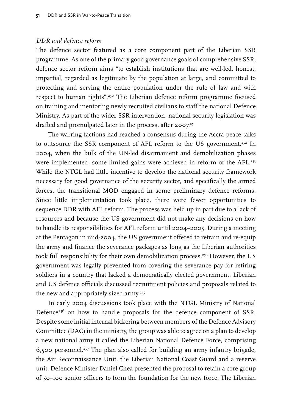## *DDR and defence reform*

The defence sector featured as a core component part of the Liberian SSR programme. As one of the primary good governance goals of comprehensive SSR, defence sector reform aims "to establish institutions that are well-led, honest, impartial, regarded as legitimate by the population at large, and committed to protecting and serving the entire population under the rule of law and with respect to human rights".250 The Liberian defence reform programme focused on training and mentoring newly recruited civilians to staff the national Defence Ministry. As part of the wider SSR intervention, national security legislation was drafted and promulgated later in the process, after 2007.<sup>251</sup>

The warring factions had reached a consensus during the Accra peace talks to outsource the SSR component of AFL reform to the US government.<sup>252</sup> In 2004, when the bulk of the UN-led disarmament and demobilization phases were implemented, some limited gains were achieved in reform of the AFL.<sup>253</sup> While the NTGL had little incentive to develop the national security framework necessary for good governance of the security sector, and specifically the armed forces, the transitional MOD engaged in some preliminary defence reforms. Since little implementation took place, there were fewer opportunities to sequence DDR with AFL reform. The process was held up in part due to a lack of resources and because the US government did not make any decisions on how to handle its responsibilities for AFL reform until 2004–2005. During a meeting at the Pentagon in mid-2004, the US government offered to retrain and re-equip the army and finance the severance packages as long as the Liberian authorities took full responsibility for their own demobilization process.<sup>254</sup> However, the US government was legally prevented from covering the severance pay for retiring soldiers in a country that lacked a democratically elected government. Liberian and US defence officials discussed recruitment policies and proposals related to the new and appropriately sized army.<sup>255</sup>

In early 2004 discussions took place with the NTGL Ministry of National Defence<sup>256</sup> on how to handle proposals for the defence component of SSR. Despite some initial internal bickering between members of the Defence Advisory Committee (DAC) in the ministry, the group was able to agree on a plan to develop a new national army it called the Liberian National Defence Force, comprising 6,500 personnel.257 The plan also called for building an army infantry brigade, the Air Reconnaissance Unit, the Liberian National Coast Guard and a reserve unit. Defence Minister Daniel Chea presented the proposal to retain a core group of 50–100 senior officers to form the foundation for the new force. The Liberian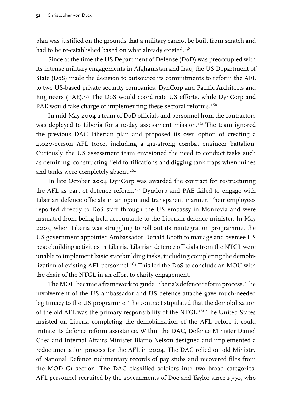plan was justified on the grounds that a military cannot be built from scratch and had to be re-established based on what already existed.<sup>258</sup>

Since at the time the US Department of Defense (DoD) was preoccupied with its intense military engagements in Afghanistan and Iraq, the US Department of State (DoS) made the decision to outsource its commitments to reform the AFL to two US-based private security companies, DynCorp and Pacific Architects and Engineers (PAE).<sup>259</sup> The DoS would coordinate US efforts, while DynCorp and PAE would take charge of implementing these sectoral reforms.<sup>260</sup>

In mid-May 2004 a team of DoD officials and personnel from the contractors was deployed to Liberia for a 10-day assessment mission.<sup>261</sup> The team ignored the previous DAC Liberian plan and proposed its own option of creating a 4,020-person AFL force, including a 412-strong combat engineer battalion. Curiously, the US assessment team envisioned the need to conduct tasks such as demining, constructing field fortifications and digging tank traps when mines and tanks were completely absent.<sup>262</sup>

In late October 2004 DynCorp was awarded the contract for restructuring the AFL as part of defence reform.<sup>263</sup> DynCorp and PAE failed to engage with Liberian defence officials in an open and transparent manner. Their employees reported directly to DoS staff through the US embassy in Monrovia and were insulated from being held accountable to the Liberian defence minister. In May 2005, when Liberia was struggling to roll out its reintegration programme, the US government appointed Ambassador Donald Booth to manage and oversee US peacebuilding activities in Liberia. Liberian defence officials from the NTGL were unable to implement basic statebuilding tasks, including completing the demobilization of existing AFL personnel.<sup>264</sup> This led the DoS to conclude an MOU with the chair of the NTGL in an effort to clarify engagement.

The MOU became a framework to guide Liberia's defence reform process. The involvement of the US ambassador and US defence attaché gave much-needed legitimacy to the US programme. The contract stipulated that the demobilization of the old AFL was the primary responsibility of the NTGL.<sup>265</sup> The United States insisted on Liberia completing the demobilization of the AFL before it could initiate its defence reform assistance. Within the DAC, Defence Minister Daniel Chea and Internal Affairs Minister Blamo Nelson designed and implemented a redocumentation process for the AFL in 2004. The DAC relied on old Ministry of National Defence rudimentary records of pay stubs and recovered files from the MOD G1 section. The DAC classified soldiers into two broad categories: AFL personnel recruited by the governments of Doe and Taylor since 1990, who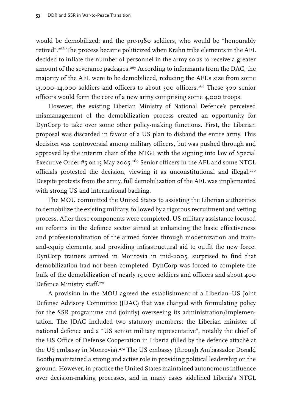would be demobilized; and the pre-1980 soldiers, who would be "honourably retired".266 The process became politicized when Krahn tribe elements in the AFL decided to inflate the number of personnel in the army so as to receive a greater amount of the severance packages.<sup>267</sup> According to informants from the DAC, the majority of the AFL were to be demobilized, reducing the AFL's size from some 13,000–14,000 soldiers and officers to about 300 officers.268 These 300 senior officers would form the core of a new army comprising some 4,000 troops.

However, the existing Liberian Ministry of National Defence's perceived mismanagement of the demobilization process created an opportunity for DynCorp to take over some other policy-making functions. First, the Liberian proposal was discarded in favour of a US plan to disband the entire army. This decision was controversial among military officers, but was pushed through and approved by the interim chair of the NTGL with the signing into law of Special Executive Order #5 on 15 May 2005.<sup>269</sup> Senior officers in the AFL and some NTGL officials protested the decision, viewing it as unconstitutional and illegal.<sup>270</sup> Despite protests from the army, full demobilization of the AFL was implemented with strong US and international backing.

The MOU committed the United States to assisting the Liberian authorities to demobilize the existing military, followed by a rigorous recruitment and vetting process. After these components were completed, US military assistance focused on reforms in the defence sector aimed at enhancing the basic effectiveness and professionalization of the armed forces through modernization and trainand-equip elements, and providing infrastructural aid to outfit the new force. DynCorp trainers arrived in Monrovia in mid-2005, surprised to find that demobilization had not been completed. DynCorp was forced to complete the bulk of the demobilization of nearly 13,000 soldiers and officers and about 400 Defence Ministry staff.271

A provision in the MOU agreed the establishment of a Liberian–US Joint Defense Advisory Committee (JDAC) that was charged with formulating policy for the SSR programme and (jointly) overseeing its administration/implementation. The JDAC included two statutory members: the Liberian minister of national defence and a "US senior military representative", notably the chief of the US Office of Defense Cooperation in Liberia (filled by the defence attaché at the US embassy in Monrovia).<sup>272</sup> The US embassy (through Ambassador Donald Booth) maintained a strong and active role in providing political leadership on the ground. However, in practice the United States maintained autonomous influence over decision-making processes, and in many cases sidelined Liberia's NTGL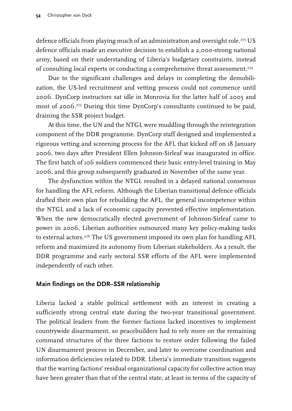defence officials from playing much of an administration and oversight role.<sup>273</sup> US defence officials made an executive decision to establish a 2,000-strong national army, based on their understanding of Liberia's budgetary constraints, instead of consulting local experts or conducting a comprehensive threat assessment.<sup>274</sup>

Due to the significant challenges and delays in completing the demobilization, the US-led recruitment and vetting process could not commence until 2006. DynCorp instructors sat idle in Monrovia for the latter half of 2005 and most of 2006.275 During this time DynCorp's consultants continued to be paid, draining the SSR project budget.

At this time, the UN and the NTGL were muddling through the reintegration component of the DDR programme. DynCorp staff designed and implemented a rigorous vetting and screening process for the AFL that kicked off on 18 January 2006, two days after President Ellen Johnson-Sirleaf was inaugurated in office. The first batch of 106 soldiers commenced their basic entry-level training in May 2006, and this group subsequently graduated in November of the same year.

The dysfunction within the NTGL resulted in a delayed national consensus for handling the AFL reform. Although the Liberian transitional defence officials drafted their own plan for rebuilding the AFL, the general incompetence within the NTGL and a lack of economic capacity prevented effective implementation. When the new democratically elected government of Johnson-Sirleaf came to power in 2006, Liberian authorities outsourced many key policy-making tasks to external actors.<sup>276</sup> The US government imposed its own plan for handling AFL reform and maximized its autonomy from Liberian stakeholders. As a result, the DDR programme and early sectoral SSR efforts of the AFL were implemented independently of each other.

# **Main findings on the DDR–SSR relationship**

Liberia lacked a stable political settlement with an interest in creating a sufficiently strong central state during the two-year transitional government. The political leaders from the former factions lacked incentives to implement countrywide disarmament, so peacebuilders had to rely more on the remaining command structures of the three factions to restore order following the failed UN disarmament process in December, and later to overcome coordination and information deficiencies related to DDR. Liberia's immediate transition suggests that the warring factions' residual organizational capacity for collective action may have been greater than that of the central state, at least in terms of the capacity of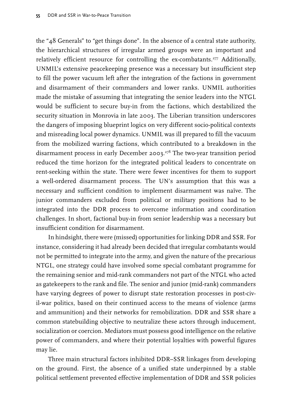the "48 Generals" to "get things done". In the absence of a central state authority, the hierarchical structures of irregular armed groups were an important and relatively efficient resource for controlling the ex-combatants.<sup>277</sup> Additionally, UNMIL's extensive peacekeeping presence was a necessary but insufficient step to fill the power vacuum left after the integration of the factions in government and disarmament of their commanders and lower ranks. UNMIL authorities made the mistake of assuming that integrating the senior leaders into the NTGL would be sufficient to secure buy-in from the factions, which destabilized the security situation in Monrovia in late 2003. The Liberian transition underscores the dangers of imposing blueprint logics on very different socio-political contexts and misreading local power dynamics. UNMIL was ill prepared to fill the vacuum from the mobilized warring factions, which contributed to a breakdown in the disarmament process in early December 2003.278 The two-year transition period reduced the time horizon for the integrated political leaders to concentrate on rent-seeking within the state. There were fewer incentives for them to support a well-ordered disarmament process. The UN's assumption that this was a necessary and sufficient condition to implement disarmament was naïve. The junior commanders excluded from political or military positions had to be integrated into the DDR process to overcome information and coordination challenges. In short, factional buy-in from senior leadership was a necessary but insufficient condition for disarmament.

In hindsight, there were (missed) opportunities for linking DDR and SSR. For instance, considering it had already been decided that irregular combatants would not be permitted to integrate into the army, and given the nature of the precarious NTGL, one strategy could have involved some special combatant programme for the remaining senior and mid-rank commanders not part of the NTGL who acted as gatekeepers to the rank and file. The senior and junior (mid-rank) commanders have varying degrees of power to disrupt state restoration processes in post-civil-war politics, based on their continued access to the means of violence (arms and ammunition) and their networks for remobilization. DDR and SSR share a common statebuilding objective to neutralize these actors through inducement, socialization or coercion. Mediators must possess good intelligence on the relative power of commanders, and where their potential loyalties with powerful figures may lie.

Three main structural factors inhibited DDR–SSR linkages from developing on the ground. First, the absence of a unified state underpinned by a stable political settlement prevented effective implementation of DDR and SSR policies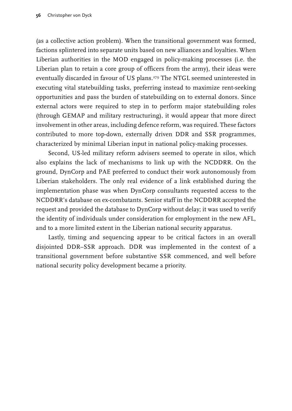(as a collective action problem). When the transitional government was formed, factions splintered into separate units based on new alliances and loyalties. When Liberian authorities in the MOD engaged in policy-making processes (i.e. the Liberian plan to retain a core group of officers from the army), their ideas were eventually discarded in favour of US plans.<sup>279</sup> The NTGL seemed uninterested in executing vital statebuilding tasks, preferring instead to maximize rent-seeking opportunities and pass the burden of statebuilding on to external donors. Since external actors were required to step in to perform major statebuilding roles (through GEMAP and military restructuring), it would appear that more direct involvement in other areas, including defence reform, was required. These factors contributed to more top-down, externally driven DDR and SSR programmes, characterized by minimal Liberian input in national policy-making processes.

Second, US-led military reform advisers seemed to operate in silos, which also explains the lack of mechanisms to link up with the NCDDRR. On the ground, DynCorp and PAE preferred to conduct their work autonomously from Liberian stakeholders. The only real evidence of a link established during the implementation phase was when DynCorp consultants requested access to the NCDDRR's database on ex-combatants. Senior staff in the NCDDRR accepted the request and provided the database to DynCorp without delay; it was used to verify the identity of individuals under consideration for employment in the new AFL, and to a more limited extent in the Liberian national security apparatus.

Lastly, timing and sequencing appear to be critical factors in an overall disjointed DDR–SSR approach. DDR was implemented in the context of a transitional government before substantive SSR commenced, and well before national security policy development became a priority.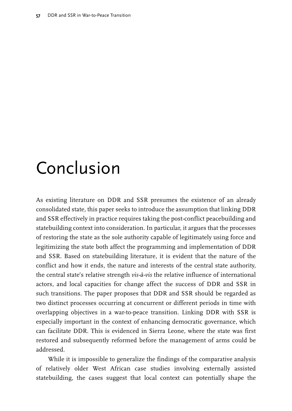# Conclusion

As existing literature on DDR and SSR presumes the existence of an already consolidated state, this paper seeks to introduce the assumption that linking DDR and SSR effectively in practice requires taking the post-conflict peacebuilding and statebuilding context into consideration. In particular, it argues that the processes of restoring the state as the sole authority capable of legitimately using force and legitimizing the state both affect the programming and implementation of DDR and SSR. Based on statebuilding literature, it is evident that the nature of the conflict and how it ends, the nature and interests of the central state authority, the central state's relative strength *vis-à-vis* the relative influence of international actors, and local capacities for change affect the success of DDR and SSR in such transitions. The paper proposes that DDR and SSR should be regarded as two distinct processes occurring at concurrent or different periods in time with overlapping objectives in a war-to-peace transition. Linking DDR with SSR is especially important in the context of enhancing democratic governance, which can facilitate DDR. This is evidenced in Sierra Leone, where the state was first restored and subsequently reformed before the management of arms could be addressed.

While it is impossible to generalize the findings of the comparative analysis of relatively older West African case studies involving externally assisted statebuilding, the cases suggest that local context can potentially shape the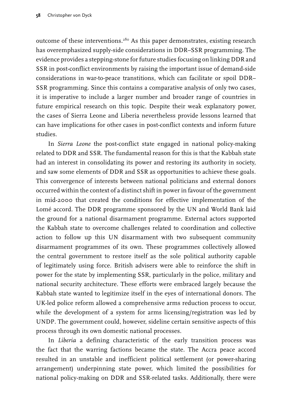outcome of these interventions.280 As this paper demonstrates, existing research has overemphasized supply-side considerations in DDR–SSR programming. The evidence provides a stepping-stone for future studies focusing on linking DDR and SSR in post-conflict environments by raising the important issue of demand-side considerations in war-to-peace transtitions, which can facilitate or spoil DDR– SSR programming. Since this contains a comparative analysis of only two cases, it is imperative to include a larger number and broader range of countries in future empirical research on this topic. Despite their weak explanatory power, the cases of Sierra Leone and Liberia nevertheless provide lessons learned that can have implications for other cases in post-conflict contexts and inform future studies.

In *Sierra Leone* the post-conflict state engaged in national policy-making related to DDR and SSR. The fundamental reason for this is that the Kabbah state had an interest in consolidating its power and restoring its authority in society, and saw some elements of DDR and SSR as opportunities to achieve these goals. This convergence of interests between national politicians and external donors occurred within the context of a distinct shift in power in favour of the government in mid-2000 that created the conditions for effective implementation of the Lomé accord. The DDR programme sponsored by the UN and World Bank laid the ground for a national disarmament programme. External actors supported the Kabbah state to overcome challenges related to coordination and collective action to follow up this UN disarmament with two subsequent community disarmament programmes of its own. These programmes collectively allowed the central government to restore itself as the sole political authority capable of legitimately using force. British advisers were able to reinforce the shift in power for the state by implementing SSR, particularly in the police, military and national security architecture. These efforts were embraced largely because the Kabbah state wanted to legitimize itself in the eyes of international donors. The UK-led police reform allowed a comprehensive arms reduction process to occur, while the development of a system for arms licensing/registration was led by UNDP. The government could, however, sideline certain sensitive aspects of this process through its own domestic national processes.

In *Liberia* a defining characteristic of the early transition process was the fact that the warring factions became the state. The Accra peace accord resulted in an unstable and inefficient political settlement (or power-sharing arrangement) underpinning state power, which limited the possibilities for national policy-making on DDR and SSR-related tasks. Additionally, there were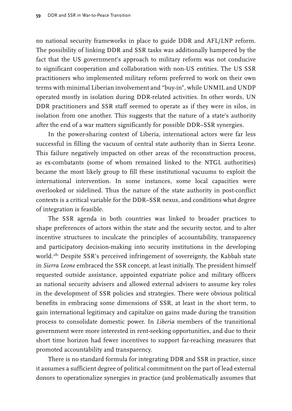no national security frameworks in place to guide DDR and AFL/LNP reform. The possibility of linking DDR and SSR tasks was additionally hampered by the fact that the US government's approach to military reform was not conducive to significant cooperation and collaboration with non-US entities. The US SSR practitioners who implemented military reform preferred to work on their own terms with minimal Liberian involvement and "buy-in", while UNMIL and UNDP operated mostly in isolation during DDR-related activities. In other words, UN DDR practitioners and SSR staff seemed to operate as if they were in silos, in isolation from one another. This suggests that the nature of a state's authority after the end of a war matters significantly for possible DDR–SSR synergies.

In the power-sharing context of Liberia, international actors were far less successful in filling the vacuum of central state authority than in Sierra Leone. This failure negatively impacted on other areas of the reconstruction process, as ex-combatants (some of whom remained linked to the NTGL authorities) became the most likely group to fill these institutional vacuums to exploit the international intervention. In some instances, some local capacities were overlooked or sidelined. Thus the nature of the state authority in post-conflict contexts is a critical variable for the DDR–SSR nexus, and conditions what degree of integration is feasible.

The SSR agenda in both countries was linked to broader practices to shape preferences of actors within the state and the security sector, and to alter incentive structures to inculcate the principles of accountability, transparency and participatory decision-making into security institutions in the developing world.<sup>281</sup> Despite SSR's perceived infringement of sovereignty, the Kabbah state in *Sierra Leone* embraced the SSR concept, at least initially. The president himself requested outside assistance, appointed expatriate police and military officers as national security advisers and allowed external advisers to assume key roles in the development of SSR policies and strategies. There were obvious political benefits in embracing some dimensions of SSR, at least in the short term, to gain international legitimacy and capitalize on gains made during the transition process to consolidate domestic power. In *Liberia* members of the transitional government were more interested in rent-seeking opportunities, and due to their short time horizon had fewer incentives to support far-reaching measures that promoted accountability and transparency.

There is no standard formula for integrating DDR and SSR in practice, since it assumes a sufficient degree of political commitment on the part of lead external donors to operationalize synergies in practice (and problematically assumes that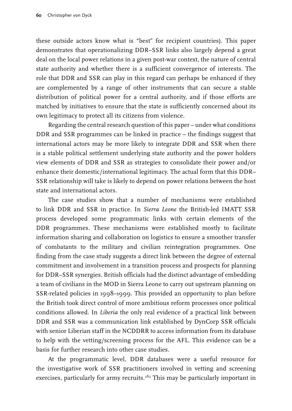these outside actors know what is "best" for recipient countries). This paper demonstrates that operationalizing DDR–SSR links also largely depend a great deal on the local power relations in a given post-war context, the nature of central state authority and whether there is a sufficient convergence of interests. The role that DDR and SSR can play in this regard can perhaps be enhanced if they are complemented by a range of other instruments that can secure a stable distribution of political power for a central authority, and if those efforts are matched by initiatives to ensure that the state is sufficiently concerned about its own legitimacy to protect all its citizens from violence.

Regarding the central research question of this paper – under what conditions DDR and SSR programmes can be linked in practice – the findings suggest that international actors may be more likely to integrate DDR and SSR when there is a stable political settlement underlying state authority and the power holders view elements of DDR and SSR as strategies to consolidate their power and/or enhance their domestic/international legitimacy. The actual form that this DDR– SSR relationship will take is likely to depend on power relations between the host state and international actors.

The case studies show that a number of mechanisms were established to link DDR and SSR in practice. In *Sierra Leone* the British-led IMATT SSR process developed some programmatic links with certain elements of the DDR programmes. These mechanisms were established mostly to facilitate information sharing and collaboration on logistics to ensure a smoother transfer of combatants to the military and civilian reintegration programmes. One finding from the case study suggests a direct link between the degree of external commitment and involvement in a transition process and prospects for planning for DDR–SSR synergies. British officials had the distinct advantage of embedding a team of civilians in the MOD in Sierra Leone to carry out upstream planning on SSR-related policies in 1998–1999. This provided an opportunity to plan before the British took direct control of more ambitious reform processes once political conditions allowed. In *Liberia* the only real evidence of a practical link between DDR and SSR was a communication link established by DynCorp SSR officials with senior Liberian staff in the NCDDRR to access information from its database to help with the vetting/screening process for the AFL. This evidence can be a basis for further research into other case studies.

At the programmatic level, DDR databases were a useful resource for the investigative work of SSR practitioners involved in vetting and screening exercises, particularly for army recruits.<sup>282</sup> This may be particularly important in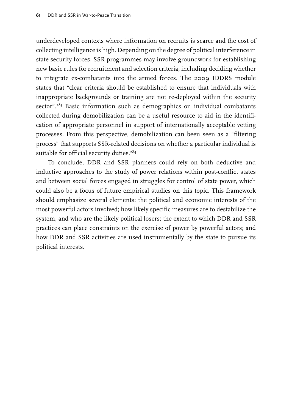underdeveloped contexts where information on recruits is scarce and the cost of collecting intelligence is high. Depending on the degree of political interference in state security forces, SSR programmes may involve groundwork for establishing new basic rules for recruitment and selection criteria, including deciding whether to integrate ex-combatants into the armed forces. The 2009 IDDRS module states that "clear criteria should be established to ensure that individuals with inappropriate backgrounds or training are not re-deployed within the security sector".<sup>283</sup> Basic information such as demographics on individual combatants collected during demobilization can be a useful resource to aid in the identification of appropriate personnel in support of internationally acceptable vetting processes. From this perspective, demobilization can been seen as a "filtering process" that supports SSR-related decisions on whether a particular individual is suitable for official security duties.<sup>284</sup>

To conclude, DDR and SSR planners could rely on both deductive and inductive approaches to the study of power relations within post-conflict states and between social forces engaged in struggles for control of state power, which could also be a focus of future empirical studies on this topic. This framework should emphasize several elements: the political and economic interests of the most powerful actors involved; how likely specific measures are to destabilize the system, and who are the likely political losers; the extent to which DDR and SSR practices can place constraints on the exercise of power by powerful actors; and how DDR and SSR activities are used instrumentally by the state to pursue its political interests.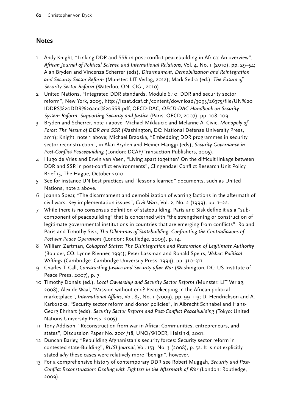# **Notes**

- 1 Andy Knight, "Linking DDR and SSR in post-conflict peacebuilding in Africa: An overview", *African Journal of Political Science and International Relations*, Vol. 4, No. 1 (2010), pp. 29–54; Alan Bryden and Vincenza Scherrer (eds), *Disarmament, Demobilization and Reintegration and Security Sector Reform* (Munster: LIT Verlag, 2012); Mark Sedra (ed.), *The Future of Security Sector Reform* (Waterloo, ON: CIGI, 2010).
- 2 United Nations, "Integrated DDR standards. Module 6.10: DDR and security sector reform", New York, 2009, [http://issat.dcaf.ch/content/download/3093/26375/file/UN%20](http://issat.dcaf.ch/content/download/3093/26375/file/un%2520iddrs%2520ddr%2520and%2520ssr.pdf) [IDDRS%20DDR%20and%20SSR.pdf](http://issat.dcaf.ch/content/download/3093/26375/file/un%2520iddrs%2520ddr%2520and%2520ssr.pdf); OECD-DAC, *OECD-DAC Handbook on Security System Reform: Supporting Security and Justice* (Paris: OECD, 2007), pp. 108–109.
- 3 Bryden and Scherrer, note 1 above; Michael Miklaucic and Melanne A. Civic, *Monopoly of Force: The Nexus of DDR and SSR* (Washington, DC: National Defense University Press, 2011); Knight, note 1 above; Michael Brzoska, "Embedding DDR programmes in security sector reconstruction", in Alan Bryden and Heiner Hänggi (eds), *Security Governance in Post-Conflict Peacebuilding* (London: DCAF/Transaction Publishers, 2005).
- 4 Hugo de Vries and Erwin van Veen, "Living apart together? On the difficult linkage between DDR and SSR in post-conflict environments", Clingendael Conflict Research Unit Policy Brief 15, The Hague, October 2010.
- 5 See for instance UN best practices and "lessons learned" documents, such as United Nations, note 2 above.
- 6 Joanna Spear, "The disarmament and demobilization of warring factions in the aftermath of civil wars: Key implementation issues", *Civil Wars*, Vol. 2, No. 2 (1999), pp. 1–22.
- 7 While there is no consensus definition of statebuilding, Paris and Sisk define it as a "subcomponent of peacebuilding" that is concerned with "the strengthening or construction of legitimate governmental institutions in countries that are emerging from conflicts". Roland Paris and Timothy Sisk, *The Dilemmas of Statebuilding: Confronting the Contradictions of Postwar Peace Operations* (London: Routledge, 2009), p. 14.
- 8 William Zartman, *Collapsed States: The Disintegration and Restoration of Legitimate Authority* (Boulder, CO: Lynne Rienner, 1995); Peter Lassman and Ronald Speirs, *Weber: Political Writings* (Cambridge: Cambridge University Press, 1994), pp. 310–311.
- 9 Charles T. Call, *Constructing Justice and Security after War* (Washington, DC: US Institute of Peace Press, 2007), p. 7.
- 10 Timothy Donais (ed.), *Local Ownership and Security Sector Reform* (Munster: LIT Verlag, 2008); Alex de Waal, "Mission without end? Peacekeeping in the African political marketplace", *International Affairs*, Vol. 85, No. 1 (2009), pp. 99–113; D. Hendrickson and A. Karkoszka, "Security sector reform and donor policies", in Albrecht Schnabel and Hans-Georg Ehrhart (eds), *Security Sector Reform and Post-Conflict Peacebuilding* (Tokyo: United Nations University Press, 2005).
- 11 Tony Addison, "Reconstruction from war in Africa: Communities, entrepreneurs, and states", Discussion Paper No. 2001/18, UNO/WIDER, Helsinki, 2001.
- 12 Duncan Barley, "Rebuilding Afghanistan's security forces: Security sector reform in contested state-Building", *RUSI Journal*, Vol. 153, No. 3 (2008), p. 52. It is not explicitly stated *why* these cases were relatively more "benign", however.
- 13 For a comprehensive history of contemporary DDR see Robert Muggah, *Security and Post-Conflict Reconstruction: Dealing with Fighters in the Aftermath of War* (London: Routledge, 2009).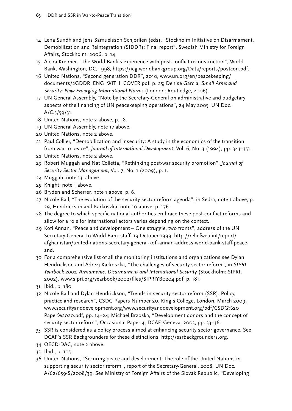- 14 Lena Sundh and Jens Samuelsson Schjørlien (eds), "Stockholm Initiative on Disarmament, Demobilization and Reintegration (SIDDR): Final report", Swedish Ministry for Foreign Affairs, Stockholm, 2006, p. 14.
- 15 Alcira Kreimer, "The World Bank's experience with post-conflict reconstruction", World Bank, Washington, DC, 1998, https://ieg.worldbankgroup.org/Data/reports/postcon.pdf.
- 16 United Nations, "Second generation DDR", 2010, www.un.org/en/peacekeeping/ documents/2GDDR\_ENG\_WITH\_COVER.pdf, p. 25; Denise Garcia, *Small Arms and Security: New Emerging International Norms* (London: Routledge, 2006).
- 17 UN General Assembly, "Note by the Secretary-General on administrative and budgetary aspects of the financing of UN peacekeeping operations", 24 May 2005, UN Doc. A/C.5/59/31.
- 18 United Nations, note 2 above, p. 18.
- 19 UN General Assembly, note 17 above.
- 20 United Nations, note 2 above.
- 21 Paul Collier, "Demobilization and insecurity: A study in the economics of the transition from war to peace", *Journal of International Development*, Vol. 6, No. 3 (1994), pp. 343–351.
- 22 United Nations, note 2 above.
- 23 Robert Muggah and Nat Colletta, "Rethinking post-war security promotion", *Journal of Security Sector Management*, Vol. 7, No. 1 (2009), p. 1.
- 24 Muggah, note 13 above.
- 25 Knight, note 1 above.
- 26 Bryden and Scherrer, note 1 above, p. 6.
- 27 Nicole Ball, "The evolution of the security sector reform agenda", in Sedra, note 1 above, p. 29; Hendrickson and Karkoszka, note 10 above, p. 176.
- 28 The degree to which specific national authorities embrace these post-conflict reforms and allow for a role for international actors varies depending on the context.
- 29 Kofi Annan, "Peace and development One struggle, two fronts", address of the UN Secretary-General to World Bank staff, 19 October 1999, http://reliefweb.int/report/ afghanistan/united-nations-secretary-general-kofi-annan-address-world-bank-staff-peaceand.
- 30 For a comprehensive list of all the monitoring institutions and organizations see Dylan Hendrickson and Adrezj Karkoszka, "The challenges of security sector reform", in *SIPRI Yearbook 2002: Armaments, Disarmament and International Security* (Stockholm: SIPRI, 2002), [www.sipri.org/yearbook/2002/files/SIPRIYB0204.pdf,](http://www.sipri.org/yearbook/2002/files/SIPRIYB0204.pdf) p. 181.
- 31 Ibid., p. 180.
- 32 Nicole Ball and Dylan Hendrickson, "Trends in security sector reform (SSR): Policy, practice and research", CSDG Papers Number 20, King's College, London, March 2009, www.securityanddevelopment.org/www.securityanddevelopment.org/pdf/CSDG%20 Paper%2020.pdf, pp. 14–24; Michael Brzoska, "Development donors and the concept of security sector reform", Occasional Paper 4, DCAF, Geneva, 2003, pp. 33–36.
- 33 SSR is considered as a policy process aimed at enhancing security sector governance. See DCAF's SSR Backgrounders for these distinctions, http://ssrbackgrounders.org.
- 34 OECD-DAC, note 2 above.
- 35 Ibid., p. 105.
- 36 United Nations, "Securing peace and development: The role of the United Nations in supporting security sector reform", report of the Secretary-General, 2008, UN Doc. A/62/659-S/2008/39. See Ministry of Foreign Affairs of the Slovak Republic, "Developing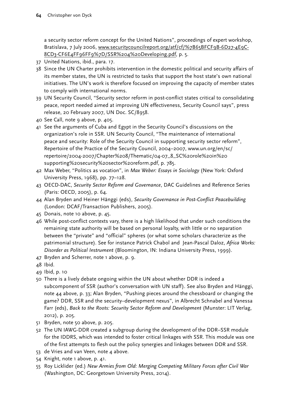a security sector reform concept for the United Nations", proceedings of expert workshop, Bratislava, 7 July 2006, [www.securitycouncilreport.org/atf/cf/%7B65BFCF9B-6D27-4E9C-](http://http://www.securitycouncilreport.org/atf/cf/%7B65BFCF9B-6D27-4E9C-8CD3-CF6E4FF96FF9%7D/SSR%204%20Developing.pdf)[8CD3-CF6E4FF96FF9%7D/SSR%204%20Developing.pdf,](http://http://www.securitycouncilreport.org/atf/cf/%7B65BFCF9B-6D27-4E9C-8CD3-CF6E4FF96FF9%7D/SSR%204%20Developing.pdf) p. 5.

- 37 United Nations, ibid., para. 17.
- 38 Since the UN Charter prohibits intervention in the domestic political and security affairs of its member states, the UN is restricted to tasks that support the host state's own national initiatives. The UN's work is therefore focused on improving the capacity of member states to comply with international norms.
- 39 UN Security Council, "Security sector reform in post-conflict states critical to consolidating peace, report needed aimed at improving UN effectiveness, Security Council says", press release, 20 February 2007, UN Doc. SC/8958.
- 40 See Call, note 9 above, p. 405.
- 41 See the arguments of Cuba and Egypt in the Security Council's discussions on the organization's role in SSR. UN Security Council, "The maintenance of international peace and security: Role of the Security Council in supporting security sector reform", Repertoire of the Practice of the Security Council, 2004–2007, [www.un.org/en/sc/](http://http://www.un.org/en/sc/repertoire/2004-2007/Chapter%208/Thematic/04-07_8_SC%20role%20in%20supporting%20security%20sector%20reform.pdf) [repertoire/2004-2007/Chapter%208/Thematic/04-07\\_8\\_SC%20role%20in%20](http://http://www.un.org/en/sc/repertoire/2004-2007/Chapter%208/Thematic/04-07_8_SC%20role%20in%20supporting%20security%20sector%20reform.pdf) [supporting%20security%20sector%20reform.pdf,](http://http://www.un.org/en/sc/repertoire/2004-2007/Chapter%208/Thematic/04-07_8_SC%20role%20in%20supporting%20security%20sector%20reform.pdf) p. 785.
- 42 Max Weber, "Politics as vocation", in *Max Weber: Essays in Sociology* (New York: Oxford University Press, 1968), pp. 77–128.
- 43 OECD-DAC, *Security Sector Reform and Governance*, DAC Guidelines and Reference Series (Paris: OECD, 2005), p. 64.
- 44 Alan Bryden and Heiner Hänggi (eds), *Security Governance in Post-Conflict Peacebuilding* (London: DCAF/Transaction Publishers, 2005).
- 45 Donais, note 10 above, p. 45.
- 46 While post-conflict contexts vary, there is a high likelihood that under such conditions the remaining state authority will be based on personal loyalty, with little or no separation between the "private" and "official" spheres (or what some scholars characterize as the patrimonial structure). See for instance Patrick Chabol and Jean-Pascal Daloz, *Africa Works: Disorder as Political Instrument* (Bloomington, IN: Indiana University Press, 1999).
- 47 Bryden and Scherrer, note 1 above, p. 9.
- 48 Ibid.
- 49 Ibid, p. 10
- 50 There is a lively debate ongoing within the UN about whether DDR is indeed a subcomponent of SSR (author's conversation with UN staff). See also Bryden and Hänggi, note 44 above, p. 33; Alan Bryden, "Pushing pieces around the chessboard or changing the game? DDR, SSR and the security–development nexus", in Albrecht Schnabel and Vanessa Farr (eds), *Back to the Roots: Security Sector Reform and Development* (Munster: LIT Verlag, 2012), p. 205.
- 51 Bryden, note 50 above, p. 205.
- 52 The UN IAWG-DDR created a subgroup during the development of the DDR–SSR module for the IDDRS, which was intended to foster critical linkages with SSR. This module was one of the first attempts to flesh out the policy synergies and linkages between DDR and SSR.
- 53 de Vries and van Veen, note 4 above.
- 54 Knight, note 1 above, p. 41.
- 55 Roy Licklider (ed.) *New Armies from Old: Merging Competing Military Forces after Civil War* (Washington, DC: Georgetown University Press, 2014).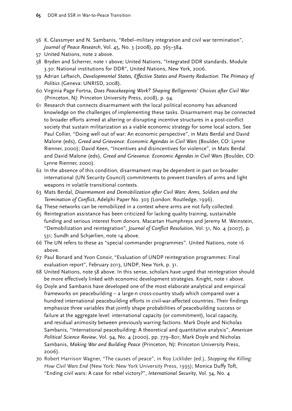- 56 K. Glassmyer and N. Sambanis, "Rebel–military integration and civil war termination", *Journal of Peace Research*, Vol. 45, No. 3 (2008), pp. 365–384.
- 57 United Nations, note 2 above.
- 58 Bryden and Scherrer, note 1 above; United Nations, "Integrated DDR standards. Module 3.30: National institutions for DDR", United Nations, New York, 2006.
- 59 Adrian Leftwich, *Developmental States, Effective States and Poverty Reduction: The Primacy of Politics* (Geneva: UNRISD, 2008).
- 60 Virginia Page Fortna, *Does Peacekeeping Work? Shaping Belligerents' Choices after Civil War* (Princeton, NJ: Princeton University Press, 2008), p. 94.
- 61 Research that connects disarmament with the local political economy has advanced knowledge on the challenges of implementing these tasks. Disarmament may be connected to broader efforts aimed at altering or disrupting incentive structures in a post-conflict society that sustain militarization as a viable economic strategy for some local actors. See Paul Collier, "Doing well out of war: An economic perspective", in Mats Berdal and David Malone (eds), *Greed and Grievance: Economic Agendas in Civil Wars* (Boulder, CO: Lynne Rienner, 2000); David Keen, "Incentives and disincentives for violence", in Mats Berdal and David Malone (eds), *Greed and Grievance: Economic Agendas in Civil Wars* (Boulder, CO: Lynne Rienner, 2000).
- 62 In the absence of this condition, disarmament may be dependent in part on broader international (UN Security Council) commitments to prevent transfers of arms and light weapons in volatile transitional contexts.
- 63 Mats Berdal, *Disarmament and Demobilization after Civil Wars: Arms, Soldiers and the Termination of Conflict*, Adelphi Paper No. 303 (London: Routledge, 1996).
- 64 These networks can be remobilized in a context where arms are not fully collected.
- 65 Reintegration assistance has been criticized for lacking quality training, sustainable funding and serious interest from donors. Macartan Humphreys and Jeremy M. Weinstein, "Demobilization and reintegration", *Journal of Conflict Resolution*, Vol. 51, No. 4 (2007), p. 531; Sundh and Schjørlien, note 14 above.
- 66 The UN refers to these as "special commander programmes". United Nations, note 16 above.
- 67 Paul Bonard and Yvon Conoir, "Evaluation of UNDP reintegration programmes: Final evaluation report", February 2013, UNDP, New York, p. 31.
- 68 United Nations, note 58 above. In this sense, scholars have urged that reintegration should be more effectively linked with economic development strategies. Knight, note 1 above.
- 69 Doyle and Sambanis have developed one of the most elaborate analytical and empirical frameworks on peacebuilding – a large-n cross-country study which compared over a hundred international peacebuilding efforts in civil-war-affected countries. Their findings emphasize three variables that jointly shape probabilities of peacebuilding success or failure at the aggregate level: international capacity (or commitment), local capacity, and residual animosity between previously warring factions. Mark Doyle and Nicholas Sambanis, "International peacebuilding: A theoretical and quantitative analysis", *American Political Science Review*, Vol. 94, No. 4 (2000), pp. 779–801; Mark Doyle and Nicholas Sambanis, *Making War and Building Peace* (Princeton, NJ: Princeton University Press, 2006).
- 70 Robert Harrison Wagner, "The causes of peace", in Roy Licklider (ed.), *Stopping the Killing: How Civil Wars End* (New York: New York University Press, 1993); Monica Duffy Toft, "Ending civil wars: A case for rebel victory?", *International Security*, Vol. 34, No. 4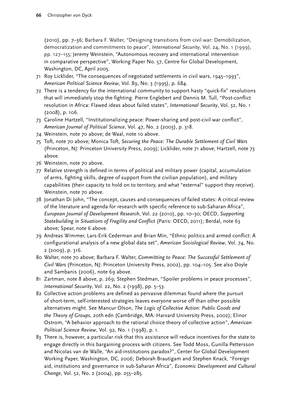(2010), pp. 7–36; Barbara F. Walter, "Designing transitions from civil war: Demobilization, democratization and commitments to peace", *International Security*, Vol. 24, No. 1 (1999), pp. 127–155; Jeremy Weinstein, "Autonomous recovery and international intervention in comparative perspective", Working Paper No. 57, Centre for Global Development, Washington, DC, April 2005.

- 71 Roy Licklider, "The consequences of negotiated settlements in civil wars, 1945–1993", *American Political Science Review*, Vol. 89, No. 3 (1995), p. 684.
- 72 There is a tendency for the international community to support hasty "quick-fix" resolutions that will immediately stop the fighting. Pierre Englebert and Dennis M. Tull, "Post-conflict resolution in Africa: Flawed ideas about failed states", *International Security*, Vol. 32, No. 1 (2008), p. 106.
- 73 Caroline Hartzell, "Institutionalizing peace: Power-sharing and post-civil war conflict", *American Journal of Political Science*, Vol. 47, No. 2 (2003), p. 318.
- 74 Weinstein, note 70 above; de Waal, note 10 above.
- 75 Toft, note 70 above; Monica Toft, *Securing the Peace: The Durable Settlement of Civil Wars* (Princeton, NJ: Princeton University Press, 2009); Licklider, note 71 above; Hartzell, note 73 above.
- 76 Weinstein, note 70 above.
- 77 Relative strength is defined in terms of political and military power (capital, accumulation of arms, fighting skills, degree of support from the civilian population), and military capabilities (their capacity to hold on to territory, and what "external" support they receive). Weinstein, note 70 above.
- 78 Jonathan Di John, "The concept, causes and consequences of failed states: A critical review of the literature and agenda for research with specific reference to sub-Saharan Africa", *European Journal of Development Research*, Vol. 22 (2010), pp. 10–30; OECD, *Supporting Statebuilding in Situations of Fragility and Conflict* (Paris: OECD, 2011); Berdal, note 63 above; Spear, note 6 above.
- 79 Andreas Wimmer, Lars-Erik Cederman and Brian Min, "Ethnic politics and armed conflict: A configurational analysis of a new global data set", *American Sociological Review*, Vol. 74, No. 2 (2009), p. 316.
- 80 Walter, note 70 above; Barbara F. Walter, *Committing to Peace*: *The Successful Settlement of Civil Wars* (Princeton, NJ: Princeton University Press, 2002), pp. 104–105. See also Doyle and Sambanis (2006), note 69 above.
- 81 Zartman, note 8 above, p. 269; Stephen Stedman, "Spoiler problems in peace processes", *International Security*, Vol. 22, No. 2 (1998), pp. 5–53.
- 82 Collective action problems are defined as pervasive dilemmas found where the pursuit of short-term, self-interested strategies leaves everyone worse off than other possible alternatives might. See Mancur Olson, *The Logic of Collective Action: Public Goods and the Theory of Groups*, 20th edn (Cambridge, MA: Harvard University Press, 2002); Elinor Ostrom, "A behavior approach to the rational choice theory of collective action", *American Political Science Review*, Vol. 92, No. 1 (1998), p. 1.
- 83 There is, however, a particular risk that this assistance will reduce incentives for the state to engage directly in this bargaining process with citizens. See Todd Moss, Gunilla Pettersson and Nicolas van de Walle, "An aid-institutions paradox?", Center for Global Development Working Paper, Washington, DC, 2006; Deborah Brautigam and Stephen Knack, "Foreign aid, institutions and governance in sub-Saharan Africa", *Economic Development and Cultural Change*, Vol. 52, No. 2 (2004), pp. 255–285.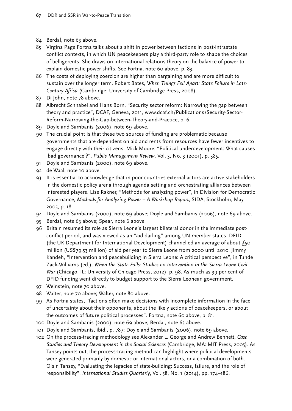- 84 Berdal, note 63 above.
- 85 Virgina Page Fortna talks about a shift in power between factions in post-intrastate conflict contexts, in which UN peacekeepers play a third-party role to shape the choices of belligerents. She draws on international relations theory on the balance of power to explain domestic power shifts. See Fortna, note 60 above, p. 83.
- 86 The costs of deploying coercion are higher than bargaining and are more difficult to sustain over the longer term. Robert Bates, *When Things Fell Apart: State Failure in Late-Century Africa* (Cambridge: University of Cambridge Press, 2008).
- 87 Di John, note 78 above.
- 88 Albrecht Schnabel and Hans Born, "Security sector reform: Narrowing the gap between theory and practice", DCAF, Geneva, 2011, [www.dcaf.ch/Publications/Security-Sector-](http://http://www.dcaf.ch/Publications/Security-Sector-Reform-Narrowing-the-Gap-between-Theory-and-Practice)[Reform-Narrowing-the-Gap-between-Theory-and-Practice](http://http://www.dcaf.ch/Publications/Security-Sector-Reform-Narrowing-the-Gap-between-Theory-and-Practice), p. 6.
- 89 Doyle and Sambanis (2006), note 69 above.
- 90 The crucial point is that these two sources of funding are problematic because governments that are dependent on aid and rents from resources have fewer incentives to engage directly with their citizens. Mick Moore, "Political underdevelopment: What causes 'bad governance'?", *Public Management Review*, Vol. 3, No. 3 (2001), p. 385.
- 91 Doyle and Sambanis (2000), note 69 above.
- 92 de Waal, note 10 above.
- 93 It is essential to acknowledge that in poor countries external actors are active stakeholders in the domestic policy arena through agenda setting and orchestrating alliances between interested players. Lise Rakner, "Methods for analyzing power", in Division for Democratic Governance, *Methods for Analyzing Power – A Workshop Report*, SIDA, Stockholm, May 2005, p. 18.
- 94 Doyle and Sambanis (2000), note 69 above; Doyle and Sambanis (2006), note 69 above.
- 95 Berdal, note 63 above; Spear, note 6 above.
- 96 Britain resumed its role as Sierra Leone's largest bilateral donor in the immediate postconflict period, and was viewed as an "aid darling" among UN member states. DFID (the UK Department for International Development) channelled an average of about  $f_5$ o million (US\$79.53 million) of aid per year to Sierra Leone from 2000 until 2010. Jimmy Kandeh, "Intervention and peacebuilding in Sierra Leone: A critical perspective", in Tunde Zack-Williams (ed.), *When the State Fails: Studies on Intervention in the Sierra Leone Civil War* (Chicago, IL: University of Chicago Press, 2012), p. 98. As much as 39 per cent of DFID funding went directly to budget support to the Sierra Leonean government.
- 97 Weinstein, note 70 above.
- 98 Walter, note 70 above; Walter, note 80 above.
- 99 As Fortna states, "factions often make decisions with incomplete information in the face of uncertainty about their opponents, about the likely actions of peacekeepers, or about the outcomes of future political processes". Fortna, note 60 above, p. 81.
- 100 Doyle and Sambanis (2000), note 69 above; Berdal, note 63 above.
- 101 Doyle and Sambanis, ibid., p. 787; Doyle and Sambanis (2006), note 69 above.
- 102 On the process-tracing methodology see Alexander L. George and Andrew Bennett, *Case Studies and Theory Development in the Social Sciences* (Cambridge, MA: MIT Press, 2005). As Tansey points out, the process-tracing method can highlight where political developments were generated primarily by domestic or international actors, or a combination of both. Oisin Tansey, "Evaluating the legacies of state-building: Success, failure, and the role of responsibility", *International Studies Quarterly*, Vol. 58, No. 1 (2014), pp. 174–186.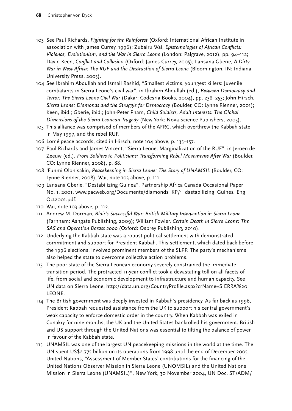- 103 See Paul Richards, *Fighting for the Rainforest* (Oxford: International African Institute in association with James Currey, 1996); Zubairu Wai, *Epistemologies of African Conflicts: Violence, Evolutionism, and the War in Sierra Leone* (London: Palgrave, 2012), pp. 94–112; David Keen, *Conflict and Collusion* (Oxford: James Currey, 2005); Lansana Gberie, *A Dirty War in West Africa: The RUF and the Destruction of Sierra Leone* (Bloomington, IN: Indiana University Press, 2005).
- 104 See Ibrahim Abdullah and Ismail Rashid, "Smallest victims, youngest killers: Juvenile combatants in Sierra Leone's civil war", in Ibrahim Abdullah (ed.), *Between Democracy and Terror: The Sierra Leone Civil War* (Dakar: Codesria Books, 2004), pp. 238–253; John Hirsch, *Sierra Leone: Diamonds and the Struggle for Democracy* (Boulder, CO: Lynne Rienner, 2001); Keen, ibid.; Gberie, ibid.; John-Peter Pham, *Child Soldiers, Adult Interests: The Global Dimensions of the Sierra Leonean Tragedy* (New York: Nova Science Publishers, 2005).
- 105 This alliance was comprised of members of the AFRC, which overthrew the Kabbah state in May 1997, and the rebel RUF.
- 106 Lomé peace accords, cited in Hirsch, note 104 above, p. 135–157.
- 107 Paul Richards and James Vincent, "Sierra Leone: Marginalization of the RUF", in Jeroen de Zeeuw (ed.), *From Soldiers to Politicians: Transforming Rebel Movements After War* (Boulder, CO: Lynne Rienner, 2008), p. 88.
- 108 'Funmi Olonisakin, *Peacekeeping in Sierra Leone: The Story of UNAMSIL* (Boulder, CO: Lynne Rienner, 2008); Wai, note 103 above, p. 111.
- 109 Lansana Gberie, "Destabilizing Guinea", Partnership Africa Canada Occasional Paper No. 1, 2001, [www.pacweb.org/Documents/diamonds\\_KP/1\\_dastabilizing\\_Guinea\\_Eng\\_](http://www.pacweb.org/Documents/diamonds_KP/1_dastabilizing_Guinea_Eng_Oct2001.pdf) [Oct2001.pdf.](http://www.pacweb.org/Documents/diamonds_KP/1_dastabilizing_Guinea_Eng_Oct2001.pdf)
- 110 Wai, note 103 above, p. 112.
- 111 Andrew M. Dorman, *Blair's Successful War: British Military Intervention in Sierra Leone* (Farnham: Ashgate Publishing, 2009); William Fowler, *Certain Death in Sierra Leone: The SAS and Operation Barass 2000* (Oxford: Osprey Publishing, 2010).
- 112 Underlying the Kabbah state was a robust political settlement with demonstrated commitment and support for President Kabbah. This settlement, which dated back before the 1996 elections, involved prominent members of the SLPP. The party's mechanisms also helped the state to overcome collective action problems.
- 113 The poor state of the Sierra Leonean economy severely constrained the immediate transition period. The protracted 11-year conflict took a devastating toll on all facets of life, from social and economic development to infrastructure and human capacity. See UN data on Sierra Leone, [http://data.un.org/CountryProfile.aspx?crName=SIERRA%20](http://data.un.org/CountryProfile.aspx?crName=SIERRA%20LEONE) [LEONE.](http://data.un.org/CountryProfile.aspx?crName=SIERRA%20LEONE)
- 114 The British government was deeply invested in Kabbah's presidency. As far back as 1996, President Kabbah requested assistance from the UK to support his central government's weak capacity to enforce domestic order in the country. When Kabbah was exiled in Conakry for nine months, the UK and the United States bankrolled his government. British and US support through the United Nations was essential to tilting the balance of power in favour of the Kabbah state.
- 115 UNAMSIL was one of the largest UN peacekeeping missions in the world at the time. The UN spent US\$2.775 billion on its operations from 1998 until the end of December 2005. United Nations, "Assessment of Member States' contributions for the financing of the United Nations Observer Mission in Sierra Leone (UNOMSIL) and the United Nations Mission in Sierra Leone (UNAMSIL)", New York, 30 November 2004, UN Doc. ST/ADM/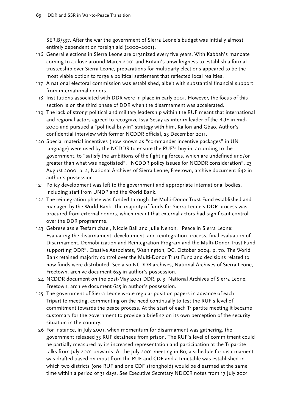SER.B/537. After the war the government of Sierra Leone's budget was initially almost entirely dependent on foreign aid (2000–2001).

- 116 General elections in Sierra Leone are organized every five years. With Kabbah's mandate coming to a close around March 2001 and Britain's unwillingness to establish a formal trusteeship over Sierra Leone, preparations for multiparty elections appeared to be the most viable option to forge a political settlement that reflected local realities.
- 117 A national electoral commission was established, albeit with substantial financial support from international donors.
- 118 Institutions associated with DDR were in place in early 2001. However, the focus of this section is on the third phase of DDR when the disarmament was accelerated.
- 119 The lack of strong political and military leadership within the RUF meant that international and regional actors agreed to recognize Issa Sesay as interim leader of the RUF in mid-2000 and pursued a "political buy-in" strategy with him, Kallon and Gbao. Author's confidential interview with former NCDDR official, 23 December 2011.
- 120 Special material incentives (now known as "commander incentive packages" in UN language) were used by the NCDDR to ensure the RUF's buy-in, according to the government, to "satisfy the ambitions of the fighting forces, which are undefined and/or greater than what was negotiated". "NCDDR policy issues for NCDDR consideration", 23 August 2000, p. 2, National Archives of Sierra Leone, Freetown, archive document 642 in author's possession.
- 121 Policy development was left to the government and appropriate international bodies, including staff from UNDP and the World Bank.
- 122 The reintegration phase was funded through the Multi-Donor Trust Fund established and managed by the World Bank. The majority of funds for Sierra Leone's DDR process was procured from external donors, which meant that external actors had significant control over the DDR programme.
- 123 Gebreselassie Tesfamichael, Nicole Ball and Julie Nenon, "Peace in Sierra Leone: Evaluating the disarmament, development, and reintegration process, final evaluation of Disarmament, Demobilization and Reintegration Program and the Multi-Donor Trust Fund supporting DDR", Creative Associates, Washington, DC, October 2004, p. 70. The World Bank retained majority control over the Multi-Donor Trust Fund and decisions related to how funds were distributed. See also NCDDR archives, National Archives of Sierra Leone, Freetown, archive document 625 in author's possession.
- 124 NCDDR document on the post-May 2001 DDR, p. 3, National Archives of Sierra Leone, Freetown, archive document 625 in author's possession.
- 125 The government of Sierra Leone wrote regular position papers in advance of each Tripartite meeting, commenting on the need continually to test the RUF's level of commitment towards the peace process. At the start of each Tripartite meeting it became customary for the government to provide a briefing on its own perception of the security situation in the country.
- 126 For instance, in July 2001, when momentum for disarmament was gathering, the government released 33 RUF detainees from prison. The RUF's level of commitment could be partially measured by its increased representation and participation at the Tripartite talks from July 2001 onwards. At the July 2001 meeting in Bo, a schedule for disarmament was drafted based on input from the RUF and CDF and a timetable was established in which two districts (one RUF and one CDF stronghold) would be disarmed at the same time within a period of 31 days. See Executive Secretary NDCCR notes from 17 July 2001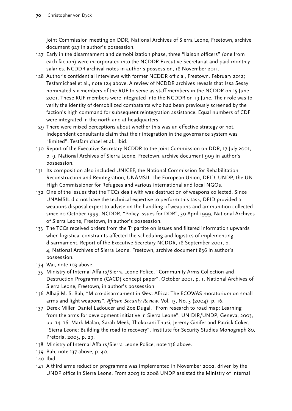Joint Commission meeting on DDR, National Archives of Sierra Leone, Freetown, archive document 927 in author's possession.

- 127 Early in the disarmament and demobilization phase, three "liaison officers" (one from each faction) were incorporated into the NCDDR Executive Secretariat and paid monthly salaries. NCDDR archival notes in author's possession, 18 November 2011.
- 128 Author's confidential interviews with former NCDDR official, Freetown, February 2012; Tesfamichael et al., note 124 above. A review of NCDDR archives reveals that Issa Sesay nominated six members of the RUF to serve as staff members in the NCDDR on 15 June 2001. These RUF members were integrated into the NCDDR on 19 June. Their role was to verify the identity of demobilized combatants who had been previously screened by the faction's high command for subsequent reintegration assistance. Equal numbers of CDF were integrated in the north and at headquarters.
- 129 There were mixed perceptions about whether this was an effective strategy or not. Independent consultants claim that their integration in the governance system was "limited". Testfamichael et al., ibid.
- 130 Report of the Executive Secretary NCDDR to the Joint Commission on DDR, 17 July 2001, p. 9, National Archives of Sierra Leone, Freetown, archive document 909 in author's possession.
- 131 Its composition also included UNICEF, the National Commission for Rehabilitation, Reconstruction and Reintegration, UNAMSIL, the European Union, DFID, UNDP, the UN High Commissioner for Refugees and various international and local NGOs.
- 132 One of the issues that the TCCs dealt with was destruction of weapons collected. Since UNAMSIL did not have the technical expertise to perform this task, DFID provided a weapons disposal expert to advise on the handling of weapons and ammunition collected since 20 October 1999. NCDDR, "Policy issues for DDR", 30 April 1999, National Archives of Sierra Leone, Freetown, in author's possession.
- 133 The TCCs received orders from the Tripartite on issues and filtered information upwards when logistical constraints affected the scheduling and logistics of implementing disarmament. Report of the Executive Secretary NCDDR, 18 September 2001, p. 4, National Archives of Sierra Leone, Freetown, archive document 836 in author's possession.
- 134 Wai, note 103 above.
- 135 Ministry of Internal Affairs/Sierra Leone Police, "Community Arms Collection and Destruction Programme (CACD) concept paper", October 2001, p. 1, National Archives of Sierra Leone, Freetown, in author's possession.
- 136 Alhaji M. S. Bah, "Micro-disarmament in West Africa: The ECOWAS moratorium on small arms and light weapons", *African Security Review*, Vol. 13, No. 3 (2004), p. 16.
- 137 Derek Miller, Daniel Ladoucer and Zoe Dugal, "From research to road map: Learning from the arms for development initiative in Sierra Leone", UNIDIR/UNDP, Geneva, 2003, pp. 14, 16; Mark Malan, Sarah Meek, Thokozani Thusi, Jeremy Ginifer and Patrick Coker, "Sierra Leone: Building the road to recovery", Institute for Security Studies Monograph 80, Pretoria, 2003, p. 29.
- 138 Ministry of Internal Affairs/Sierra Leone Police, note 136 above.
- 139 Bah, note 137 above, p. 40.
- 140 Ibid.
- 141 A third arms reduction programme was implemented in November 2002, driven by the UNDP office in Sierra Leone. From 2003 to 2008 UNDP assisted the Ministry of Internal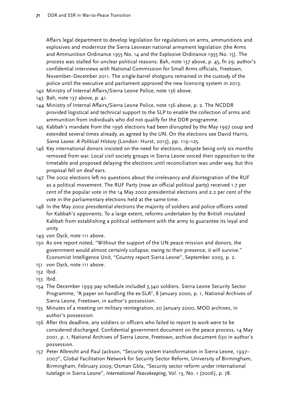Affairs legal department to develop legislation for regulations on arms, ammunitions and explosives and modernize the Sierra Leonean national armament legislation (the Arms and Ammunition Ordinance 1955 No. 14 and the Explosive Ordinance 1955 No. 15). The process was stalled for unclear political reasons. Bah, note 137 above, p. 45, fn 29; author's confidential interviews with National Commission for Small Arms officials, Freetown, November–December 2011. The single-barrel shotguns remained in the custody of the police until the executive and parliament approved the new licensing system in 2013.

- 142 Ministry of Internal Affairs/Sierra Leone Police, note 136 above.
- 143 Bah, note 137 above, p. 41.
- 144 Ministry of Internal Affairs/Sierra Leone Police, note 136 above, p. 2. The NCDDR provided logistical and technical support to the SLP to enable the collection of arms and ammunition from individuals who did not qualify for the DDR programme.
- 145 Kabbah's mandate from the 1996 elections had been disrupted by the May 1997 coup and extended several times already, as agreed by the UN. On the elections see David Harris, *Sierra Leone: A Political History* (London: Hurst, 2013), pp. 119–125.
- 146 Key international donors insisted on the need for elections, despite being only six months removed from war. Local civil society groups in Sierra Leone voiced their opposition to the timetable and proposed delaying the elections until reconciliation was under way, but this proposal fell on deaf ears.
- 147 The 2002 elections left no questions about the irrelevancy and disintegration of the RUF as a political movement. The RUF Party (now an official political party) received 1.7 per cent of the popular vote in the 14 May 2002 presidential elections and 2.2 per cent of the vote in the parliamentary elections held at the same time.
- 148 In the May 2002 presidential elections the majority of soldiers and police officers voted for Kabbah's opponents. To a large extent, reforms undertaken by the British insulated Kabbah from establishing a political settlement with the army to guarantee its loyal and unity.
- 149 von Dyck, note 111 above.
- 150 As one report noted, "Without the support of the UN peace mission and donors, the government would almost certainly collapse; owing to their presence, it will survive." Economist Intelligence Unit, "Country report Sierra Leone", September 2003, p. 2.
- 151 von Dyck, note 111 above.
- 152 Ibid.
- 153 Ibid.
- 154 The December 1999 pay schedule included 3,340 soldiers. Sierra Leone Security Sector Programme, "A paper on handling the ex-SLA", 8 January 2000, p. 1, National Archives of Sierra Leone, Freetown, in author's possession.
- 155 Minutes of a meeting on military reintegration, 20 January 2000, MOD archives, in author's possession.
- 156 After this deadline, any soldiers or officers who failed to report to work were to be considered discharged. Confidential government document on the peace process, 14 May 2001, p. 1, National Archives of Sierra Leone, Freetown, archive document 630 in author's possession.
- 157 Peter Albrecht and Paul Jackson, "Security system transformation in Sierra Leone, 1997– 2007", Global Facilitation Network for Security Sector Reform, University of Birmingham, Birmingham, February 2009; Osman Gbla, "Security sector reform under international tutelage in Sierra Leone", *International Peacekeeping*, Vol. 13, No. 1 (2006), p. 78.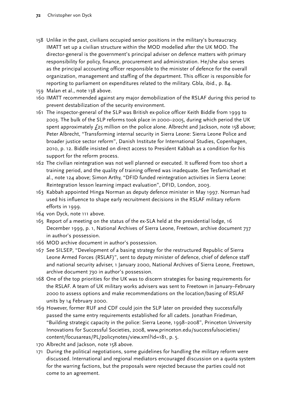- 158 Unlike in the past, civilians occupied senior positions in the military's bureaucracy. IMATT set up a civilian structure within the MOD modelled after the UK MOD. The director-general is the government's principal adviser on defence matters with primary responsibility for policy, finance, procurement and administration. He/she also serves as the principal accounting officer responsible to the minister of defence for the overall organization, management and staffing of the department. This officer is responsible for reporting to parliament on expenditures related to the military. Gbla, ibid., p. 84.
- 159 Malan et al., note 138 above.
- 160 IMATT recommended against any major demobilization of the RSLAF during this period to prevent destabilization of the security environment.
- 161 The inspector-general of the SLP was British ex-police officer Keith Biddle from 1999 to 2003. The bulk of the SLP reforms took place in 2000–2005, during which period the UK spent approximately £25 million on the police alone. Albrecht and Jackson, note 158 above; Peter Albrecht, "Transforming internal security in Sierra Leone: Sierra Leone Police and broader justice sector reform", Danish Institute for International Studies, Copenhagen, 2010, p. 12. Biddle insisted on direct access to President Kabbah as a condition for his support for the reform process.
- 162 The civilian reintegration was not well planned or executed. It suffered from too short a training period, and the quality of training offered was inadequate. See Tesfamichael et al., note 124 above; Simon Arthy, "DFID funded reintegration activities in Sierra Leone: Reintegration lesson learning impact evaluation", DFID, London, 2003.
- 163 Kabbah appointed Hinga Norman as deputy defence minister in May 1997. Norman had used his influence to shape early recruitment decisions in the RSLAF military reform efforts in 1999.
- 164 von Dyck, note 111 above.
- 165 Report of a meeting on the status of the ex-SLA held at the presidential lodge, 16 December 1999, p. 1, National Archives of Sierra Leone, Freetown, archive document 737 in author's possession.
- 166 MOD archive document in author's possession.
- 167 See SILSEP, "Development of a basing strategy for the restructured Republic of Sierra Leone Armed Forces (RSLAF)", sent to deputy minister of defence, chief of defence staff and national security adviser, 1 January 2000, National Archives of Sierra Leone, Freetown, archive document 730 in author's possession.
- 168 One of the top priorities for the UK was to discern strategies for basing requirements for the RSLAF. A team of UK military works advisers was sent to Freetown in January–February 2000 to assess options and make recommendations on the location/basing of RSLAF units by 14 February 2000.
- 169 However, former RUF and CDF could join the SLP later on provided they successfully passed the same entry requirements established for all cadets. Jonathan Friedman, "Building strategic capacity in the police: Sierra Leone, 1998–2008", Princeton University Innovations for Successful Societies, 2008, [www.princeton.edu/successfulsocieties/](http://http://www.princeton.edu/successfulsocieties/content/focusareas/PL/policynotes/view.xml?id=181) [content/focusareas/PL/policynotes/view.xml?id=181,](http://http://www.princeton.edu/successfulsocieties/content/focusareas/PL/policynotes/view.xml?id=181) p. 5.
- 170 Albrecht and Jackson, note 158 above.
- 171 During the political negotiations, some guidelines for handling the military reform were discussed. International and regional mediators encouraged discussion on a quota system for the warring factions, but the proposals were rejected because the parties could not come to an agreement.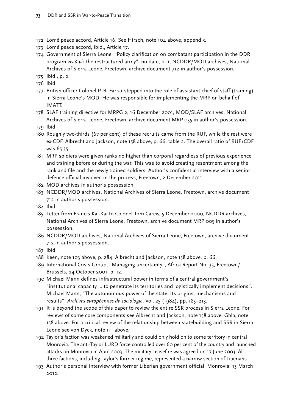- 172 Lomé peace accord, Article 16. See Hirsch, note 104 above, appendix.
- 173 Lomé peace accord, ibid., Article 17.
- 174 Government of Sierra Leone, "Policy clarification on combatant participation in the DDR program *vis-à-vis* the restructured army", no date, p. 1, NCDDR/MOD archives, National Archives of Sierra Leone, Freetown, archive document 712 in author's possession.

175 Ibid., p. 2.

176 Ibid.

- 177 British officer Colonel P. R. Farrar stepped into the role of assistant chief of staff (training) in Sierra Leone's MOD. He was responsible for implementing the MRP on behalf of IMATT.
- 178 SLAF training directive for MRPG 2, 16 December 2001, MOD/SLAF archives, National Archives of Sierra Leone, Freetown, archive document MRP 035 in author's possession.
- 179 Ibid.
- 180 Roughly two-thirds (67 per cent) of these recruits came from the RUF, while the rest were ex-CDF. Albrecht and Jackson, note 158 above, p. 66, table 2. The overall ratio of RUF/CDF was 65:35.
- 181 MRP soldiers were given ranks no higher than corporal regardless of previous experience and training before or during the war. This was to avoid creating resentment among the rank and file and the newly trained soldiers. Author's confidential interview with a senior defence official involved in the process, Freetown, 2 December 2011.
- 182 MOD archives in author's possession
- 183 NCDDR/MOD archives, National Archives of Sierra Leone, Freetown, archive document 712 in author's possession.
- 184 Ibid.
- 185 Letter from Francis Kai-Kai to Colonel Tom Carew, 5 December 2000, NCDDR archives, National Archives of Sierra Leone, Freetown, archive document MRP 005 in author's possession.
- 186 NCDDR/MOD archives, National Archives of Sierra Leone, Freetown, archive document 712 in author's possession.

187 Ibid.

- 188 Keen, note 103 above, p. 284; Albrecht and Jackson, note 158 above, p. 66.
- 189 International Crisis Group, "Managing uncertainty", Africa Report No. 35, Freetown/ Brussels, 24 October 2001, p. 12.
- 190 Michael Mann defines infrastructural power in terms of a central government's "institutional capacity … to penetrate its territories and logistically implement decisions". Michael Mann, "The autonomous power of the state: Its origins, mechanisms and results", *Archives européennes de sociologie*, Vol. 25 (1984), pp. 185–213.
- 191 It is beyond the scope of this paper to review the entire SSR process in Sierra Leone. For reviews of some core components see Albrecht and Jackson, note 158 above; Gbla, note 158 above. For a critical review of the relationship between statebuilding and SSR in Sierra Leone see von Dyck, note 111 above.
- 192 Taylor's faction was weakened militarily and could only hold on to some territory in central Monrovia. The anti-Taylor LURD force controlled over 60 per cent of the country and launched attacks on Monrovia in April 2003. The military ceasefire was agreed on 17 June 2003. All three factions, including Taylor's former regime, represented a narrow section of Liberians.
- 193 Author's personal interview with former Liberian government official, Monrovia, 13 March 2012.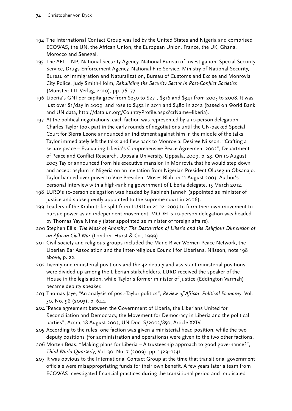- 194 The International Contact Group was led by the United States and Nigeria and comprised ECOWAS, the UN, the African Union, the European Union, France, the UK, Ghana, Morocco and Senegal.
- 195 The AFL, LNP, National Security Agency, National Bureau of Investigation, Special Security Service, Drugs Enforcement Agency, National Fire Service, Ministry of National Security, Bureau of Immigration and Naturalization, Bureau of Customs and Excise and Monrovia City Police. Judy Smith-Hölm, *Rebuilding the Security Sector in Post-Conflict Societies* (Munster: LIT Verlag, 2010), pp. 76–77.
- 196 Liberia's GNI per capita grew from \$250 to \$271, \$316 and \$341 from 2005 to 2008. It was just over \$1/day in 2009, and rose to \$452 in 2011 and \$480 in 2012 (based on World Bank and UN data, http://data.un.org/CountryProfile.aspx?crName=liberia).
- 197 At the political negotiations, each faction was represented by a 10-person delegation. Charles Taylor took part in the early rounds of negotiations until the UN-backed Special Court for Sierra Leone announced an indictment against him in the middle of the talks. Taylor immediately left the talks and flew back to Monrovia. Desirée Nilsson, "Crafting a secure peace – Evaluating Liberia's Comprehensive Peace Agreement 2003", Department of Peace and Conflict Research, Uppsala University, Uppsala, 2009, p. 23. On 10 August 2003 Taylor announced from his executive mansion in Monrovia that he would step down and accept asylum in Nigeria on an invitation from Nigerian President Olusegun Obsanajo. Taylor handed over power to Vice President Moses Blah on 11 August 2003. Author's personal interview with a high-ranking government of Liberia delegate, 15 March 2012.
- 198 LURD's 10-person delegation was headed by Kabineh Janneh (appointed as minister of justice and subsequently appointed to the supreme court in 2006).
- 199 Leaders of the Krahn tribe split from LURD in 2002–2003 to form their own movement to pursue power as an independent movement. MODEL's 10-person delegation was headed by Thomas Yaya Nimely (later appointed as minister of foreign affairs).
- 200 Stephen Ellis, *The Mask of Anarchy: The Destruction of Liberia and the Religious Dimension of an African Civil War* (London: Hurst & Co., 1999).
- 201 Civil society and religious groups included the Mano River Women Peace Network, the Liberian Bar Association and the Inter-religious Council for Liberians. Nilsson, note 198 above, p. 22.
- 202 Twenty-one ministerial positions and the 42 deputy and assistant ministerial positions were divided up among the Liberian stakeholders. LURD received the speaker of the House in the legislation, while Taylor's former minister of justice (Eddington Varmah) became deputy speaker.
- 203 Thomas Jaye, "An analysis of post-Taylor politics", *Review of African Political Economy*, Vol. 30, No. 98 (2003), p. 644.
- 204 " Peace agreement between the Government of Liberia, the Liberians United for Reconciliation and Democracy, the Movement for Democracy in Liberia and the political parties", Accra, 18 August 2003, UN Doc. S/2003/850, Article XXIV.
- 205 According to the rules, one faction was given a ministerial head position, while the two deputy positions (for administration and operations) were given to the two other factions.
- 206 Morten Bøas, "Making plans for Liberia A trusteeship approach to good governance?", *Third World Quarterly*, Vol. 30, No. 7 (2009), pp. 1329–1341.
- 207 It was obvious to the International Contact Group at the time that transitional government officials were misappropriating funds for their own benefit. A few years later a team from ECOWAS investigated financial practices during the transitional period and implicated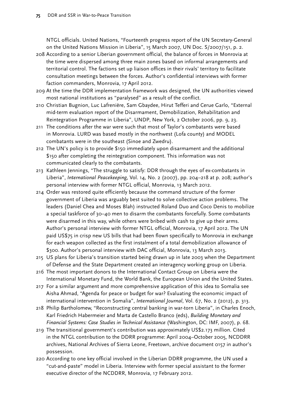NTGL officials. United Nations, "Fourteenth progress report of the UN Secretary-General on the United Nations Mission in Liberia", 15 March 2007, UN Doc. S/2007/151, p. 2.

- 208 According to a senior Liberian government official, the balance of forces in Monrovia at the time were dispersed among three main zones based on informal arrangements and territorial control. The factions set up liaison offices in their rivals' territory to facilitate consultation meetings between the forces. Author's confidential interviews with former faction commanders, Monrovia, 17 April 2012.
- 209 At the time the DDR implementation framework was designed, the UN authorities viewed most national institutions as "paralysed" as a result of the conflict.
- 210 Christian Bugnion, Luc Lafrenière, Sam Gbaydee, Hirut Tefferi and Cerue Garlo, "External mid-term evaluation report of the Disarmament, Demobilization, Rehabilitation and Reintegration Programme in Liberia", UNDP, New York, 2 October 2006, pp. 9, 23.
- 211 The conditions after the war were such that most of Taylor's combatants were based in Monrovia. LURD was based mostly in the northwest (Lofa county) and MODEL combatants were in the southeast (Sinoe and Zwedru).
- 212 The UN's policy is to provide \$150 immediately upon disarmament and the additional \$150 after completing the reintegration component. This information was not communicated clearly to the combatants.
- 213 Kathleen Jennings, "The struggle to satisfy: DDR through the eyes of ex-combatants in Liberia", *International Peacekeeping*, Vol. 14, No. 2 (2007), pp. 204–218 at p. 208; author's personal interview with former NTGL official, Monrovia, 13 March 2012.
- 214 Order was restored quite efficiently because the command structure of the former government of Liberia was arguably best suited to solve collective action problems. The leaders (Daniel Chea and Moses Blah) instructed Roland Duo and Coco Denis to mobilize a special taskforce of 30–40 men to disarm the combatants forcefully. Some combatants were disarmed in this way, while others were bribed with cash to give up their arms. Author's personal interview with former NTGL official, Monrovia, 17 April 2012. The UN paid US\$75 in crisp new US bills that had been flown specifically to Monrovia in exchange for each weapon collected as the first instalment of a total demobilization allowance of \$300. Author's personal interview with DAC official, Monrovia, 13 March 2013.
- 215 US plans for Liberia's transition started being drawn up in late 2003 when the Department of Defense and the State Department created an interagency working group on Liberia.
- 216 The most important donors to the International Contact Group on Liberia were the International Monetary Fund, the World Bank, the European Union and the United States.
- 217 For a similar argument and more comprehensive application of this idea to Somalia see Aisha Ahmad, "Agenda for peace or budget for war? Evaluating the economic impact of international intervention in Somalia", *International Journal*, Vol. 67, No. 2 (2012), p. 313.
- 218 Philip Bartholomew, "Reconstructing central banking in war-torn Liberia", in Charles Enoch, Karl Friedrich Habermeier and Marta de Castello Branco (eds), *Building Monetary and Financial Systems: Case Studies in Technical Assistance* (Washington, DC: IMF, 2007), p. 68.
- 219 The transitional government's contribution was approximately US\$2.173 million. Cited in the NTGL contribution to the DDRR programme: April 2004–October 2005, NCDDRR archives, National Archives of Sierra Leone, Freetown, archive document 0157 in author's possession.
- 220 According to one key official involved in the Liberian DDRR programme, the UN used a "cut-and-paste" model in Liberia. Interview with former special assistant to the former executive director of the NCDDRR, Monrovia, 17 February 2012.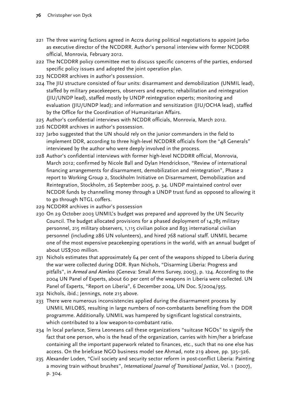- 221 The three warring factions agreed in Accra during political negotiations to appoint Jarbo as executive director of the NCDDRR. Author's personal interview with former NCDDRR official, Monrovia, February 2012.
- 222 The NCDDRR policy committee met to discuss specific concerns of the parties, endorsed specific policy issues and adopted the joint operation plan.
- 223 NCDDRR archives in author's possession.
- 224 The JIU structure consisted of four units: disarmament and demobilization (UNMIL lead), staffed by military peacekeepers, observers and experts; rehabilitation and reintegration (JIU/UNDP lead), staffed mostly by UNDP reintegration experts; monitoring and evaluation (JIU/UNDP lead); and information and sensitization (JIU/OCHA lead), staffed by the Office for the Coordination of Humanitarian Affairs.
- 225 Author's confidential interviews with NCDDR officials, Monrovia, March 2012.
- 226 NCDDRR archives in author's possession.
- 227 Jarbo suggested that the UN should rely on the junior commanders in the field to implement DDR, according to three high-level NCDDRR officials from the "48 Generals" interviewed by the author who were deeply involved in the process.
- 228 Author's confidential interviews with former high-level NCDDRR official, Monrovia, March 2012; confirmed by Nicole Ball and Dylan Hendrickson, "Review of international financing arrangements for disarmament, demobilization and reintegration", Phase 2 report to Working Group 2, Stockholm Initiative on Disarmament, Demobilization and Reintegration, Stockholm, 26 September 2005, p. 34. UNDP maintained control over NCDDR funds by channelling money through a UNDP trust fund as opposed to allowing it to go through NTGL coffers.
- 229 NCDDRR archives in author's possession
- 230 On 29 October 2003 UNMIL's budget was prepared and approved by the UN Security Council. The budget allocated provisions for a phased deployment of 14,785 military personnel, 215 military observers, 1,115 civilian police and 893 international civilian personnel (including 286 UN volunteers), and hired 768 national staff. UNMIL became one of the most expensive peacekeeping operations in the world, with an annual budget of about US\$700 million.
- 231 Nichols estimates that approximately 64 per cent of the weapons shipped to Liberia during the war were collected during DDR. Ryan Nichols, "Disarming Liberia: Progress and pitfalls", in *Armed and Aimless* (Geneva: Small Arms Survey, 2005), p. 124. According to the 2004 UN Panel of Experts, about 60 per cent of the weapons in Liberia were collected. UN Panel of Experts, "Report on Liberia", 6 December 2004, UN Doc. S/2004/955.
- 232 Nichols, ibid.; Jennings, note 215 above.
- 233 There were numerous inconsistencies applied during the disarmament process by UNMIL MILOBS, resulting in large numbers of non-combatants benefiting from the DDR programme. Additionally. UNMIL was hampered by significant logistical constraints, which contributed to a low weapon-to-combatant ratio.
- 234 In local parlance, Sierra Leoneans call these organizations "suitcase NGOs" to signify the fact that one person, who is the head of the organization, carries with him/her a briefcase containing all the important paperwork related to finances, etc., such that no one else has access. On the briefcase NGO business model see Ahmad, note 219 above, pp. 325–326.
- 235 Alexander Loden, "Civil society and security sector reform in post-conflict Liberia: Painting a moving train without brushes", *International Journal of Transitional Justice*, Vol. 1 (2007), p. 304.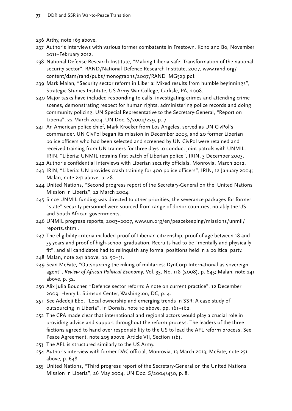- 236 Arthy, note 163 above.
- 237 Author's interviews with various former combatants in Freetown, Kono and Bo, November 2011–February 2012.
- 238 National Defense Research Institute, "Making Liberia safe: Transformation of the national security sector", RAND/National Defence Research Institute, 2007, [www.rand.org/](http://www.rand.org/content/dam/rand/pubs/monographs/2007/RAND_MG529.pdf) [content/dam/rand/pubs/monographs/2007/RAND\\_MG529.pdf.](http://www.rand.org/content/dam/rand/pubs/monographs/2007/RAND_MG529.pdf)
- 239 Mark Malan, "Security sector reform in Liberia: Mixed results from humble beginnings", Strategic Studies Institute, US Army War College, Carlisle, PA, 2008.
- 240 Major tasks have included responding to calls, investigating crimes and attending crime scenes, demonstrating respect for human rights, administering police records and doing community policing. UN Special Representative to the Secretary-General, "Report on Liberia", 22 March 2004, UN Doc. S/2004/229, p. 7.
- 241 An American police chief, Mark Kroeker from Los Angeles, served as UN CivPol's commander. UN CivPol began its mission in December 2003, and 20 former Liberian police officers who had been selected and screened by UN CivPol were retained and received training from UN trainers for three days to conduct joint patrols with UNMIL. IRIN, "Liberia: UNMIL retrains first batch of Liberian police", IRIN, 3 December 2003.
- 242 Author's confidential interviews with Liberian security officials, Monrovia, March 2012.
- 243 IRIN, "Liberia: UN provides crash training for 400 police officers", IRIN, 12 January 2004; Malan, note 241 above, p. 48.
- 244 United Nations, "Second progress report of the Secretary-General on the United Nations Mission in Liberia", 22 March 2004.
- 245 Since UNMIL funding was directed to other priorities, the severance packages for former "state" security personnel were sourced from range of donor countries, notably the US and South African governments.
- 246 UNMIL progress reports, 2003–2007, www.un.org/en/peacekeeping/missions/unmil/ reports.shtml.
- 247 The eligibility criteria included proof of Liberian citizenship, proof of age between 18 and 35 years and proof of high-school graduation. Recruits had to be "mentally and physically fit", and all candidates had to relinquish any formal positions held in a political party.
- 248 Malan, note 241 above, pp. 50–51.
- 249 Sean McFate, "Outsourcing the mking of militaries: DynCorp International as sovereign agent", *Review of African Political Economy*, Vol. 35, No. 118 (2008), p. 645; Malan, note 241 above, p. 32.
- 250 Alix Julia Boucher, "Defence sector reform: A note on current practice", 12 December 2009, Henry L. Stimson Center, Washington, DC, p. 4.
- 251 See Adedeji Ebo, "Local ownership and emerging trends in SSR: A case study of outsourcing in Liberia", in Donais, note 10 above, pp. 161–162.
- 252 The CPA made clear that international and regional actors would play a crucial role in providing advice and support throughout the reform process. The leaders of the three factions agreed to hand over responsibility to the US to lead the AFL reform process. See Peace Agreement, note 205 above, Article VII, Section 1(b).
- 253 The AFL is structured similarly to the US Army.
- 254 Author's interview with former DAC official, Monrovia, 13 March 2013; McFate, note 251 above, p. 648.
- 255 United Nations, "Third progress report of the Secretary-General on the United Nations Mission in Liberia", 26 May 2004, UN Doc. S/2004/430, p. 8.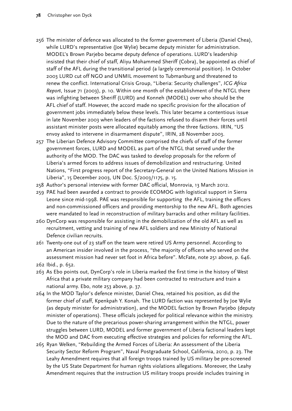## **78** Christopher von Dyck

- 256 The minister of defence was allocated to the former government of Liberia (Daniel Chea), while LURD's representative (Joe Wylie) became deputy minister for administration. MODEL's Brown Parjebo became deputy defence of operations. LURD's leadership insisted that their chief of staff, Aliyu Mohammed Sheriff (Cobra), be appointed as chief of staff of the AFL during the transitional period (a largely ceremonial position). In October 2003 LURD cut off NGO and UNMIL movement to Tubmanburg and threatened to renew the conflict. International Crisis Group, "Liberia: Security challenges", *ICG Africa Report*, Issue 71 (2003), p. 10. Within one month of the establishment of the NTGL there was infighting between Sheriff (LURD) and Konneh (MODEL) over who should be the AFL chief of staff. However, the accord made no specific provision for the allocation of government jobs immediately below these levels. This later became a contentious issue in late November 2003 when leaders of the factions refused to disarm their forces until assistant minister posts were allocated equitably among the three factions. IRIN, "US envoy asked to intervene in disarmament dispute", IRIN, 28 November 2003.
- 257 The Liberian Defence Advisory Committee comprised the chiefs of staff of the former government forces, LURD and MODEL as part of the NTGL that served under the authority of the MOD. The DAC was tasked to develop proposals for the reform of Liberia's armed forces to address issues of demobilization and restructuring. United Nations, "First progress report of the Secretary-General on the United Nations Mission in Liberia", 15 December 2003, UN Doc. S/2003/1175, p. 15.
- 258 Author's personal interview with former DAC official, Monrovia, 13 March 2012.
- 259 PAE had been awarded a contract to provide ECOMOG with logistical support in Sierra Leone since mid-1998. PAE was responsible for supporting the AFL, training the officers and non-commissioned officers and providing mentorship to the new AFL. Both agencies were mandated to lead in reconstruction of military barracks and other military facilities.
- 260 DynCorp was responsible for assisting in the demobilization of the old AFL as well as recruitment, vetting and training of new AFL soldiers and new Ministry of National Defence civilian recruits.
- 261 Twenty-one out of 23 staff on the team were retired US Army personnel. According to an American insider involved in the process, "the majority of officers who served on the assessment mission had never set foot in Africa before". McFate, note 251 above, p. 646.
- 262 Ibid., p. 652.
- 263 As Ebo points out, DynCorp's role in Liberia marked the first time in the history of West Africa that a private military company had been contracted to restructure and train a national army. Ebo, note 253 above, p. 37.
- 264 In the MOD Taylor's defence minister, Daniel Chea, retained his position, as did the former chief of staff, Kpenkpah Y. Konah. The LURD faction was represented by Joe Wylie (as deputy minister for administration), and the MODEL faction by Brown Parjebo (deputy minister of operations). These officials jockeyed for political relevance within the ministry. Due to the nature of the precarious power-sharing arrangement within the NTGL, power struggles between LURD, MODEL and former government of Liberia factional leaders kept the MOD and DAC from executing effective strategies and policies for reforming the AFL.
- 265 Ryan Welken, "Rebuilding the Armed Forces of Liberia: An assessment of the Liberia Security Sector Reform Program", Naval Postgraduate School, California, 2010, p. 23. The Leahy Amendment requires that all foreign troops trained by US military be pre-screened by the US State Department for human rights violations allegations. Moreover, the Leahy Amendment requires that the instruction US military troops provide includes training in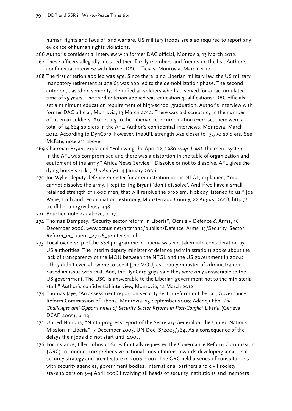human rights and laws of land warfare. US military troops are also required to report any evidence of human rights violations.

- 266 Author's confidential interview with former DAC official, Monrovia, 13 March 2012.
- 267 These officers allegedly included their family members and friends on the list. Author's confidential interview with former DAC officials, Monrovia, March 2012.
- 268 The first criterion applied was age. Since there is no Liberian military law, the US military mandatory retirement at age 65 was applied to the demobilization phase. The second criterion, based on seniority, identified all soldiers who had served for an accumulated time of 25 years. The third criterion applied was education qualifications: DAC officials set a minimum education requirement of high-school graduation. Author's interview with former DAC official, Monrovia, 13 March 2012. There was a discrepancy in the number of Liberian soldiers. According to the Liberian redocumentation exercise, there were a total of 14,684 soldiers in the AFL. Author's confidential interviews, Monrovia, March 2012. According to DynCorp, however, the AFL strength was closer to 13,770 soldiers. See McFate, note 251 above.
- 269 Chairman Bryant explained "Following the April 12, 1980 *coup d'état*, the merit system in the AFL was compromised and there was a distortion in the table of organization and equipment of the army." Africa News Service, "Dissolve or not to dissolve, AFL gives the dying horse's kick", *The Analyst*, 4 January 2006.
- 270 Joe Wylie, deputy defence minister for administration in the NTGL, explained, "You cannot dissolve the army. I kept telling Bryant 'don't dissolve'. And if we have a small retained strength of 1,000 men, that will resolve the problem. Nobody listened to us." Joe Wylie, truth and reconciliation testimony, Monsterrado County, 22 August 2008, http:// trcofliberia.org/videos/1348.
- 271 Boucher, note 252 above, p. 17.
- 272 Thomas Dempsey, "Security sector reform in Liberia", Ocnus Defence & Arms, 16 December 2006, www.ocnus.net/artman2/publish/Defence\_Arms\_13/Security\_Sector\_ Reform\_in\_Liberia\_27136\_printer.shtml.
- 273 Local ownership of the SSR programme in Liberia was not taken into consideration by US authorities. The interim deputy minister of defence (administration) spoke about the lack of transparency of the MOU between the NTGL and the US government in 2004: "They didn't even allow me to see it [the MOU] as deputy minister of administration. I raised an issue with that. And, the DynCorp guys said they were only answerable to the US government. The USG is answerable to the Liberian government not to the ministerial staff." Author's confidential interview, Monrovia, 12 March 2012.
- 274 Thomas Jaye, "An assessment report on security sector reform in Liberia", Governance Reform Commission of Liberia, Monrovia, 23 September 2006; Adedeji Ebo, *The Challenges and Opportunities of Security Sector Reform in Post-Conflict Liberia* (Geneva: DCAF, 2005), p. 19.
- 275 United Nations, "Ninth progress report of the Secretary-General on the United Nations Mission in Liberia", 7 December 2005, UN Doc. S/2005/764. As a consequence of the delays their jobs did not start until 2007.
- 276 For instance, Ellen Johnson-Sirleaf initially requested the Governance Reform Commission (GRC) to conduct comprehensive national consultations towards developing a national security strategy and architecture in 2006–2007. The GRC held a series of consultations with security agencies, government bodies, international partners and civil society stakeholders on 3–4 April 2006 involving all heads of security institutions and members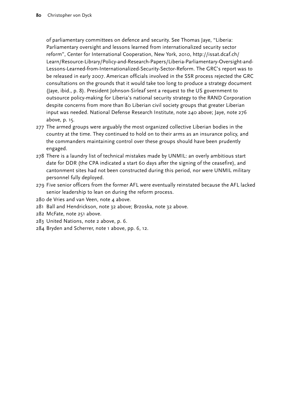of parliamentary committees on defence and security. See Thomas Jaye, "Liberia: Parliamentary oversight and lessons learned from internationalized security sector reform", Center for International Cooperation, New York, 2010, [http://issat.dcaf.ch/](http://issat.dcaf.ch/Learn/Resource-Library/Policy-and-Research-Papers/Liberia-Parliamentary-Oversight-and-Lessons-Learned-from-Internationalized-Security-Sector-Reform) [Learn/Resource-Library/Policy-and-Research-Papers/Liberia-Parliamentary-Oversight-and-](http://issat.dcaf.ch/Learn/Resource-Library/Policy-and-Research-Papers/Liberia-Parliamentary-Oversight-and-Lessons-Learned-from-Internationalized-Security-Sector-Reform)[Lessons-Learned-from-Internationalized-Security-Sector-Reform](http://issat.dcaf.ch/Learn/Resource-Library/Policy-and-Research-Papers/Liberia-Parliamentary-Oversight-and-Lessons-Learned-from-Internationalized-Security-Sector-Reform). The GRC's report was to be released in early 2007. American officials involved in the SSR process rejected the GRC consultations on the grounds that it would take too long to produce a strategy document (Jaye, ibid., p. 8). President Johnson-Sirleaf sent a request to the US government to outsource policy-making for Liberia's national security strategy to the RAND Corporation despite concerns from more than 80 Liberian civil society groups that greater Liberian input was needed. National Defense Research Institute, note 240 above; Jaye, note 276 above, p. 15.

- 277 The armed groups were arguably the most organized collective Liberian bodies in the country at the time. They continued to hold on to their arms as an insurance policy, and the commanders maintaining control over these groups should have been prudently engaged.
- 278 There is a laundry list of technical mistakes made by UNMIL: an overly ambitious start date for DDR (the CPA indicated a start 60 days after the signing of the ceasefire), and cantonment sites had not been constructed during this period, nor were UNMIL military personnel fully deployed.
- 279 Five senior officers from the former AFL were eventually reinstated because the AFL lacked senior leadership to lean on during the reform process.
- 280 de Vries and van Veen, note 4 above.
- 281 Ball and Hendrickson, [note](http://www.securityanddevelopment.org/www.securityanddevelopment.org/pdf/CSDG%20Paper%2020.pdfnote) 32 above; Brzoska, note 32 above.
- 282 McFate, note 251 above.
- 283 United Nations, note 2 above, p. 6.
- 284 Bryden and Scherrer, note 1 above, pp. 6, 12.